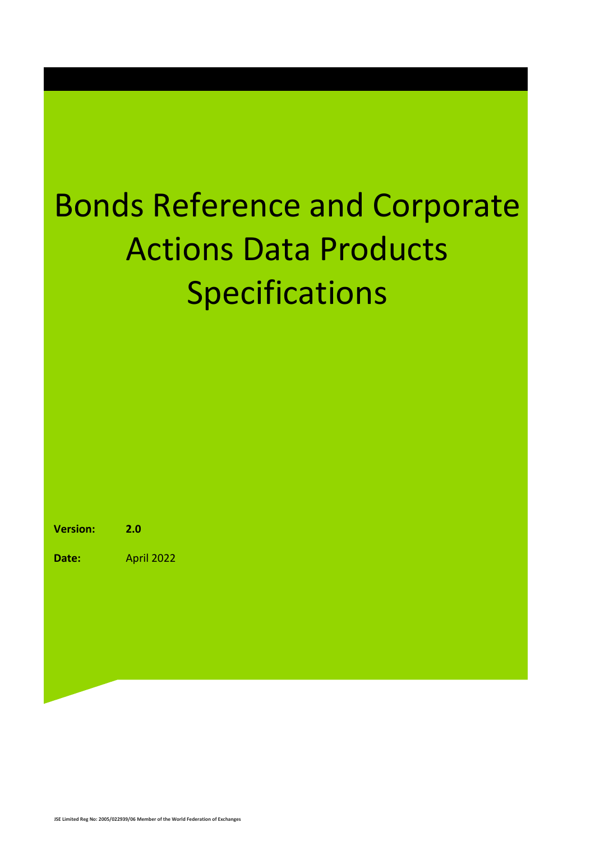### Bonds Reference and Corporate Actions Data Products Specifications

**Version: 2.0**

**Date:** April 2022

**JSE Limited Reg No: 2005/022939/06 Member of the World Federation of Exchanges**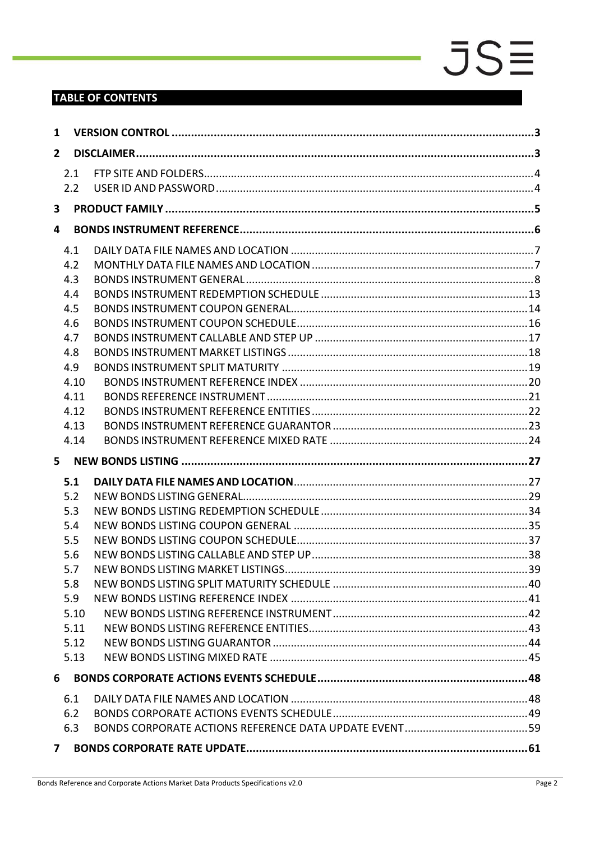### **TABLE OF CONTENTS**

| 1              |      |  |  |  |  |  |
|----------------|------|--|--|--|--|--|
| $\overline{2}$ |      |  |  |  |  |  |
|                | 2.1  |  |  |  |  |  |
|                | 2.2  |  |  |  |  |  |
| 3              |      |  |  |  |  |  |
| 4              |      |  |  |  |  |  |
|                | 4.1  |  |  |  |  |  |
|                | 4.2  |  |  |  |  |  |
|                | 4.3  |  |  |  |  |  |
|                | 4.4  |  |  |  |  |  |
|                | 4.5  |  |  |  |  |  |
|                | 4.6  |  |  |  |  |  |
|                | 4.7  |  |  |  |  |  |
|                | 4.8  |  |  |  |  |  |
|                | 4.9  |  |  |  |  |  |
|                | 4.10 |  |  |  |  |  |
|                | 4.11 |  |  |  |  |  |
|                | 4.12 |  |  |  |  |  |
|                | 4.13 |  |  |  |  |  |
|                | 4.14 |  |  |  |  |  |
|                |      |  |  |  |  |  |
|                | 5.1  |  |  |  |  |  |
|                | 5.2  |  |  |  |  |  |
|                | 5.3  |  |  |  |  |  |
|                | 5.4  |  |  |  |  |  |
|                | 5.5  |  |  |  |  |  |
|                | 5.6  |  |  |  |  |  |
|                | 5.7  |  |  |  |  |  |
|                | 5.8  |  |  |  |  |  |
|                | 5.9  |  |  |  |  |  |
|                | 5.10 |  |  |  |  |  |
|                | 5.11 |  |  |  |  |  |
|                | 5.12 |  |  |  |  |  |
|                | 5.13 |  |  |  |  |  |
| 6              |      |  |  |  |  |  |
|                | 6.1  |  |  |  |  |  |
|                | 6.2  |  |  |  |  |  |
|                | 6.3  |  |  |  |  |  |
| $\mathbf{7}$   |      |  |  |  |  |  |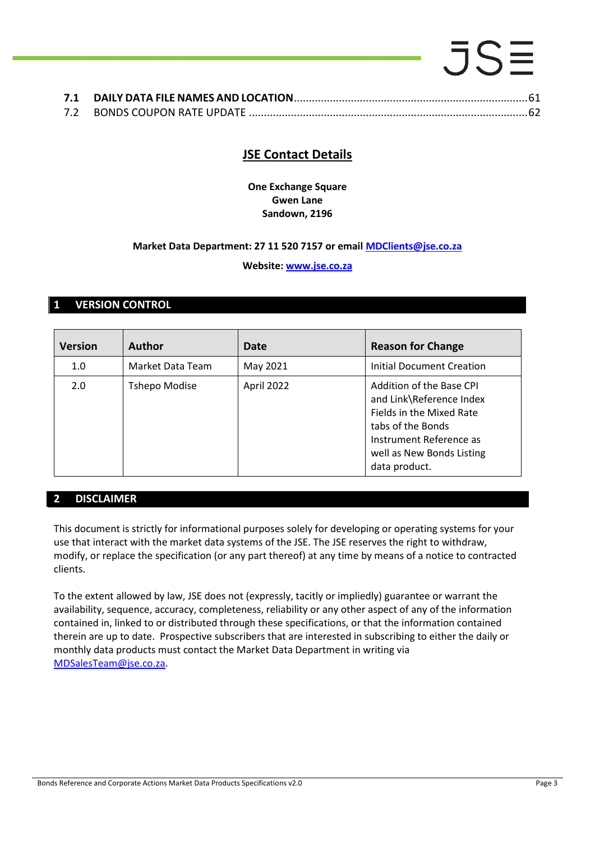### $5S\equiv$ **7.1 DAILY DATA FILE NAMES AND LOCATION**[..............................................................................61](#page-60-1)

| . |  |
|---|--|
|   |  |

### **JSE Contact Details**

**One Exchange Square Gwen Lane Sandown, 2196**

#### **Market Data Department: 27 11 520 7157 or email [MDClients@jse.co.za](mailto:MDClients@jse.co.za)**

#### **Website: [www.jse.co.za](http://www.jse.co.za/)**

#### <span id="page-2-0"></span>**1 VERSION CONTROL**

| <b>Version</b> | <b>Author</b>        | Date       | <b>Reason for Change</b>                                                                                                                                                       |
|----------------|----------------------|------------|--------------------------------------------------------------------------------------------------------------------------------------------------------------------------------|
| 1.0            | Market Data Team     | May 2021   | Initial Document Creation                                                                                                                                                      |
| 2.0            | <b>Tshepo Modise</b> | April 2022 | Addition of the Base CPI<br>and Link\Reference Index<br>Fields in the Mixed Rate<br>tabs of the Bonds<br>Instrument Reference as<br>well as New Bonds Listing<br>data product. |

#### <span id="page-2-1"></span>**2 DISCLAIMER**

This document is strictly for informational purposes solely for developing or operating systems for your use that interact with the market data systems of the JSE. The JSE reserves the right to withdraw, modify, or replace the specification (or any part thereof) at any time by means of a notice to contracted clients.

To the extent allowed by law, JSE does not (expressly, tacitly or impliedly) guarantee or warrant the availability, sequence, accuracy, completeness, reliability or any other aspect of any of the information contained in, linked to or distributed through these specifications, or that the information contained therein are up to date. Prospective subscribers that are interested in subscribing to either the daily or monthly data products must contact the Market Data Department in writing via [MDSalesTeam@jse.co.za.](mailto:MDSalesTeam@jse.co.za)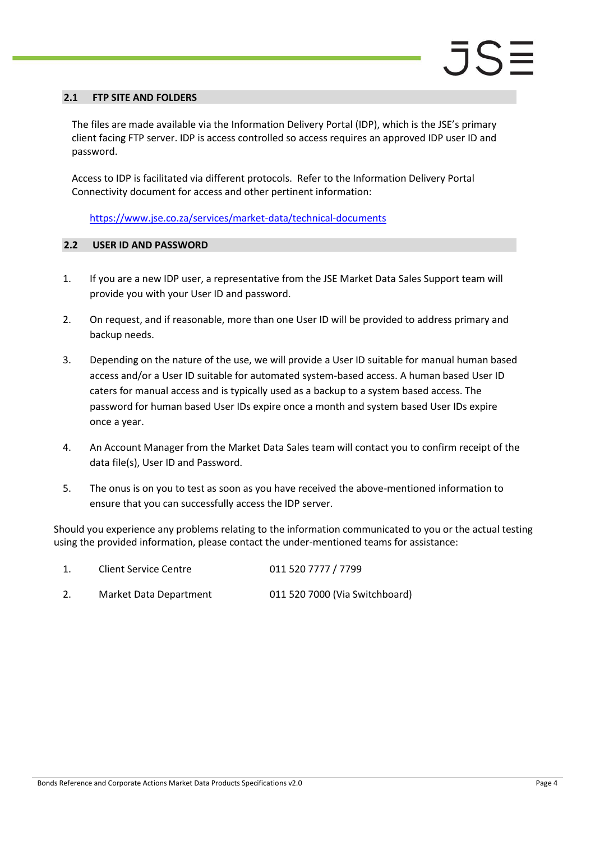#### <span id="page-3-0"></span>**2.1 FTP SITE AND FOLDERS**

The files are made available via the Information Delivery Portal (IDP), which is the JSE's primary client facing FTP server. IDP is access controlled so access requires an approved IDP user ID and password.

Access to IDP is facilitated via different protocols. Refer to the Information Delivery Portal Connectivity document for access and other pertinent information:

<https://www.jse.co.za/services/market-data/technical-documents>

#### <span id="page-3-1"></span>**2.2 USER ID AND PASSWORD**

- 1. If you are a new IDP user, a representative from the JSE Market Data Sales Support team will provide you with your User ID and password.
- 2. On request, and if reasonable, more than one User ID will be provided to address primary and backup needs.
- 3. Depending on the nature of the use, we will provide a User ID suitable for manual human based access and/or a User ID suitable for automated system-based access. A human based User ID caters for manual access and is typically used as a backup to a system based access. The password for human based User IDs expire once a month and system based User IDs expire once a year.
- 4. An Account Manager from the Market Data Sales team will contact you to confirm receipt of the data file(s), User ID and Password.
- 5. The onus is on you to test as soon as you have received the above-mentioned information to ensure that you can successfully access the IDP server.

Should you experience any problems relating to the information communicated to you or the actual testing using the provided information, please contact the under-mentioned teams for assistance:

| <b>Client Service Centre</b> | 011 520 7777 / 7799            |
|------------------------------|--------------------------------|
| Market Data Department       | 011 520 7000 (Via Switchboard) |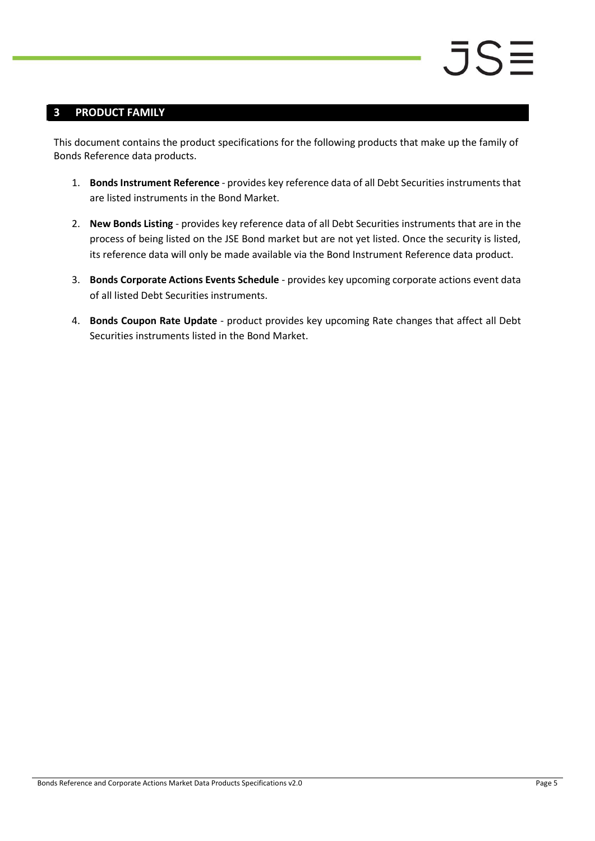### <span id="page-4-0"></span>**3 PRODUCT FAMILY**

This document contains the product specifications for the following products that make up the family of Bonds Reference data products.

- 1. **Bonds Instrument Reference** provides key reference data of all Debt Securities instruments that are listed instruments in the Bond Market.
- 2. **New Bonds Listing** provides key reference data of all Debt Securities instruments that are in the process of being listed on the JSE Bond market but are not yet listed. Once the security is listed, its reference data will only be made available via the Bond Instrument Reference data product.
- 3. **Bonds Corporate Actions Events Schedule** provides key upcoming corporate actions event data of all listed Debt Securities instruments.
- 4. **Bonds Coupon Rate Update** product provides key upcoming Rate changes that affect all Debt Securities instruments listed in the Bond Market.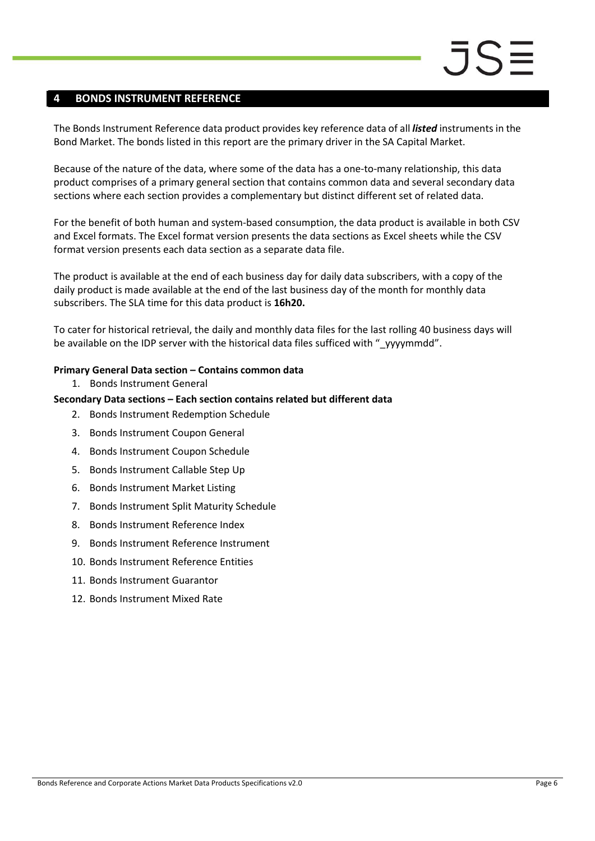#### <span id="page-5-0"></span>**4 BONDS INSTRUMENT REFERENCE**

The Bonds Instrument Reference data product provides key reference data of all *listed* instruments in the Bond Market. The bonds listed in this report are the primary driver in the SA Capital Market.

Because of the nature of the data, where some of the data has a one-to-many relationship, this data product comprises of a primary general section that contains common data and several secondary data sections where each section provides a complementary but distinct different set of related data.

For the benefit of both human and system-based consumption, the data product is available in both CSV and Excel formats. The Excel format version presents the data sections as Excel sheets while the CSV format version presents each data section as a separate data file.

The product is available at the end of each business day for daily data subscribers, with a copy of the daily product is made available at the end of the last business day of the month for monthly data subscribers. The SLA time for this data product is **16h20.**

To cater for historical retrieval, the daily and monthly data files for the last rolling 40 business days will be available on the IDP server with the historical data files sufficed with "\_yyyymmdd".

#### **Primary General Data section – Contains common data**

1. Bonds Instrument General

#### **Secondary Data sections – Each section contains related but different data**

- 2. Bonds Instrument Redemption Schedule
- 3. Bonds Instrument Coupon General
- 4. Bonds Instrument Coupon Schedule
- 5. Bonds Instrument Callable Step Up
- 6. Bonds Instrument Market Listing
- 7. Bonds Instrument Split Maturity Schedule
- 8. Bonds Instrument Reference Index
- 9. Bonds Instrument Reference Instrument
- 10. Bonds Instrument Reference Entities
- 11. Bonds Instrument Guarantor
- 12. Bonds Instrument Mixed Rate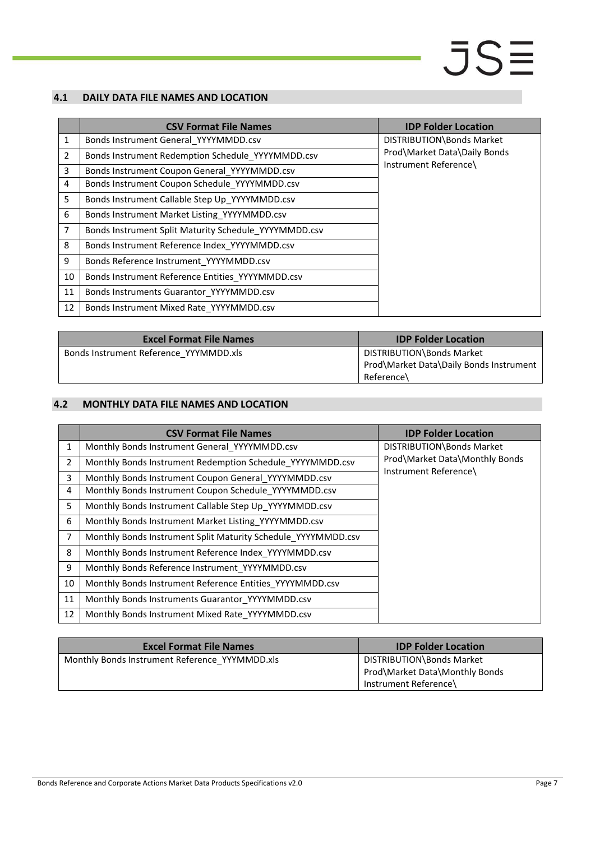#### <span id="page-6-0"></span>**4.1 DAILY DATA FILE NAMES AND LOCATION**

|                | <b>CSV Format File Names</b>                          | <b>IDP Folder Location</b>   |
|----------------|-------------------------------------------------------|------------------------------|
| $\mathbf{1}$   | Bonds Instrument General_YYYYMMDD.csv                 | DISTRIBUTION\Bonds Market    |
| $\overline{2}$ | Bonds Instrument Redemption Schedule YYYYMMDD.csv     | Prod\Market Data\Daily Bonds |
| 3              | Bonds Instrument Coupon General YYYYMMDD.csv          | Instrument Reference\        |
| 4              | Bonds Instrument Coupon Schedule YYYYMMDD.csv         |                              |
| 5              | Bonds Instrument Callable Step Up YYYYMMDD.csv        |                              |
| 6              | Bonds Instrument Market Listing YYYYMMDD.csv          |                              |
| 7              | Bonds Instrument Split Maturity Schedule YYYYMMDD.csv |                              |
| 8              | Bonds Instrument Reference Index YYYYMMDD.csv         |                              |
| 9              | Bonds Reference Instrument_YYYYMMDD.csv               |                              |
| 10             | Bonds Instrument Reference Entities YYYYMMDD.csv      |                              |
| 11             | Bonds Instruments Guarantor YYYYMMDD.csv              |                              |
| 12             | Bonds Instrument Mixed Rate_YYYYMMDD.csv              |                              |

| <b>Excel Format File Names</b>         | <b>IDP Folder Location</b>                                                         |
|----------------------------------------|------------------------------------------------------------------------------------|
| Bonds Instrument Reference YYYMMDD.xls | DISTRIBUTION\Bonds Market<br>Prod\Market Data\Daily Bonds Instrument<br>Reference\ |
|                                        |                                                                                    |

#### <span id="page-6-1"></span>**4.2 MONTHLY DATA FILE NAMES AND LOCATION**

|                | <b>CSV Format File Names</b>                                  | <b>IDP Folder Location</b>     |  |
|----------------|---------------------------------------------------------------|--------------------------------|--|
| 1              | Monthly Bonds Instrument General_YYYYMMDD.csv                 | DISTRIBUTION\Bonds Market      |  |
| $\overline{2}$ | Monthly Bonds Instrument Redemption Schedule YYYYMMDD.csv     | Prod\Market Data\Monthly Bonds |  |
| 3              | Monthly Bonds Instrument Coupon General YYYYMMDD.csv          | Instrument Reference\          |  |
| 4              | Monthly Bonds Instrument Coupon Schedule YYYYMMDD.csv         |                                |  |
| 5              | Monthly Bonds Instrument Callable Step Up YYYYMMDD.csv        |                                |  |
| 6              | Monthly Bonds Instrument Market Listing YYYYMMDD.csv          |                                |  |
| $\overline{7}$ | Monthly Bonds Instrument Split Maturity Schedule YYYYMMDD.csv |                                |  |
| 8              | Monthly Bonds Instrument Reference Index YYYYMMDD.csv         |                                |  |
| 9              | Monthly Bonds Reference Instrument YYYYMMDD.csv               |                                |  |
| 10             | Monthly Bonds Instrument Reference Entities YYYYMMDD.csv      |                                |  |
| 11             | Monthly Bonds Instruments Guarantor YYYYMMDD.csv              |                                |  |
| 12             | Monthly Bonds Instrument Mixed Rate_YYYYMMDD.csv              |                                |  |

| <b>Excel Format File Names</b>                 | <b>IDP Folder Location</b>                                                           |
|------------------------------------------------|--------------------------------------------------------------------------------------|
| Monthly Bonds Instrument Reference YYYMMDD.xls | DISTRIBUTION\Bonds Market<br>Prod\Market Data\Monthly Bonds<br>Instrument Reference\ |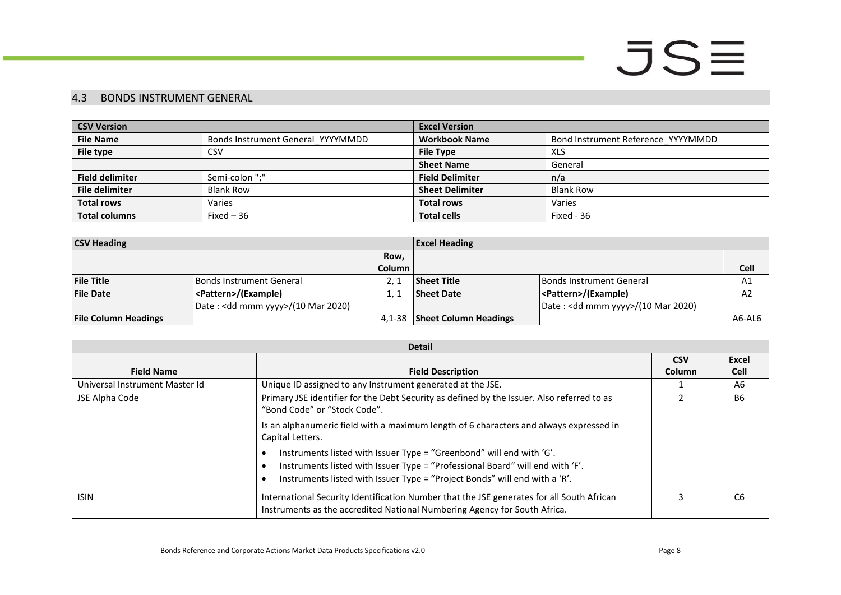#### 4.3 BONDS INSTRUMENT GENERAL

| <b>CSV Version</b>                                    |                  | <b>Excel Version</b>   |                                    |  |
|-------------------------------------------------------|------------------|------------------------|------------------------------------|--|
| <b>File Name</b><br>Bonds Instrument General YYYYMMDD |                  | <b>Workbook Name</b>   | Bond Instrument Reference YYYYMMDD |  |
| File type                                             | <b>CSV</b>       | <b>File Type</b>       | XLS                                |  |
|                                                       |                  | <b>Sheet Name</b>      | General                            |  |
| Semi-colon ":"<br><b>Field delimiter</b>              |                  | <b>Field Delimiter</b> | n/a                                |  |
| <b>File delimiter</b>                                 | <b>Blank Row</b> | <b>Sheet Delimiter</b> | <b>Blank Row</b>                   |  |
| <b>Total rows</b><br>Varies                           |                  | <b>Total rows</b>      | Varies                             |  |
| <b>Total columns</b>                                  | Fixed $-36$      | <b>Total cells</b>     | Fixed - 36                         |  |

| <b>CSV Heading</b>          |                                              | <b>Excel Heading</b> |                              |                                    |             |
|-----------------------------|----------------------------------------------|----------------------|------------------------------|------------------------------------|-------------|
|                             |                                              |                      |                              |                                    |             |
|                             |                                              | Column               |                              |                                    | <b>Cell</b> |
| <b>File Title</b>           | Bonds Instrument General                     |                      | <b>Sheet Title</b>           | <b>Bonds Instrument General</b>    | A1          |
| <b>File Date</b>            | <pattern>/(Example)</pattern>                |                      | <b>Sheet Date</b>            | <pattern>/(Example)</pattern>      | A2          |
|                             | Date: <dd mmm="" yyyy="">/(10 Mar 2020)</dd> |                      |                              | Date: < dd mmm yyyy>/(10 Mar 2020) |             |
| <b>File Column Headings</b> |                                              | 4.1-38               | <b>Sheet Column Headings</b> |                                    | A6-AL6      |

<span id="page-7-0"></span>

| <b>Detail</b>                  |                                                                                                                                                                                                                                     |            |                |  |
|--------------------------------|-------------------------------------------------------------------------------------------------------------------------------------------------------------------------------------------------------------------------------------|------------|----------------|--|
|                                |                                                                                                                                                                                                                                     | <b>CSV</b> | Excel          |  |
| <b>Field Name</b>              | <b>Field Description</b>                                                                                                                                                                                                            | Column     | <b>Cell</b>    |  |
| Universal Instrument Master Id | Unique ID assigned to any Instrument generated at the JSE.                                                                                                                                                                          |            | A6             |  |
| JSE Alpha Code                 | Primary JSE identifier for the Debt Security as defined by the Issuer. Also referred to as<br>"Bond Code" or "Stock Code".                                                                                                          |            | <b>B6</b>      |  |
|                                | Is an alphanumeric field with a maximum length of 6 characters and always expressed in<br>Capital Letters.                                                                                                                          |            |                |  |
|                                | Instruments listed with Issuer Type = "Greenbond" will end with 'G'.<br>Instruments listed with Issuer Type = "Professional Board" will end with 'F'.<br>Instruments listed with Issuer Type = "Project Bonds" will end with a 'R'. |            |                |  |
| <b>ISIN</b>                    | International Security Identification Number that the JSE generates for all South African<br>Instruments as the accredited National Numbering Agency for South Africa.                                                              |            | C <sub>6</sub> |  |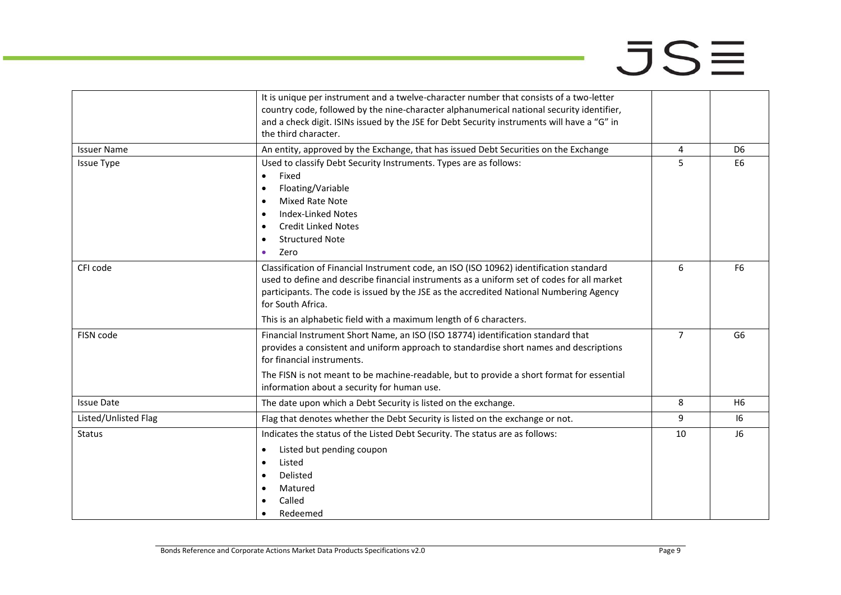|                      | It is unique per instrument and a twelve-character number that consists of a two-letter<br>country code, followed by the nine-character alphanumerical national security identifier,<br>and a check digit. ISINs issued by the JSE for Debt Security instruments will have a "G" in<br>the third character.                                                                 |                |                |
|----------------------|-----------------------------------------------------------------------------------------------------------------------------------------------------------------------------------------------------------------------------------------------------------------------------------------------------------------------------------------------------------------------------|----------------|----------------|
| <b>Issuer Name</b>   | An entity, approved by the Exchange, that has issued Debt Securities on the Exchange                                                                                                                                                                                                                                                                                        | 4              | D <sub>6</sub> |
| <b>Issue Type</b>    | Used to classify Debt Security Instruments. Types are as follows:<br>Fixed<br>$\bullet$<br>Floating/Variable<br>$\bullet$<br><b>Mixed Rate Note</b><br>$\bullet$<br><b>Index-Linked Notes</b><br>$\bullet$<br><b>Credit Linked Notes</b><br>$\bullet$<br><b>Structured Note</b><br>Zero<br>٠                                                                                | 5              | E <sub>6</sub> |
| CFI code             | Classification of Financial Instrument code, an ISO (ISO 10962) identification standard<br>used to define and describe financial instruments as a uniform set of codes for all market<br>participants. The code is issued by the JSE as the accredited National Numbering Agency<br>for South Africa.<br>This is an alphabetic field with a maximum length of 6 characters. | 6              | F <sub>6</sub> |
| FISN code            | Financial Instrument Short Name, an ISO (ISO 18774) identification standard that<br>provides a consistent and uniform approach to standardise short names and descriptions<br>for financial instruments.<br>The FISN is not meant to be machine-readable, but to provide a short format for essential<br>information about a security for human use.                        | $\overline{7}$ | G <sub>6</sub> |
| <b>Issue Date</b>    | The date upon which a Debt Security is listed on the exchange.                                                                                                                                                                                                                                                                                                              | 8              | H <sub>6</sub> |
| Listed/Unlisted Flag | Flag that denotes whether the Debt Security is listed on the exchange or not.                                                                                                                                                                                                                                                                                               | 9              | 16             |
| <b>Status</b>        | Indicates the status of the Listed Debt Security. The status are as follows:<br>Listed but pending coupon<br>$\bullet$<br>Listed<br>٠<br>Delisted<br>Matured<br>Called<br>Redeemed                                                                                                                                                                                          | 10             | J6             |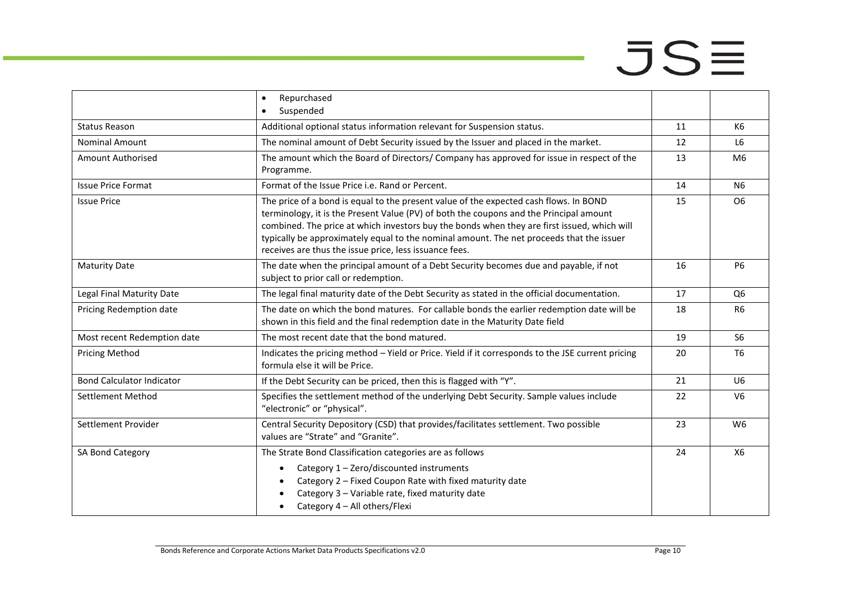# $JSE$

|                                  | Repurchased<br>$\bullet$<br>Suspended<br>$\bullet$                                                                                                                                                                                                                                                                                                                                                                                   |    |                |
|----------------------------------|--------------------------------------------------------------------------------------------------------------------------------------------------------------------------------------------------------------------------------------------------------------------------------------------------------------------------------------------------------------------------------------------------------------------------------------|----|----------------|
| <b>Status Reason</b>             | Additional optional status information relevant for Suspension status.                                                                                                                                                                                                                                                                                                                                                               | 11 | K <sub>6</sub> |
| <b>Nominal Amount</b>            | The nominal amount of Debt Security issued by the Issuer and placed in the market.                                                                                                                                                                                                                                                                                                                                                   | 12 | L <sub>6</sub> |
| Amount Authorised                | The amount which the Board of Directors/ Company has approved for issue in respect of the<br>Programme.                                                                                                                                                                                                                                                                                                                              | 13 | M <sub>6</sub> |
| <b>Issue Price Format</b>        | Format of the Issue Price i.e. Rand or Percent.                                                                                                                                                                                                                                                                                                                                                                                      | 14 | <b>N6</b>      |
| <b>Issue Price</b>               | The price of a bond is equal to the present value of the expected cash flows. In BOND<br>terminology, it is the Present Value (PV) of both the coupons and the Principal amount<br>combined. The price at which investors buy the bonds when they are first issued, which will<br>typically be approximately equal to the nominal amount. The net proceeds that the issuer<br>receives are thus the issue price, less issuance fees. |    | O <sub>6</sub> |
| <b>Maturity Date</b>             | The date when the principal amount of a Debt Security becomes due and payable, if not<br>subject to prior call or redemption.                                                                                                                                                                                                                                                                                                        | 16 | <b>P6</b>      |
| Legal Final Maturity Date        | The legal final maturity date of the Debt Security as stated in the official documentation.                                                                                                                                                                                                                                                                                                                                          |    | Q <sub>6</sub> |
| Pricing Redemption date          | The date on which the bond matures. For callable bonds the earlier redemption date will be<br>shown in this field and the final redemption date in the Maturity Date field                                                                                                                                                                                                                                                           |    | R <sub>6</sub> |
| Most recent Redemption date      | The most recent date that the bond matured.                                                                                                                                                                                                                                                                                                                                                                                          |    | S <sub>6</sub> |
| <b>Pricing Method</b>            | Indicates the pricing method - Yield or Price. Yield if it corresponds to the JSE current pricing<br>formula else it will be Price.                                                                                                                                                                                                                                                                                                  |    | T <sub>6</sub> |
| <b>Bond Calculator Indicator</b> | If the Debt Security can be priced, then this is flagged with "Y".                                                                                                                                                                                                                                                                                                                                                                   | 21 | U <sub>6</sub> |
| Settlement Method                | Specifies the settlement method of the underlying Debt Security. Sample values include<br>"electronic" or "physical".                                                                                                                                                                                                                                                                                                                |    | V <sub>6</sub> |
| Settlement Provider              | Central Security Depository (CSD) that provides/facilitates settlement. Two possible<br>values are "Strate" and "Granite".                                                                                                                                                                                                                                                                                                           |    | W <sub>6</sub> |
| SA Bond Category                 | The Strate Bond Classification categories are as follows<br>Category 1 - Zero/discounted instruments<br>$\bullet$<br>Category 2 - Fixed Coupon Rate with fixed maturity date<br>Category 3 - Variable rate, fixed maturity date<br>Category 4 - All others/Flexi                                                                                                                                                                     | 24 | X6             |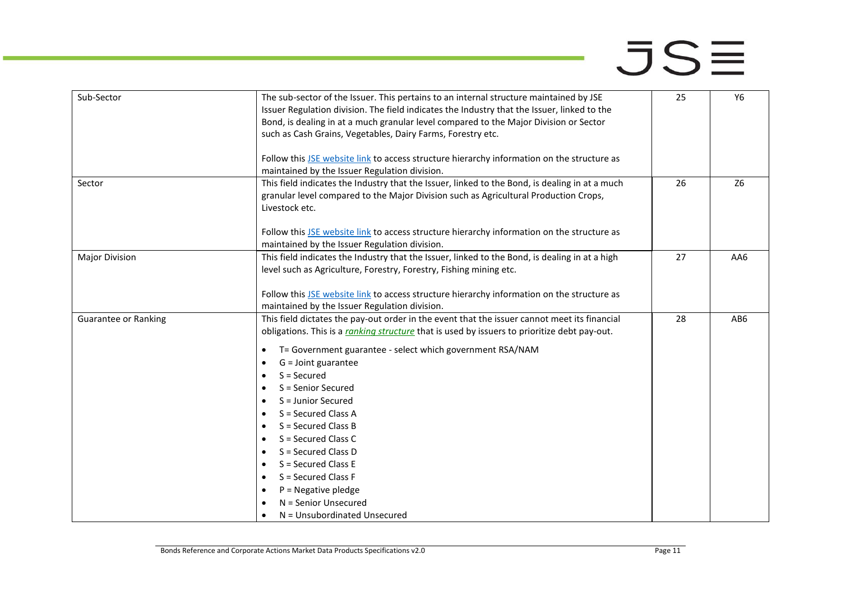| Sub-Sector                  | The sub-sector of the Issuer. This pertains to an internal structure maintained by JSE<br>Issuer Regulation division. The field indicates the Industry that the Issuer, linked to the<br>Bond, is dealing in at a much granular level compared to the Major Division or Sector<br>such as Cash Grains, Vegetables, Dairy Farms, Forestry etc.                                 | 25 | Y6             |
|-----------------------------|-------------------------------------------------------------------------------------------------------------------------------------------------------------------------------------------------------------------------------------------------------------------------------------------------------------------------------------------------------------------------------|----|----------------|
|                             | Follow this JSE website link to access structure hierarchy information on the structure as<br>maintained by the Issuer Regulation division.                                                                                                                                                                                                                                   |    |                |
| Sector                      | This field indicates the Industry that the Issuer, linked to the Bond, is dealing in at a much<br>granular level compared to the Major Division such as Agricultural Production Crops,<br>Livestock etc.                                                                                                                                                                      | 26 | Z <sub>6</sub> |
|                             | Follow this JSE website link to access structure hierarchy information on the structure as<br>maintained by the Issuer Regulation division.                                                                                                                                                                                                                                   |    |                |
| <b>Major Division</b>       | This field indicates the Industry that the Issuer, linked to the Bond, is dealing in at a high<br>level such as Agriculture, Forestry, Forestry, Fishing mining etc.<br>Follow this JSE website link to access structure hierarchy information on the structure as                                                                                                            | 27 | AA6            |
|                             | maintained by the Issuer Regulation division.                                                                                                                                                                                                                                                                                                                                 |    |                |
| <b>Guarantee or Ranking</b> | This field dictates the pay-out order in the event that the issuer cannot meet its financial<br>obligations. This is a ranking structure that is used by issuers to prioritize debt pay-out.<br>T= Government guarantee - select which government RSA/NAM<br>$\bullet$<br>$G =$ Joint guarantee<br>$\bullet$<br>$S =$ Secured<br>$\bullet$<br>S = Senior Secured<br>$\bullet$ | 28 | AB6            |
|                             | S = Junior Secured<br>$\bullet$<br>S = Secured Class A<br>$\bullet$                                                                                                                                                                                                                                                                                                           |    |                |
|                             | $S =$ Secured Class B<br>$\bullet$<br>S = Secured Class C<br>$\bullet$                                                                                                                                                                                                                                                                                                        |    |                |
|                             | S = Secured Class D<br>$\bullet$<br>S = Secured Class E<br>$\bullet$                                                                                                                                                                                                                                                                                                          |    |                |
|                             | S = Secured Class F<br>$\bullet$                                                                                                                                                                                                                                                                                                                                              |    |                |
|                             | $P = Negative$ pledge<br>$\bullet$                                                                                                                                                                                                                                                                                                                                            |    |                |
|                             | N = Senior Unsecured                                                                                                                                                                                                                                                                                                                                                          |    |                |
|                             | N = Unsubordinated Unsecured                                                                                                                                                                                                                                                                                                                                                  |    |                |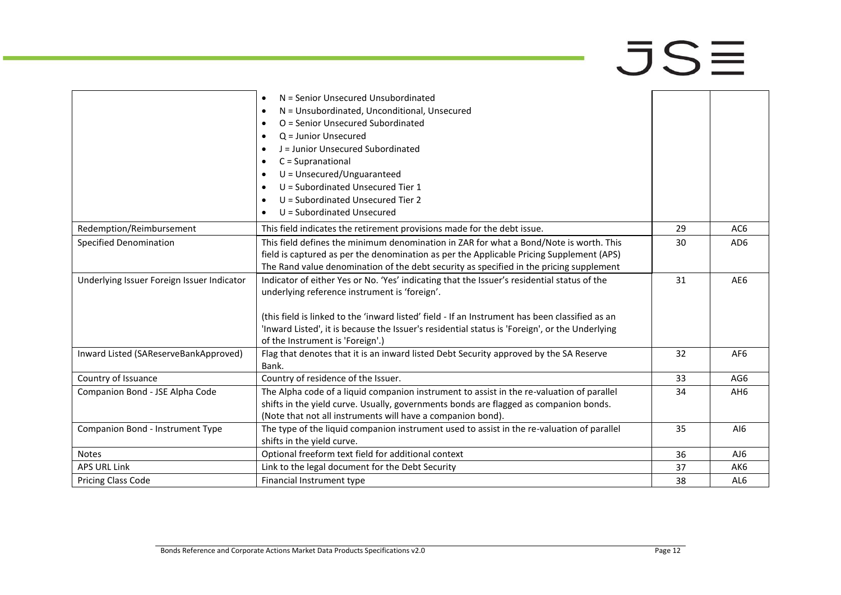|                                            | N = Senior Unsecured Unsubordinated<br>$\bullet$                                                |    |                 |
|--------------------------------------------|-------------------------------------------------------------------------------------------------|----|-----------------|
|                                            | N = Unsubordinated, Unconditional, Unsecured<br>$\bullet$                                       |    |                 |
|                                            | O = Senior Unsecured Subordinated<br>$\bullet$                                                  |    |                 |
|                                            | $Q =$ Junior Unsecured<br>٠                                                                     |    |                 |
|                                            | J = Junior Unsecured Subordinated<br>$\bullet$                                                  |    |                 |
|                                            | $C = Supranational$<br>$\bullet$                                                                |    |                 |
|                                            | $U =$ Unsecured/Unguaranteed<br>$\bullet$                                                       |    |                 |
|                                            | U = Subordinated Unsecured Tier 1<br>$\bullet$                                                  |    |                 |
|                                            | U = Subordinated Unsecured Tier 2<br>$\bullet$                                                  |    |                 |
|                                            | U = Subordinated Unsecured<br>$\bullet$                                                         |    |                 |
| Redemption/Reimbursement                   | This field indicates the retirement provisions made for the debt issue.                         | 29 | AC <sub>6</sub> |
| <b>Specified Denomination</b>              | This field defines the minimum denomination in ZAR for what a Bond/Note is worth. This          | 30 | AD <sub>6</sub> |
|                                            | field is captured as per the denomination as per the Applicable Pricing Supplement (APS)        |    |                 |
|                                            | The Rand value denomination of the debt security as specified in the pricing supplement         |    |                 |
| Underlying Issuer Foreign Issuer Indicator | Indicator of either Yes or No. 'Yes' indicating that the Issuer's residential status of the     | 31 | AE6             |
|                                            | underlying reference instrument is 'foreign'.                                                   |    |                 |
|                                            |                                                                                                 |    |                 |
|                                            | (this field is linked to the 'inward listed' field - If an Instrument has been classified as an |    |                 |
|                                            | 'Inward Listed', it is because the Issuer's residential status is 'Foreign', or the Underlying  |    |                 |
|                                            | of the Instrument is 'Foreign'.)                                                                |    |                 |
| Inward Listed (SAReserveBankApproved)      | Flag that denotes that it is an inward listed Debt Security approved by the SA Reserve          | 32 | AF <sub>6</sub> |
|                                            | Bank.                                                                                           |    |                 |
| Country of Issuance                        | Country of residence of the Issuer.                                                             | 33 | AG6             |
| Companion Bond - JSE Alpha Code            | The Alpha code of a liquid companion instrument to assist in the re-valuation of parallel       | 34 | AH <sub>6</sub> |
|                                            | shifts in the yield curve. Usually, governments bonds are flagged as companion bonds.           |    |                 |
|                                            | (Note that not all instruments will have a companion bond).                                     |    |                 |
| Companion Bond - Instrument Type           | The type of the liquid companion instrument used to assist in the re-valuation of parallel      | 35 | AI6             |
|                                            | shifts in the yield curve.                                                                      |    |                 |
| <b>Notes</b>                               | Optional freeform text field for additional context                                             | 36 | AJ6             |
| <b>APS URL Link</b>                        | Link to the legal document for the Debt Security                                                | 37 | AK6             |
| Pricing Class Code                         | Financial Instrument type                                                                       | 38 | AL6             |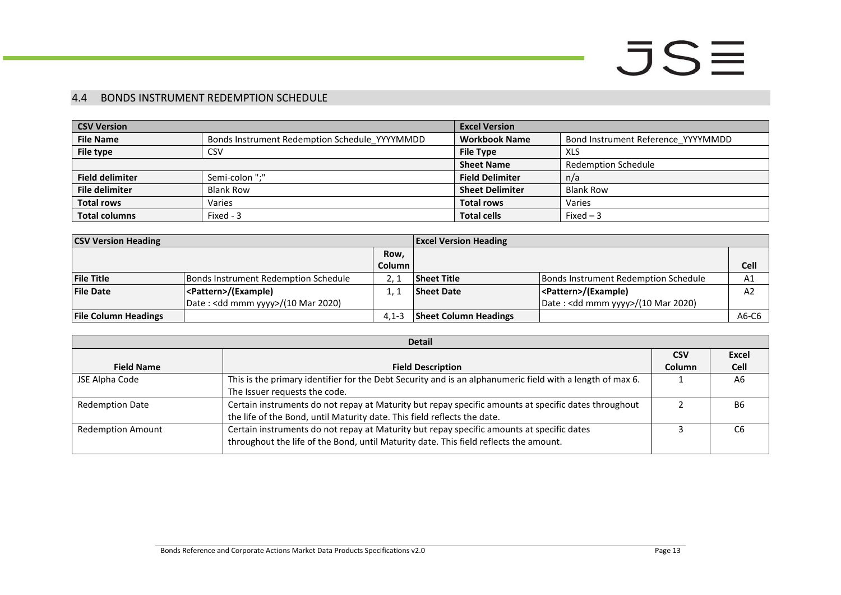#### 4.4 BONDS INSTRUMENT REDEMPTION SCHEDULE

| <b>CSV Version</b>     |                                               | <b>Excel Version</b>   |                                    |
|------------------------|-----------------------------------------------|------------------------|------------------------------------|
| <b>File Name</b>       | Bonds Instrument Redemption Schedule YYYYMMDD | <b>Workbook Name</b>   | Bond Instrument Reference YYYYMMDD |
| File type              | <b>CSV</b>                                    | <b>File Type</b>       | XLS                                |
|                        |                                               | <b>Sheet Name</b>      | Redemption Schedule                |
| <b>Field delimiter</b> | Semi-colon ":"                                | <b>Field Delimiter</b> | n/a                                |
| <b>File delimiter</b>  | <b>Blank Row</b>                              | <b>Sheet Delimiter</b> | <b>Blank Row</b>                   |
| <b>Total rows</b>      | Varies                                        | <b>Total rows</b>      | Varies                             |
| <b>Total columns</b>   | Fixed - 3                                     | <b>Total cells</b>     | Fixed $-3$                         |

| <b>CSV Version Heading</b>  |                                              |               | <b>Excel Version Heading</b> |                                              |             |
|-----------------------------|----------------------------------------------|---------------|------------------------------|----------------------------------------------|-------------|
|                             |                                              | Row,          |                              |                                              |             |
|                             |                                              | <b>Column</b> |                              |                                              | <b>Cell</b> |
| <b>File Title</b>           | Bonds Instrument Redemption Schedule         |               | <b>Sheet Title</b>           | Bonds Instrument Redemption Schedule         | A1          |
| <b>File Date</b>            | <pattern>/(Example)</pattern>                |               | <b>Sheet Date</b>            | <pattern>/(Example)</pattern>                | A2          |
|                             | Date: <dd mmm="" yyyy="">/(10 Mar 2020)</dd> |               |                              | Date: <dd mmm="" yyyy="">/(10 Mar 2020)</dd> |             |
| <b>File Column Headings</b> |                                              | $4.1 - 3$     | <b>Sheet Column Headings</b> |                                              | A6-C6       |

<span id="page-12-0"></span>

| <b>Detail</b>            |                                                                                                           |            |                |  |
|--------------------------|-----------------------------------------------------------------------------------------------------------|------------|----------------|--|
|                          |                                                                                                           | <b>CSV</b> | Excel          |  |
| <b>Field Name</b>        | <b>Field Description</b>                                                                                  | Column     | Cell           |  |
| JSE Alpha Code           | This is the primary identifier for the Debt Security and is an alphanumeric field with a length of max 6. |            | A <sub>6</sub> |  |
|                          | The Issuer requests the code.                                                                             |            |                |  |
| <b>Redemption Date</b>   | Certain instruments do not repay at Maturity but repay specific amounts at specific dates throughout      |            | <b>B6</b>      |  |
|                          | the life of the Bond, until Maturity date. This field reflects the date.                                  |            |                |  |
| <b>Redemption Amount</b> | Certain instruments do not repay at Maturity but repay specific amounts at specific dates                 |            | С6             |  |
|                          | throughout the life of the Bond, until Maturity date. This field reflects the amount.                     |            |                |  |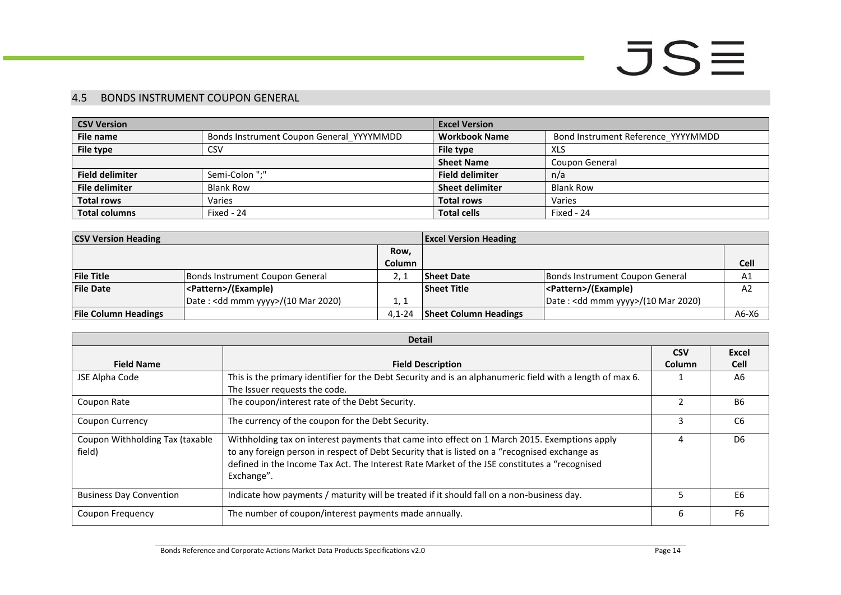#### 4.5 BONDS INSTRUMENT COUPON GENERAL

| <b>CSV Version</b>     |                                          | <b>Excel Version</b>   |                                    |  |
|------------------------|------------------------------------------|------------------------|------------------------------------|--|
| File name              | Bonds Instrument Coupon General YYYYMMDD | <b>Workbook Name</b>   | Bond Instrument Reference_YYYYMMDD |  |
| File type              | CSV                                      | File type              | XLS                                |  |
|                        |                                          | <b>Sheet Name</b>      | Coupon General                     |  |
| <b>Field delimiter</b> | Semi-Colon ";"                           | <b>Field delimiter</b> | n/a                                |  |
| <b>File delimiter</b>  | <b>Blank Row</b>                         | <b>Sheet delimiter</b> | <b>Blank Row</b>                   |  |
| <b>Total rows</b>      | Varies                                   | <b>Total rows</b>      | Varies                             |  |
| <b>Total columns</b>   | Fixed - 24                               | <b>Total cells</b>     | Fixed - 24                         |  |

| <b>CSV Version Heading</b>  |                                    |               | <b>Excel Version Heading</b> |                                    |             |
|-----------------------------|------------------------------------|---------------|------------------------------|------------------------------------|-------------|
|                             |                                    | Row.          |                              |                                    |             |
|                             |                                    | <b>Column</b> |                              |                                    | <b>Cell</b> |
| <b>File Title</b>           | Bonds Instrument Coupon General    |               | <b>Sheet Date</b>            | Bonds Instrument Coupon General    | A1          |
| <b>File Date</b>            | <pattern>/(Example)</pattern>      |               | <b>Sheet Title</b>           | <pattern>/(Example)</pattern>      | A2          |
|                             | Date: < dd mmm yyyy>/(10 Mar 2020) | 1. 1          |                              | Date: < dd mmm yyyy>/(10 Mar 2020) |             |
| <b>File Column Headings</b> |                                    | $4.1 - 24$    | <b>Sheet Column Headings</b> |                                    | $A6-X6$     |

<span id="page-13-0"></span>

| <b>Detail</b>                             |                                                                                                                                                                                                                                                                                                             |        |                |  |
|-------------------------------------------|-------------------------------------------------------------------------------------------------------------------------------------------------------------------------------------------------------------------------------------------------------------------------------------------------------------|--------|----------------|--|
|                                           |                                                                                                                                                                                                                                                                                                             |        |                |  |
| <b>Field Name</b>                         | <b>Field Description</b>                                                                                                                                                                                                                                                                                    | Column | <b>Cell</b>    |  |
| JSE Alpha Code                            | This is the primary identifier for the Debt Security and is an alphanumeric field with a length of max 6.                                                                                                                                                                                                   |        | A6             |  |
|                                           | The Issuer requests the code.                                                                                                                                                                                                                                                                               |        |                |  |
| Coupon Rate                               | The coupon/interest rate of the Debt Security.                                                                                                                                                                                                                                                              |        | <b>B6</b>      |  |
| <b>Coupon Currency</b>                    | The currency of the coupon for the Debt Security.                                                                                                                                                                                                                                                           | 3      | C <sub>6</sub> |  |
| Coupon Withholding Tax (taxable<br>field) | Withholding tax on interest payments that came into effect on 1 March 2015. Exemptions apply<br>to any foreign person in respect of Debt Security that is listed on a "recognised exchange as<br>defined in the Income Tax Act. The Interest Rate Market of the JSE constitutes a "recognised<br>Exchange". |        | D <sub>6</sub> |  |
| <b>Business Day Convention</b>            | Indicate how payments / maturity will be treated if it should fall on a non-business day.                                                                                                                                                                                                                   |        | E6             |  |
| Coupon Frequency                          | The number of coupon/interest payments made annually.                                                                                                                                                                                                                                                       | 6      | F6             |  |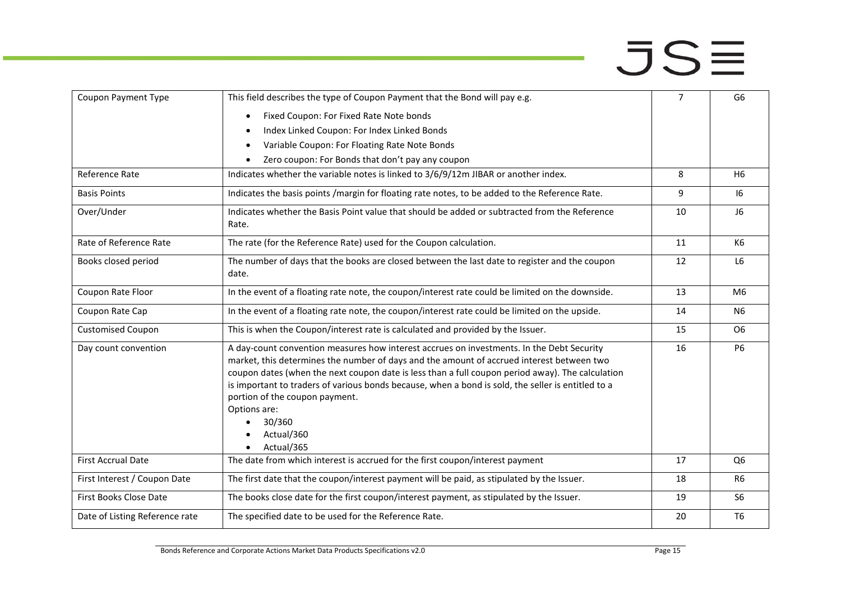| Coupon Payment Type            | This field describes the type of Coupon Payment that the Bond will pay e.g.                                                                                                                                                                                                                                                                                                                                                                                                              |    | G6             |
|--------------------------------|------------------------------------------------------------------------------------------------------------------------------------------------------------------------------------------------------------------------------------------------------------------------------------------------------------------------------------------------------------------------------------------------------------------------------------------------------------------------------------------|----|----------------|
|                                | Fixed Coupon: For Fixed Rate Note bonds                                                                                                                                                                                                                                                                                                                                                                                                                                                  |    |                |
|                                | Index Linked Coupon: For Index Linked Bonds                                                                                                                                                                                                                                                                                                                                                                                                                                              |    |                |
|                                | Variable Coupon: For Floating Rate Note Bonds                                                                                                                                                                                                                                                                                                                                                                                                                                            |    |                |
|                                | Zero coupon: For Bonds that don't pay any coupon                                                                                                                                                                                                                                                                                                                                                                                                                                         |    |                |
| Reference Rate                 | Indicates whether the variable notes is linked to 3/6/9/12m JIBAR or another index.                                                                                                                                                                                                                                                                                                                                                                                                      | 8  | H <sub>6</sub> |
| <b>Basis Points</b>            | Indicates the basis points /margin for floating rate notes, to be added to the Reference Rate.                                                                                                                                                                                                                                                                                                                                                                                           | 9  | 16             |
| Over/Under                     | Indicates whether the Basis Point value that should be added or subtracted from the Reference<br>Rate.                                                                                                                                                                                                                                                                                                                                                                                   | 10 | J <sub>6</sub> |
| Rate of Reference Rate         | The rate (for the Reference Rate) used for the Coupon calculation.                                                                                                                                                                                                                                                                                                                                                                                                                       | 11 | K6             |
|                                |                                                                                                                                                                                                                                                                                                                                                                                                                                                                                          |    |                |
| Books closed period            | The number of days that the books are closed between the last date to register and the coupon<br>date.                                                                                                                                                                                                                                                                                                                                                                                   | 12 | L <sub>6</sub> |
| Coupon Rate Floor              | In the event of a floating rate note, the coupon/interest rate could be limited on the downside.                                                                                                                                                                                                                                                                                                                                                                                         |    | M6             |
| Coupon Rate Cap                | In the event of a floating rate note, the coupon/interest rate could be limited on the upside.                                                                                                                                                                                                                                                                                                                                                                                           |    | <b>N6</b>      |
| <b>Customised Coupon</b>       | This is when the Coupon/interest rate is calculated and provided by the Issuer.                                                                                                                                                                                                                                                                                                                                                                                                          | 15 | O <sub>6</sub> |
| Day count convention           | A day-count convention measures how interest accrues on investments. In the Debt Security<br>market, this determines the number of days and the amount of accrued interest between two<br>coupon dates (when the next coupon date is less than a full coupon period away). The calculation<br>is important to traders of various bonds because, when a bond is sold, the seller is entitled to a<br>portion of the coupon payment.<br>Options are:<br>30/360<br>Actual/360<br>Actual/365 | 16 | <b>P6</b>      |
| <b>First Accrual Date</b>      | The date from which interest is accrued for the first coupon/interest payment                                                                                                                                                                                                                                                                                                                                                                                                            | 17 | Q <sub>6</sub> |
| First Interest / Coupon Date   | The first date that the coupon/interest payment will be paid, as stipulated by the Issuer.                                                                                                                                                                                                                                                                                                                                                                                               | 18 | R <sub>6</sub> |
| First Books Close Date         | The books close date for the first coupon/interest payment, as stipulated by the Issuer.                                                                                                                                                                                                                                                                                                                                                                                                 |    | S <sub>6</sub> |
| Date of Listing Reference rate | The specified date to be used for the Reference Rate.                                                                                                                                                                                                                                                                                                                                                                                                                                    | 20 | T <sub>6</sub> |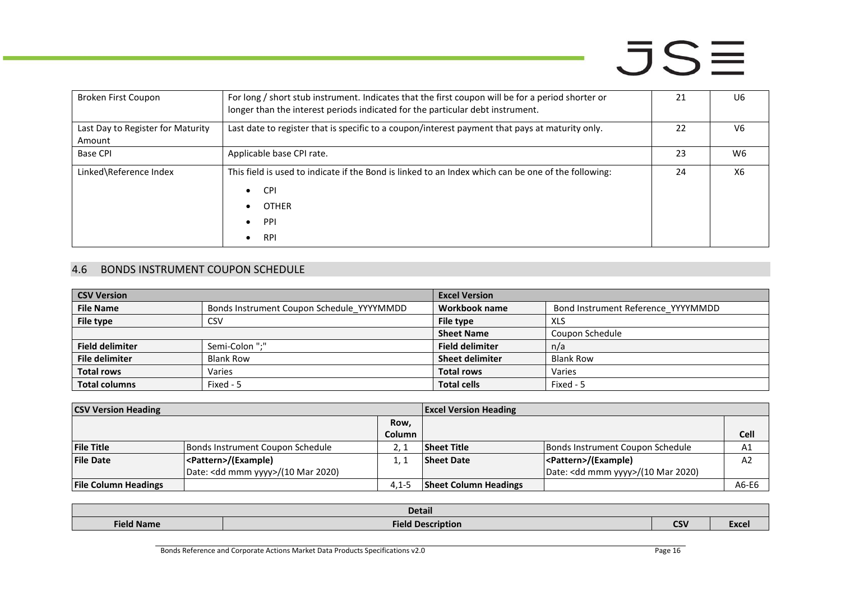| Broken First Coupon               | For long / short stub instrument. Indicates that the first coupon will be for a period shorter or<br>longer than the interest periods indicated for the particular debt instrument. | 21 | U6             |
|-----------------------------------|-------------------------------------------------------------------------------------------------------------------------------------------------------------------------------------|----|----------------|
| Last Day to Register for Maturity | Last date to register that is specific to a coupon/interest payment that pays at maturity only.                                                                                     |    | V <sub>6</sub> |
| Amount                            |                                                                                                                                                                                     |    |                |
| <b>Base CPI</b>                   | Applicable base CPI rate.                                                                                                                                                           | 23 | W6             |
| Linked\Reference Index            | This field is used to indicate if the Bond is linked to an Index which can be one of the following:                                                                                 |    | X6             |
|                                   | <b>CPI</b><br>$\bullet$                                                                                                                                                             |    |                |
|                                   | <b>OTHER</b>                                                                                                                                                                        |    |                |
|                                   | PPI                                                                                                                                                                                 |    |                |
|                                   | <b>RPI</b>                                                                                                                                                                          |    |                |

#### 4.6 BONDS INSTRUMENT COUPON SCHEDULE

| <b>CSV Version</b>     |                                           | <b>Excel Version</b>   |                                    |
|------------------------|-------------------------------------------|------------------------|------------------------------------|
| <b>File Name</b>       | Bonds Instrument Coupon Schedule_YYYYMMDD | Workbook name          | Bond Instrument Reference_YYYYMMDD |
| File type              | CSV                                       | File type              | XLS                                |
|                        |                                           | <b>Sheet Name</b>      | Coupon Schedule                    |
| <b>Field delimiter</b> | Semi-Colon ";"                            | <b>Field delimiter</b> | n/a                                |
| <b>File delimiter</b>  | <b>Blank Row</b>                          | <b>Sheet delimiter</b> | <b>Blank Row</b>                   |
| <b>Total rows</b>      | Varies                                    | <b>Total rows</b>      | Varies                             |
| <b>Total columns</b>   | Fixed - 5                                 | <b>Total cells</b>     | Fixed - 5                          |

| <b>CSV Version Heading</b>  |                                              |               | <b>Excel Version Heading</b> |                                              |             |
|-----------------------------|----------------------------------------------|---------------|------------------------------|----------------------------------------------|-------------|
|                             |                                              | Row,          |                              |                                              |             |
|                             |                                              | <b>Column</b> |                              |                                              | <b>Cell</b> |
| <b>File Title</b>           | Bonds Instrument Coupon Schedule             |               | Sheet Title                  | Bonds Instrument Coupon Schedule             | A1          |
| <b>File Date</b>            | <pattern>/(Example)</pattern>                |               | <b>Sheet Date</b>            | <pattern>/(Example)</pattern>                | A2          |
|                             | Date: <dd mmm="" yyyy="">/(10 Mar 2020)</dd> |               |                              | Date: <dd mmm="" yyyy="">/(10 Mar 2020)</dd> |             |
| <b>File Column Headings</b> |                                              | $4.1 - 5$     | <b>Sheet Column Headings</b> |                                              | A6-E6       |

<span id="page-15-0"></span>

| <b>Detail</b>                                          |                          |            |              |  |  |
|--------------------------------------------------------|--------------------------|------------|--------------|--|--|
| <b>Field Name</b><br>$-$ - $-$ - $-$ - $-$ - $-$ - $-$ | <b>Field Description</b> | <b>CSV</b> | <b>Excel</b> |  |  |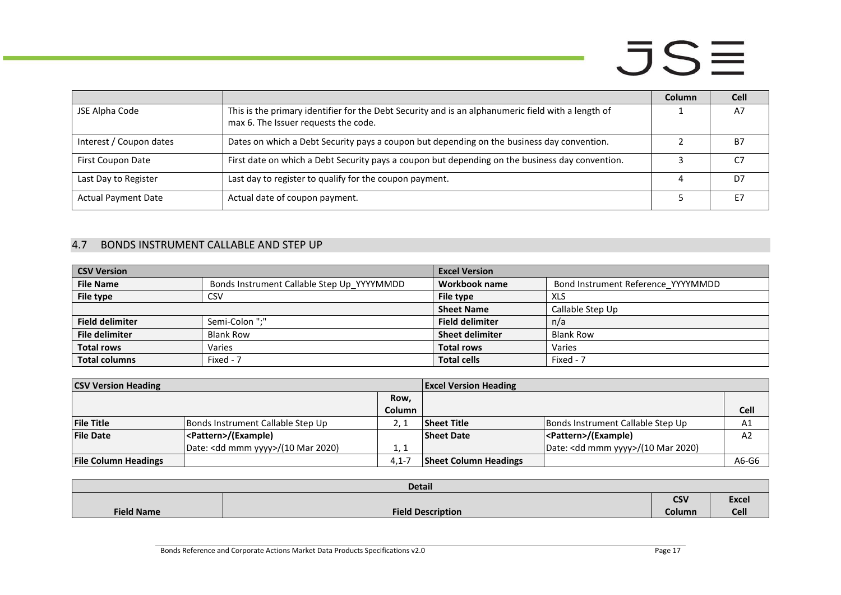|                            |                                                                                                                                            | <b>Column</b> | <b>Cell</b> |
|----------------------------|--------------------------------------------------------------------------------------------------------------------------------------------|---------------|-------------|
| JSE Alpha Code             | This is the primary identifier for the Debt Security and is an alphanumeric field with a length of<br>max 6. The Issuer requests the code. |               | A7          |
| Interest / Coupon dates    | Dates on which a Debt Security pays a coupon but depending on the business day convention.                                                 |               | Β7          |
| First Coupon Date          | First date on which a Debt Security pays a coupon but depending on the business day convention.                                            |               |             |
| Last Day to Register       | Last day to register to qualify for the coupon payment.                                                                                    |               | D7          |
| <b>Actual Payment Date</b> | Actual date of coupon payment.                                                                                                             |               | F7          |

#### 4.7 BONDS INSTRUMENT CALLABLE AND STEP UP

| <b>CSV Version</b>     |                                            | <b>Excel Version</b>   |                                    |
|------------------------|--------------------------------------------|------------------------|------------------------------------|
| <b>File Name</b>       | Bonds Instrument Callable Step Up YYYYMMDD | Workbook name          | Bond Instrument Reference_YYYYMMDD |
| File type              | CSV                                        | File type              | XLS                                |
|                        |                                            | <b>Sheet Name</b>      | Callable Step Up                   |
| <b>Field delimiter</b> | Semi-Colon ":"                             | <b>Field delimiter</b> | n/a                                |
| <b>File delimiter</b>  | <b>Blank Row</b>                           | <b>Sheet delimiter</b> | <b>Blank Row</b>                   |
| <b>Total rows</b>      | Varies                                     | <b>Total rows</b>      | Varies                             |
| <b>Total columns</b>   | Fixed - 7                                  | <b>Total cells</b>     | Fixed - 7                          |

| <b>CSV Version Heading</b>  |                                              |               | <b>Excel Version Heading</b> |                                              |                |
|-----------------------------|----------------------------------------------|---------------|------------------------------|----------------------------------------------|----------------|
|                             |                                              | Row,          |                              |                                              |                |
|                             |                                              | <b>Column</b> |                              |                                              | <b>Cell</b>    |
| <b>File Title</b>           | Bonds Instrument Callable Step Up            |               | <b>Sheet Title</b>           | Bonds Instrument Callable Step Up            | A1             |
| <b>File Date</b>            | <pattern>/(Example)</pattern>                |               | <b>Sheet Date</b>            | <pattern>/(Example)</pattern>                | A <sub>2</sub> |
|                             | Date: <dd mmm="" yyyy="">/(10 Mar 2020)</dd> | 1, 1          |                              | Date: <dd mmm="" yyyy="">/(10 Mar 2020)</dd> |                |
| <b>File Column Headings</b> |                                              | $4.1 -$       | <b>Sheet Column Headings</b> |                                              | A6-G6          |

<span id="page-16-0"></span>

| <b>Detail</b>     |                          |            |              |  |  |
|-------------------|--------------------------|------------|--------------|--|--|
|                   |                          | <b>CSV</b> | <b>Excel</b> |  |  |
| <b>Field Name</b> | <b>Field Description</b> | Column     | Cell         |  |  |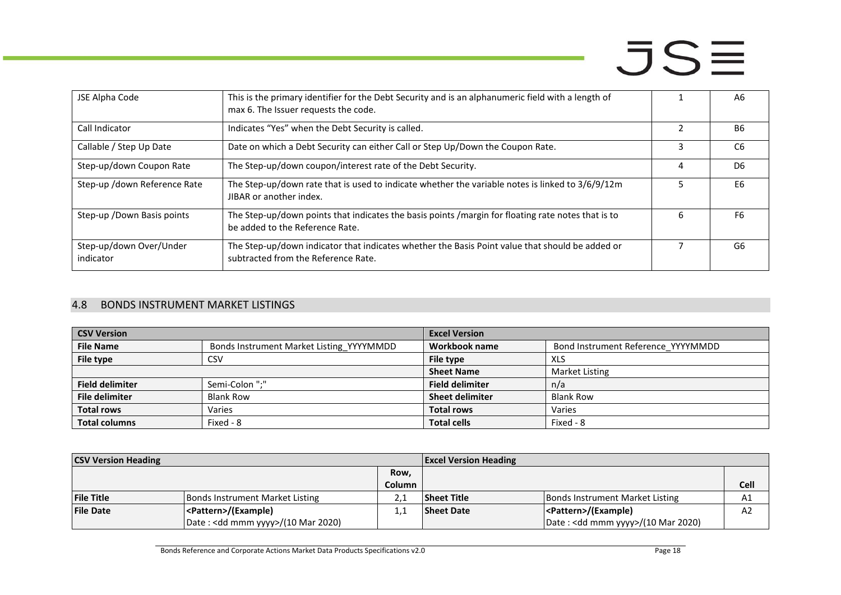| JSE Alpha Code                       | This is the primary identifier for the Debt Security and is an alphanumeric field with a length of<br>max 6. The Issuer requests the code. |   | A6             |
|--------------------------------------|--------------------------------------------------------------------------------------------------------------------------------------------|---|----------------|
| Call Indicator                       | Indicates "Yes" when the Debt Security is called.                                                                                          |   | <b>B6</b>      |
| Callable / Step Up Date              | Date on which a Debt Security can either Call or Step Up/Down the Coupon Rate.                                                             |   | C <sub>6</sub> |
| Step-up/down Coupon Rate             | The Step-up/down coupon/interest rate of the Debt Security.                                                                                | 4 | D <sub>6</sub> |
| Step-up /down Reference Rate         | The Step-up/down rate that is used to indicate whether the variable notes is linked to 3/6/9/12m<br>JIBAR or another index.                |   | E6             |
| Step-up / Down Basis points          | The Step-up/down points that indicates the basis points /margin for floating rate notes that is to<br>be added to the Reference Rate.      | h | F <sub>6</sub> |
| Step-up/down Over/Under<br>indicator | The Step-up/down indicator that indicates whether the Basis Point value that should be added or<br>subtracted from the Reference Rate.     |   | G6             |

#### 4.8 BONDS INSTRUMENT MARKET LISTINGS

| <b>CSV Version</b>     |                                          | <b>Excel Version</b>   |                                    |  |
|------------------------|------------------------------------------|------------------------|------------------------------------|--|
| <b>File Name</b>       | Bonds Instrument Market Listing YYYYMMDD | Workbook name          | Bond Instrument Reference YYYYMMDD |  |
| File type              | CSV                                      | File type              | XLS                                |  |
|                        |                                          | <b>Sheet Name</b>      | Market Listing                     |  |
| <b>Field delimiter</b> | Semi-Colon ":"                           | <b>Field delimiter</b> | n/a                                |  |
| <b>File delimiter</b>  | <b>Blank Row</b>                         | <b>Sheet delimiter</b> | <b>Blank Row</b>                   |  |
| <b>Total rows</b>      | Varies                                   | <b>Total rows</b>      | Varies                             |  |
| <b>Total columns</b>   | Fixed - 8                                | <b>Total cells</b>     | Fixed - 8                          |  |

<span id="page-17-0"></span>

| <b>CSV Version Heading</b> |                                              |               | <b>Excel Version Heading</b> |                                              |      |
|----------------------------|----------------------------------------------|---------------|------------------------------|----------------------------------------------|------|
|                            |                                              | Row,          |                              |                                              |      |
|                            |                                              | <b>Column</b> |                              |                                              | Cell |
| <b>File Title</b>          | Bonds Instrument Market Listing              |               | <b>Sheet Title</b>           | Bonds Instrument Market Listing              | A1   |
| <b>File Date</b>           | <pattern>/(Example)</pattern>                |               | <b>Sheet Date</b>            | <pattern>/(Example)</pattern>                | A2   |
|                            | Date: <dd mmm="" yyyy="">/(10 Mar 2020)</dd> |               |                              | Date: <dd mmm="" yyyy="">/(10 Mar 2020)</dd> |      |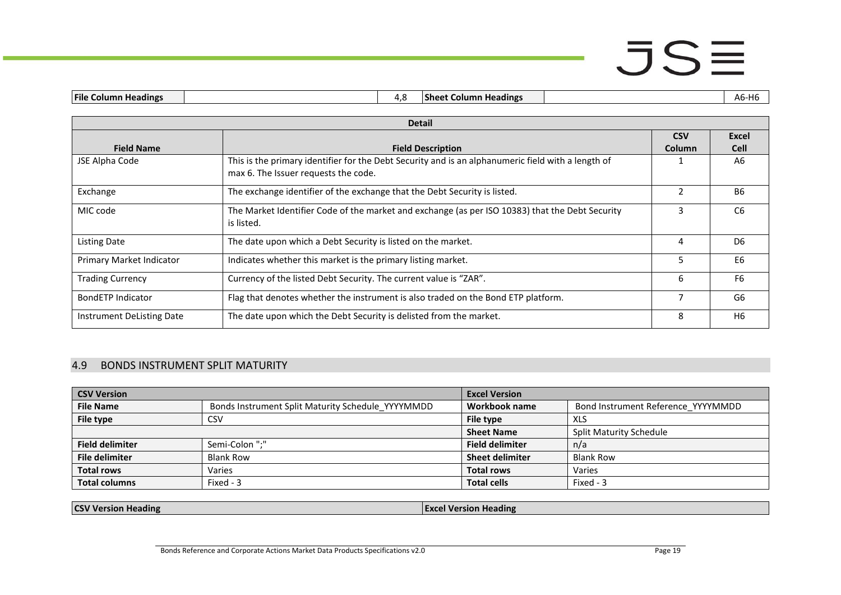|--|

| <b>Detail</b>             |                                                                                                                                            |               |                |  |  |
|---------------------------|--------------------------------------------------------------------------------------------------------------------------------------------|---------------|----------------|--|--|
|                           |                                                                                                                                            | <b>CSV</b>    | <b>Excel</b>   |  |  |
| <b>Field Name</b>         | <b>Field Description</b>                                                                                                                   | Column        | <b>Cell</b>    |  |  |
| JSE Alpha Code            | This is the primary identifier for the Debt Security and is an alphanumeric field with a length of<br>max 6. The Issuer requests the code. |               | A6             |  |  |
| Exchange                  | The exchange identifier of the exchange that the Debt Security is listed.                                                                  | $\mathcal{P}$ | <b>B6</b>      |  |  |
| MIC code                  | The Market Identifier Code of the market and exchange (as per ISO 10383) that the Debt Security<br>is listed.                              | 3             | C <sub>6</sub> |  |  |
| <b>Listing Date</b>       | The date upon which a Debt Security is listed on the market.                                                                               | 4             | D <sub>6</sub> |  |  |
| Primary Market Indicator  | Indicates whether this market is the primary listing market.                                                                               | 5             | E <sub>6</sub> |  |  |
| <b>Trading Currency</b>   | Currency of the listed Debt Security. The current value is "ZAR".                                                                          | 6             | F <sub>6</sub> |  |  |
| BondETP Indicator         | Flag that denotes whether the instrument is also traded on the Bond ETP platform.                                                          |               | G6             |  |  |
| Instrument DeListing Date | The date upon which the Debt Security is delisted from the market.                                                                         | 8             | H <sub>6</sub> |  |  |

#### 4.9 BONDS INSTRUMENT SPLIT MATURITY

| <b>CSV Version</b>     |                                                   | <b>Excel Version</b>   |                                    |  |
|------------------------|---------------------------------------------------|------------------------|------------------------------------|--|
| <b>File Name</b>       | Bonds Instrument Split Maturity Schedule YYYYMMDD | Workbook name          | Bond Instrument Reference YYYYMMDD |  |
| File type              | CSV                                               | File type              | XLS                                |  |
|                        |                                                   | <b>Sheet Name</b>      | <b>Split Maturity Schedule</b>     |  |
| <b>Field delimiter</b> | Semi-Colon ":"                                    | <b>Field delimiter</b> | n/a                                |  |
| <b>File delimiter</b>  | <b>Blank Row</b>                                  | <b>Sheet delimiter</b> | <b>Blank Row</b>                   |  |
| <b>Total rows</b>      | Varies                                            | <b>Total rows</b>      | Varies                             |  |
| <b>Total columns</b>   | Fixed - 3                                         | <b>Total cells</b>     | Fixed - 3                          |  |

<span id="page-18-0"></span>**CSV Version Heading Excel Version Heading Excel Version Heading**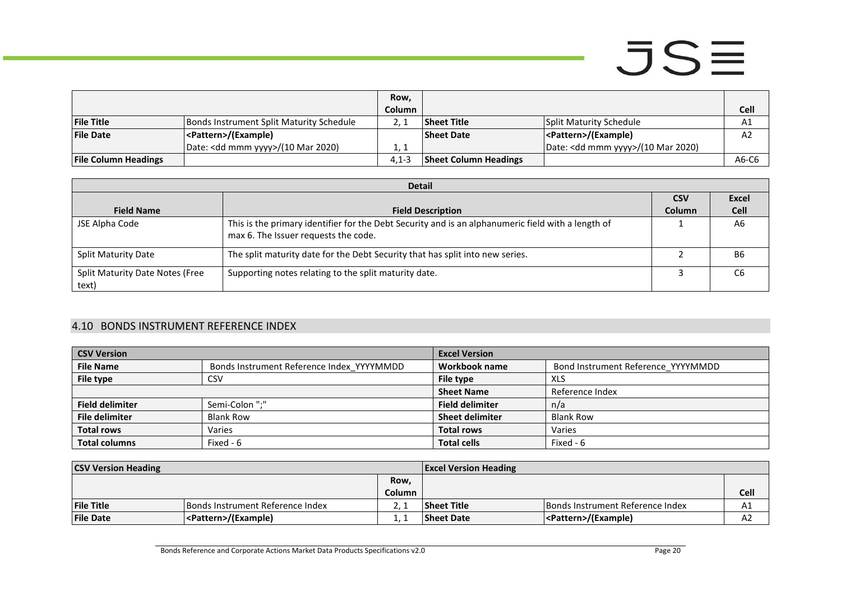|                             |                                              | Row.          |                              |                                              |                |
|-----------------------------|----------------------------------------------|---------------|------------------------------|----------------------------------------------|----------------|
|                             |                                              | <b>Column</b> |                              |                                              | <b>Cell</b>    |
| <b>File Title</b>           | Bonds Instrument Split Maturity Schedule     |               | Sheet Title                  | Split Maturity Schedule                      | A1             |
| <b>File Date</b>            | <pattern>/(Example)</pattern>                |               | <b>Sheet Date</b>            | <pattern>/(Example)</pattern>                | A <sub>2</sub> |
|                             | Date: <dd mmm="" yyyy="">/(10 Mar 2020)</dd> | 1.1           |                              | Date: <dd mmm="" yyyy="">/(10 Mar 2020)</dd> |                |
| <b>File Column Headings</b> |                                              | $4.1 - 3$     | <b>Sheet Column Headings</b> |                                              | A6-C6          |

|                                          | <b>Detail</b>                                                                                                                              |               |                |  |  |
|------------------------------------------|--------------------------------------------------------------------------------------------------------------------------------------------|---------------|----------------|--|--|
|                                          |                                                                                                                                            | <b>CSV</b>    | <b>Excel</b>   |  |  |
| <b>Field Name</b>                        | <b>Field Description</b>                                                                                                                   | <b>Column</b> | <b>Cell</b>    |  |  |
| JSE Alpha Code                           | This is the primary identifier for the Debt Security and is an alphanumeric field with a length of<br>max 6. The Issuer requests the code. |               | A <sub>6</sub> |  |  |
| <b>Split Maturity Date</b>               | The split maturity date for the Debt Security that has split into new series.                                                              |               | B6             |  |  |
| Split Maturity Date Notes (Free<br>text) | Supporting notes relating to the split maturity date.                                                                                      |               | C6             |  |  |

#### 4.10 BONDS INSTRUMENT REFERENCE INDEX

| <b>CSV Version</b>     |                                           | <b>Excel Version</b>   |                                    |
|------------------------|-------------------------------------------|------------------------|------------------------------------|
| <b>File Name</b>       | Bonds Instrument Reference Index YYYYMMDD | Workbook name          | Bond Instrument Reference_YYYYMMDD |
| File type              | CSV                                       | File type              | XLS                                |
|                        |                                           | <b>Sheet Name</b>      | Reference Index                    |
| <b>Field delimiter</b> | Semi-Colon ";"                            | <b>Field delimiter</b> | n/a                                |
| <b>File delimiter</b>  | <b>Blank Row</b>                          | <b>Sheet delimiter</b> | <b>Blank Row</b>                   |
| <b>Total rows</b>      | Varies                                    | <b>Total rows</b>      | Varies                             |
| <b>Total columns</b>   | Fixed - 6                                 | <b>Total cells</b>     | Fixed - 6                          |

<span id="page-19-0"></span>

| <b>CSV Version Heading</b> |                                  | <b>Excel Version Heading</b> |                    |                                  |      |
|----------------------------|----------------------------------|------------------------------|--------------------|----------------------------------|------|
|                            |                                  | Row,                         |                    |                                  |      |
|                            |                                  | <b>Column</b>                |                    |                                  | Cell |
| <b>File Title</b>          | Bonds Instrument Reference Index |                              | <b>Sheet Title</b> | Bonds Instrument Reference Index | A1   |
| <b>File Date</b>           | <pattern>/(Example)</pattern>    |                              | <b>Sheet Date</b>  | <pattern>/(Example)</pattern>    | AZ   |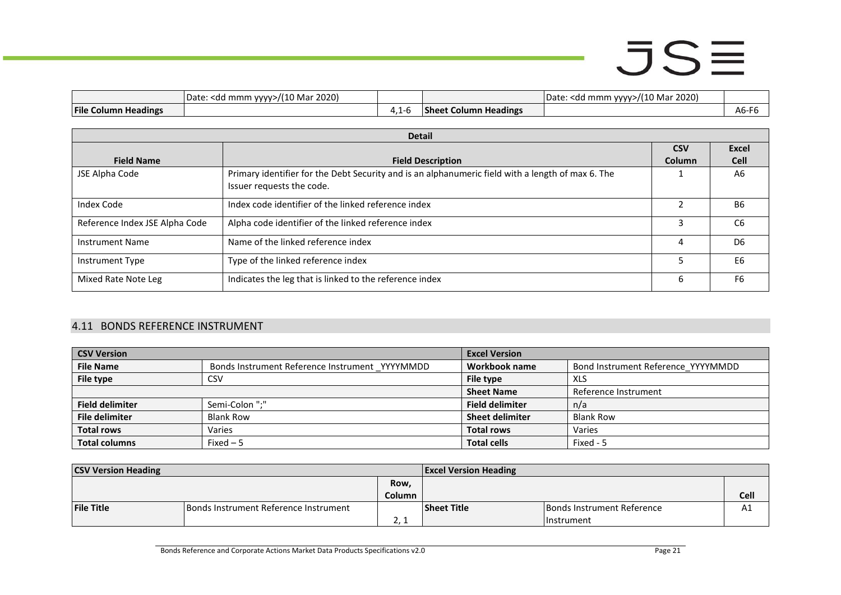|                                             | 2020)<br> Date:<br><dd mmm<br="">.<br/><math>\mathcal{L}</math><br/>ivia.<br/><math>\rightarrow</math></dd> |            |                                    | 2020)<br>Mar<br>,,,<br>. mmm<br>$\sim$ dr<br><b>MAN/S</b><br>vale<br>7u |                |
|---------------------------------------------|-------------------------------------------------------------------------------------------------------------|------------|------------------------------------|-------------------------------------------------------------------------|----------------|
| <b>File C</b><br><br><b>Column Headings</b> |                                                                                                             | ה-י<br>. . | <b>Headings</b><br>Column<br>anee. |                                                                         | $  -$<br>Ab-F6 |

|                                | <b>Detail</b>                                                                                                                  |               |                |
|--------------------------------|--------------------------------------------------------------------------------------------------------------------------------|---------------|----------------|
|                                |                                                                                                                                | <b>CSV</b>    | <b>Excel</b>   |
| <b>Field Name</b>              | <b>Field Description</b>                                                                                                       | <b>Column</b> | <b>Cell</b>    |
| JSE Alpha Code                 | Primary identifier for the Debt Security and is an alphanumeric field with a length of max 6. The<br>Issuer requests the code. |               | A6             |
| <b>Index Code</b>              | Index code identifier of the linked reference index                                                                            |               | <b>B6</b>      |
| Reference Index JSE Alpha Code | Alpha code identifier of the linked reference index                                                                            |               | C <sub>6</sub> |
| <b>Instrument Name</b>         | Name of the linked reference index                                                                                             | 4             | D <sub>6</sub> |
| Instrument Type                | Type of the linked reference index                                                                                             |               | E <sub>6</sub> |
| Mixed Rate Note Leg            | Indicates the leg that is linked to the reference index                                                                        | 6             | F6             |

#### 4.11 BONDS REFERENCE INSTRUMENT

| <b>CSV Version</b>     |                                                | <b>Excel Version</b>   |                                    |
|------------------------|------------------------------------------------|------------------------|------------------------------------|
| <b>File Name</b>       | Bonds Instrument Reference Instrument YYYYMMDD | Workbook name          | Bond Instrument Reference YYYYMMDD |
| File type              | CSV                                            | File type              | <b>XLS</b>                         |
|                        |                                                | <b>Sheet Name</b>      | Reference Instrument               |
| <b>Field delimiter</b> | Semi-Colon ";"                                 | <b>Field delimiter</b> | n/a                                |
| <b>File delimiter</b>  | <b>Blank Row</b>                               | <b>Sheet delimiter</b> | <b>Blank Row</b>                   |
| <b>Total rows</b>      | Varies                                         | <b>Total rows</b>      | Varies                             |
| <b>Total columns</b>   | $Fixed-5$                                      | <b>Total cells</b>     | Fixed - 5                          |

<span id="page-20-0"></span>

| <b>CSV Version Heading</b> |                                       | <b>Excel Version Heading</b> |                    |                            |             |
|----------------------------|---------------------------------------|------------------------------|--------------------|----------------------------|-------------|
|                            |                                       | Row,                         |                    |                            |             |
|                            |                                       | Column                       |                    |                            | <b>Cell</b> |
| <b>File Title</b>          | Bonds Instrument Reference Instrument |                              | <b>Sheet Title</b> | Bonds Instrument Reference |             |
|                            |                                       | - 1<br>$-1$                  |                    | l Instrument               |             |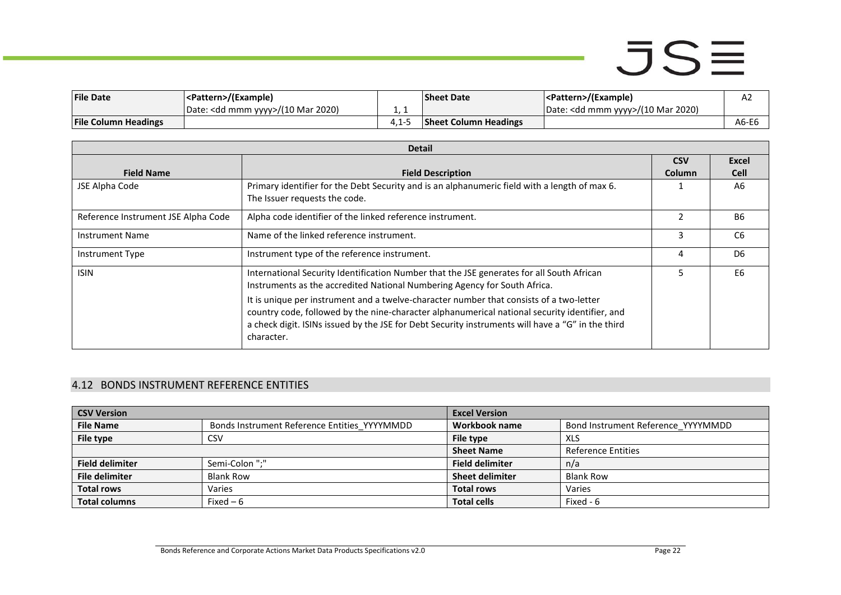| <b>File Date</b>            | <pattern>/(Example)</pattern>                |       | <b>Sheet Date</b>            | <pattern>/(Example)</pattern>                | А2    |
|-----------------------------|----------------------------------------------|-------|------------------------------|----------------------------------------------|-------|
|                             | Date: <dd mmm="" yyyy="">/(10 Mar 2020)</dd> |       |                              | Date: <dd mmm="" yyyy="">/(10 Mar 2020)</dd> |       |
| <b>File Column Headings</b> |                                              | 4.I-3 | <b>Sheet Column Headings</b> |                                              | A6-E6 |

|                                     | <b>Detail</b>                                                                                     |                |                |  |  |
|-------------------------------------|---------------------------------------------------------------------------------------------------|----------------|----------------|--|--|
|                                     |                                                                                                   | <b>CSV</b>     | Excel          |  |  |
| <b>Field Name</b>                   | <b>Field Description</b>                                                                          | Column         | <b>Cell</b>    |  |  |
| JSE Alpha Code                      | Primary identifier for the Debt Security and is an alphanumeric field with a length of max 6.     |                | A6             |  |  |
|                                     | The Issuer requests the code.                                                                     |                |                |  |  |
| Reference Instrument JSE Alpha Code | Alpha code identifier of the linked reference instrument.                                         | $\mathfrak{p}$ | <b>B6</b>      |  |  |
| <b>Instrument Name</b>              | Name of the linked reference instrument.                                                          | 3              | C6             |  |  |
| Instrument Type                     | Instrument type of the reference instrument.                                                      | 4              | D <sub>6</sub> |  |  |
| <b>ISIN</b>                         | International Security Identification Number that the JSE generates for all South African         |                | E <sub>6</sub> |  |  |
|                                     | Instruments as the accredited National Numbering Agency for South Africa.                         |                |                |  |  |
|                                     | It is unique per instrument and a twelve-character number that consists of a two-letter           |                |                |  |  |
|                                     | country code, followed by the nine-character alphanumerical national security identifier, and     |                |                |  |  |
|                                     | a check digit. ISINs issued by the JSE for Debt Security instruments will have a "G" in the third |                |                |  |  |
|                                     | character.                                                                                        |                |                |  |  |
|                                     |                                                                                                   |                |                |  |  |

#### 4.12 BONDS INSTRUMENT REFERENCE ENTITIES

<span id="page-21-0"></span>

| <b>CSV Version</b>     |                                              | <b>Excel Version</b>   |                                    |
|------------------------|----------------------------------------------|------------------------|------------------------------------|
| <b>File Name</b>       | Bonds Instrument Reference Entities YYYYMMDD | Workbook name          | Bond Instrument Reference YYYYMMDD |
| File type              | CSV                                          | File type              | <b>XLS</b>                         |
|                        |                                              | <b>Sheet Name</b>      | <b>Reference Entities</b>          |
| <b>Field delimiter</b> | Semi-Colon ";"                               | <b>Field delimiter</b> | n/a                                |
| <b>File delimiter</b>  | <b>Blank Row</b>                             | <b>Sheet delimiter</b> | <b>Blank Row</b>                   |
| <b>Total rows</b>      | Varies                                       | <b>Total rows</b>      | Varies                             |
| <b>Total columns</b>   | Fixed $-6$                                   | <b>Total cells</b>     | Fixed - 6                          |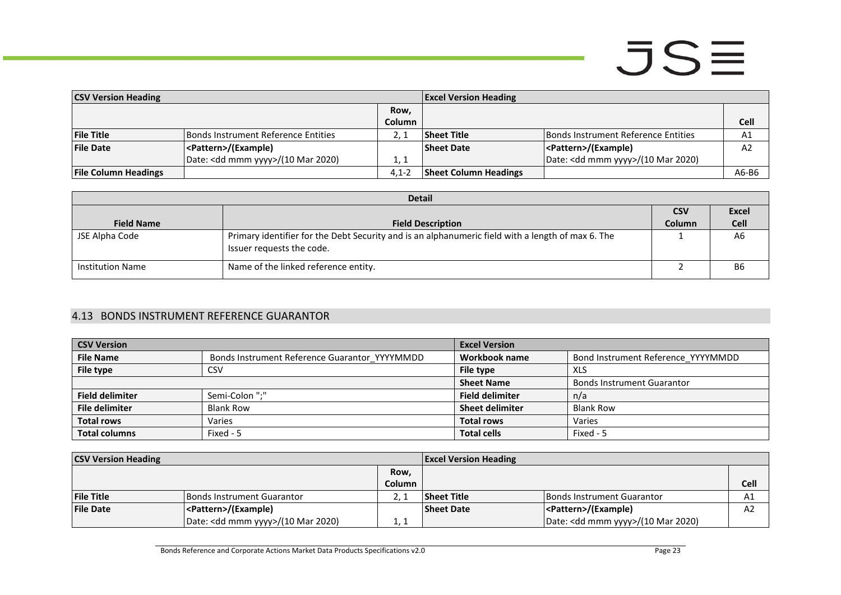| <b>CSV Version Heading</b>  |                                              | <b>Excel Version Heading</b> |                              |                                              |                |
|-----------------------------|----------------------------------------------|------------------------------|------------------------------|----------------------------------------------|----------------|
|                             |                                              | Row,                         |                              |                                              |                |
|                             |                                              | Column                       |                              |                                              | Cell           |
| <b>File Title</b>           | Bonds Instrument Reference Entities          |                              | <b>Sheet Title</b>           | <b>Bonds Instrument Reference Entities</b>   | A1             |
| <b>File Date</b>            | <pattern>/(Example)</pattern>                |                              | <b>Sheet Date</b>            | <pattern>/(Example)</pattern>                | A <sub>2</sub> |
|                             | Date: <dd mmm="" yyyy="">/(10 Mar 2020)</dd> | 1, 1                         |                              | Date: <dd mmm="" yyyy="">/(10 Mar 2020)</dd> |                |
| <b>File Column Headings</b> |                                              | $4.1 - 2$                    | <b>Sheet Column Headings</b> |                                              | A6-B6          |

| <b>Detail</b>           |                                                                                                                                |               |                |  |
|-------------------------|--------------------------------------------------------------------------------------------------------------------------------|---------------|----------------|--|
|                         |                                                                                                                                | <b>CSV</b>    | Excel          |  |
| <b>Field Name</b>       | <b>Field Description</b>                                                                                                       | <b>Column</b> | <b>Cell</b>    |  |
| JSE Alpha Code          | Primary identifier for the Debt Security and is an alphanumeric field with a length of max 6. The<br>Issuer requests the code. |               | A6             |  |
| <b>Institution Name</b> | Name of the linked reference entity.                                                                                           |               | B <sub>6</sub> |  |

#### 4.13 BONDS INSTRUMENT REFERENCE GUARANTOR

| <b>CSV Version</b>     |                                               | <b>Excel Version</b>   |                                    |  |
|------------------------|-----------------------------------------------|------------------------|------------------------------------|--|
| <b>File Name</b>       | Bonds Instrument Reference Guarantor YYYYMMDD | Workbook name          | Bond Instrument Reference YYYYMMDD |  |
| File type              | CSV                                           | File type              | XLS                                |  |
|                        |                                               | <b>Sheet Name</b>      | <b>Bonds Instrument Guarantor</b>  |  |
| <b>Field delimiter</b> | Semi-Colon ";"                                | <b>Field delimiter</b> | n/a                                |  |
| <b>File delimiter</b>  | <b>Blank Row</b>                              | <b>Sheet delimiter</b> | <b>Blank Row</b>                   |  |
| <b>Total rows</b>      | Varies                                        | <b>Total rows</b>      | Varies                             |  |
| <b>Total columns</b>   | Fixed - 5                                     | <b>Total cells</b>     | Fixed - 5                          |  |

<span id="page-22-0"></span>

| <b>CSV Version Heading</b> |                                              |        | <b>Excel Version Heading</b> |                                              |                |
|----------------------------|----------------------------------------------|--------|------------------------------|----------------------------------------------|----------------|
|                            |                                              | Row,   |                              |                                              |                |
|                            |                                              | Column |                              |                                              | <b>Cell</b>    |
| <b>File Title</b>          | l Bonds Instrument Guarantor                 |        | <b>Sheet Title</b>           | Bonds Instrument Guarantor                   | A1             |
| <b>File Date</b>           | <pattern>/(Example)</pattern>                |        | <b>Sheet Date</b>            | <pattern>/(Example)</pattern>                | A <sub>2</sub> |
|                            | Date: <dd mmm="" yyyy="">/(10 Mar 2020)</dd> | 1. 1   |                              | Date: <dd mmm="" yyyy="">/(10 Mar 2020)</dd> |                |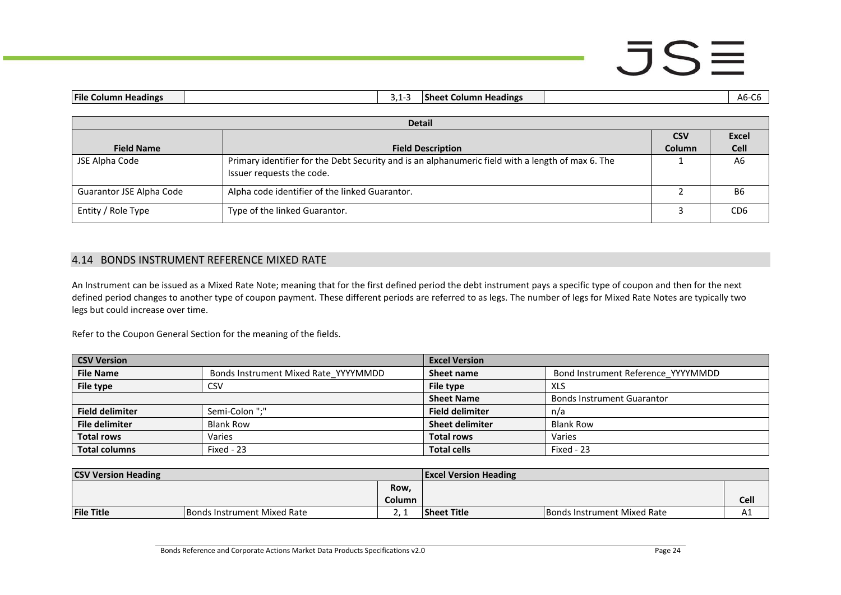### $JSE$

| <b>File Column Headings</b><br><b>Sheet Column Headings</b><br>$3.1 - 3$ |                                                                                                                                |               | $A6-C6$        |
|--------------------------------------------------------------------------|--------------------------------------------------------------------------------------------------------------------------------|---------------|----------------|
|                                                                          |                                                                                                                                |               |                |
|                                                                          | <b>Detail</b>                                                                                                                  |               |                |
|                                                                          |                                                                                                                                | <b>CSV</b>    | <b>Excel</b>   |
| <b>Field Name</b>                                                        | <b>Field Description</b>                                                                                                       | <b>Column</b> | <b>Cell</b>    |
| JSE Alpha Code                                                           | Primary identifier for the Debt Security and is an alphanumeric field with a length of max 6. The<br>Issuer requests the code. |               | A <sub>6</sub> |
| Guarantor JSE Alpha Code                                                 | Alpha code identifier of the linked Guarantor.                                                                                 |               | B6             |

#### 4.14 BONDS INSTRUMENT REFERENCE MIXED RATE

An Instrument can be issued as a Mixed Rate Note; meaning that for the first defined period the debt instrument pays a specific type of coupon and then for the next defined period changes to another type of coupon payment. These different periods are referred to as legs. The number of legs for Mixed Rate Notes are typically two legs but could increase over time.

Entity / Role Type **Type of the linked Guarantor.** 2 CD6

Refer to the Coupon General Section for the meaning of the fields.

| <b>CSV Version</b>     |                                      | <b>Excel Version</b>   |                                    |
|------------------------|--------------------------------------|------------------------|------------------------------------|
| <b>File Name</b>       | Bonds Instrument Mixed Rate YYYYMMDD | Sheet name             | Bond Instrument Reference_YYYYMMDD |
| File type              | CSV                                  | File type              | XLS                                |
|                        |                                      | <b>Sheet Name</b>      | <b>Bonds Instrument Guarantor</b>  |
| <b>Field delimiter</b> | Semi-Colon ";"                       | <b>Field delimiter</b> | n/a                                |
| <b>File delimiter</b>  | <b>Blank Row</b>                     | <b>Sheet delimiter</b> | <b>Blank Row</b>                   |
| <b>Total rows</b>      | Varies                               | <b>Total rows</b>      | Varies                             |
| <b>Total columns</b>   | Fixed - 23                           | <b>Total cells</b>     | Fixed - 23                         |

<span id="page-23-0"></span>

| <b>CSV Version Heading</b> |                                    | <b>Excel Version Heading</b> |                    |                             |      |
|----------------------------|------------------------------------|------------------------------|--------------------|-----------------------------|------|
|                            |                                    | <b>Row</b>                   |                    |                             |      |
|                            |                                    | Column                       |                    |                             | Cell |
| <b>File Title</b>          | <b>Bonds Instrument Mixed Rate</b> |                              | <b>Sheet Title</b> | Bonds Instrument Mixed Rate | ┒┻   |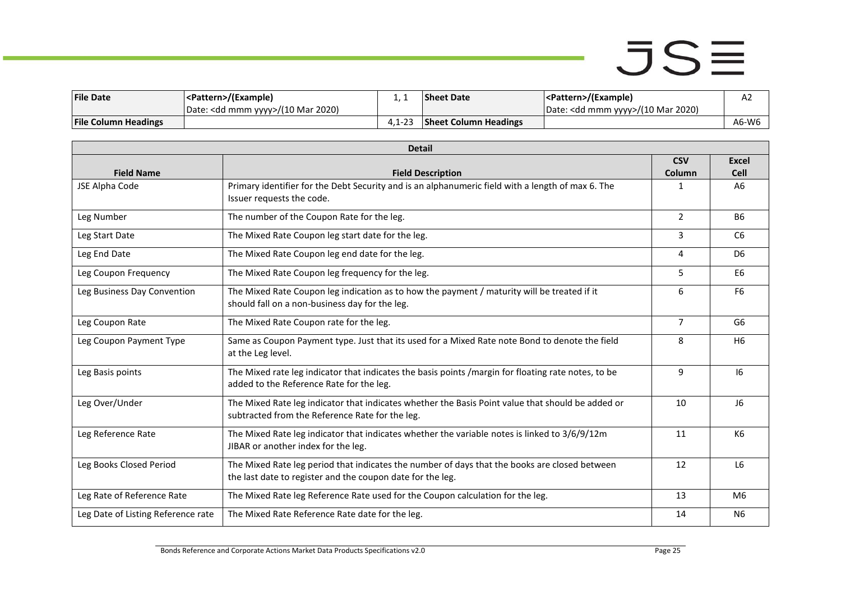| <b>File Date</b>            | <pattern>/(Example)</pattern>                 |            | <b>Sheet Date</b>            | <pattern>/(Example)</pattern>                | A2    |
|-----------------------------|-----------------------------------------------|------------|------------------------------|----------------------------------------------|-------|
|                             | UDate: <dd mmm="" yyyy="">/(10 Mar 2020)</dd> |            |                              | Date: <dd mmm="" yyyy="">/(10 Mar 2020)</dd> |       |
| <b>File Column Headings</b> |                                               | $4.1 - 23$ | <b>Sheet Column Headings</b> |                                              | A6-W6 |

| <b>Detail</b>                      |                                                                                                     |                |                |  |
|------------------------------------|-----------------------------------------------------------------------------------------------------|----------------|----------------|--|
|                                    |                                                                                                     | <b>CSV</b>     | <b>Excel</b>   |  |
| <b>Field Name</b>                  | <b>Field Description</b>                                                                            | Column         | <b>Cell</b>    |  |
| JSE Alpha Code                     | Primary identifier for the Debt Security and is an alphanumeric field with a length of max 6. The   | 1              | A <sub>6</sub> |  |
|                                    | Issuer requests the code.                                                                           |                |                |  |
| Leg Number                         | The number of the Coupon Rate for the leg.                                                          | $\mathcal{P}$  | <b>B6</b>      |  |
| Leg Start Date                     | The Mixed Rate Coupon leg start date for the leg.                                                   | 3              | C <sub>6</sub> |  |
| Leg End Date                       | The Mixed Rate Coupon leg end date for the leg.                                                     | 4              | D <sub>6</sub> |  |
| Leg Coupon Frequency               | The Mixed Rate Coupon leg frequency for the leg.                                                    | 5              | E <sub>6</sub> |  |
| Leg Business Day Convention        | The Mixed Rate Coupon leg indication as to how the payment / maturity will be treated if it         | 6              | F <sub>6</sub> |  |
|                                    | should fall on a non-business day for the leg.                                                      |                |                |  |
| Leg Coupon Rate                    | The Mixed Rate Coupon rate for the leg.                                                             | $\overline{7}$ | G6             |  |
| Leg Coupon Payment Type            | Same as Coupon Payment type. Just that its used for a Mixed Rate note Bond to denote the field      | 8              | H <sub>6</sub> |  |
|                                    | at the Leg level.                                                                                   |                |                |  |
| Leg Basis points                   | The Mixed rate leg indicator that indicates the basis points /margin for floating rate notes, to be | 9              | 16             |  |
|                                    | added to the Reference Rate for the leg.                                                            |                |                |  |
| Leg Over/Under                     | The Mixed Rate leg indicator that indicates whether the Basis Point value that should be added or   | 10             | J6             |  |
|                                    | subtracted from the Reference Rate for the leg.                                                     |                |                |  |
| Leg Reference Rate                 | The Mixed Rate leg indicator that indicates whether the variable notes is linked to 3/6/9/12m       | 11             | K6             |  |
|                                    | JIBAR or another index for the leg.                                                                 |                |                |  |
| Leg Books Closed Period            | The Mixed Rate leg period that indicates the number of days that the books are closed between       | 12             | L <sub>6</sub> |  |
|                                    | the last date to register and the coupon date for the leg.                                          |                |                |  |
| Leg Rate of Reference Rate         | The Mixed Rate leg Reference Rate used for the Coupon calculation for the leg.                      | 13             | M <sub>6</sub> |  |
| Leg Date of Listing Reference rate | The Mixed Rate Reference Rate date for the leg.                                                     | 14             | N <sub>6</sub> |  |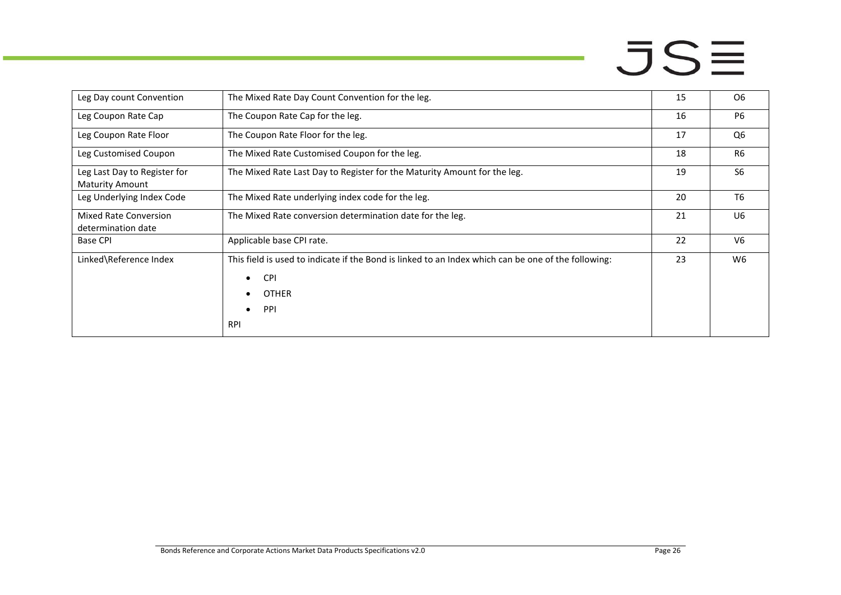| Leg Day count Convention                               | The Mixed Rate Day Count Convention for the leg.                                                                                                                                 | 15 | O <sub>6</sub> |
|--------------------------------------------------------|----------------------------------------------------------------------------------------------------------------------------------------------------------------------------------|----|----------------|
| Leg Coupon Rate Cap                                    | The Coupon Rate Cap for the leg.                                                                                                                                                 | 16 | <b>P6</b>      |
| Leg Coupon Rate Floor                                  | The Coupon Rate Floor for the leg.                                                                                                                                               | 17 | Q <sub>6</sub> |
| Leg Customised Coupon                                  | The Mixed Rate Customised Coupon for the leg.                                                                                                                                    | 18 | <b>R6</b>      |
| Leg Last Day to Register for<br><b>Maturity Amount</b> | The Mixed Rate Last Day to Register for the Maturity Amount for the leg.                                                                                                         |    | S <sub>6</sub> |
| Leg Underlying Index Code                              | The Mixed Rate underlying index code for the leg.                                                                                                                                | 20 | T <sub>6</sub> |
| Mixed Rate Conversion<br>determination date            | The Mixed Rate conversion determination date for the leg.                                                                                                                        | 21 | U <sub>6</sub> |
| <b>Base CPI</b>                                        | Applicable base CPI rate.                                                                                                                                                        | 22 | V <sub>6</sub> |
| Linked\Reference Index                                 | This field is used to indicate if the Bond is linked to an Index which can be one of the following:<br><b>CPI</b><br>$\bullet$<br><b>OTHER</b><br>PPI<br>$\bullet$<br><b>RPI</b> | 23 | W <sub>6</sub> |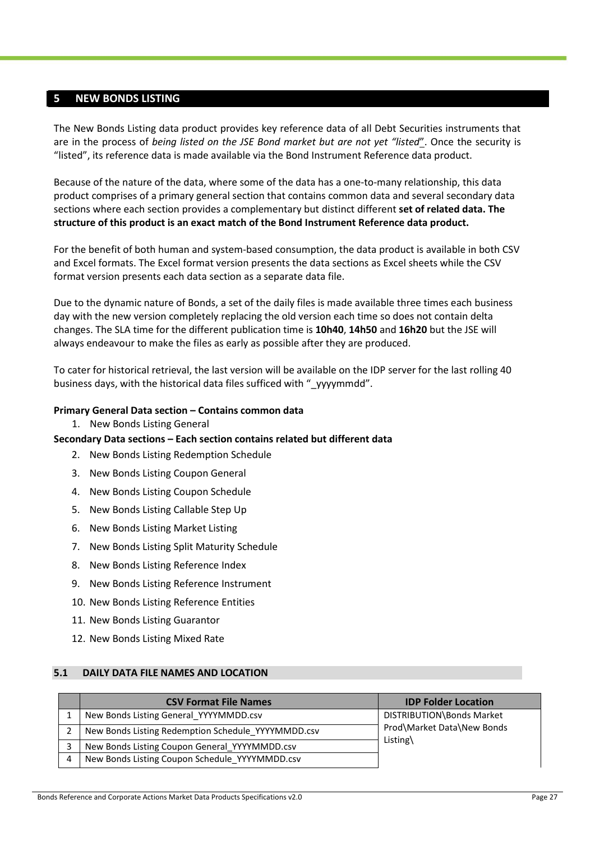#### <span id="page-26-0"></span>**5 NEW BONDS LISTING**

The New Bonds Listing data product provides key reference data of all Debt Securities instruments that are in the process of *being listed on the JSE Bond market but are not yet "listed*". Once the security is "listed", its reference data is made available via the Bond Instrument Reference data product.

Because of the nature of the data, where some of the data has a one-to-many relationship, this data product comprises of a primary general section that contains common data and several secondary data sections where each section provides a complementary but distinct different **set of related data. The structure of this product is an exact match of the Bond Instrument Reference data product.**

For the benefit of both human and system-based consumption, the data product is available in both CSV and Excel formats. The Excel format version presents the data sections as Excel sheets while the CSV format version presents each data section as a separate data file.

Due to the dynamic nature of Bonds, a set of the daily files is made available three times each business day with the new version completely replacing the old version each time so does not contain delta changes. The SLA time for the different publication time is **10h40**, **14h50** and **16h20** but the JSE will always endeavour to make the files as early as possible after they are produced.

To cater for historical retrieval, the last version will be available on the IDP server for the last rolling 40 business days, with the historical data files sufficed with " yyyymmdd".

#### **Primary General Data section – Contains common data**

1. New Bonds Listing General

#### **Secondary Data sections – Each section contains related but different data**

- 2. New Bonds Listing Redemption Schedule
- 3. New Bonds Listing Coupon General
- 4. New Bonds Listing Coupon Schedule
- 5. New Bonds Listing Callable Step Up
- 6. New Bonds Listing Market Listing
- 7. New Bonds Listing Split Maturity Schedule
- 8. New Bonds Listing Reference Index
- 9. New Bonds Listing Reference Instrument
- 10. New Bonds Listing Reference Entities
- 11. New Bonds Listing Guarantor
- 12. New Bonds Listing Mixed Rate

#### <span id="page-26-1"></span>**5.1 DAILY DATA FILE NAMES AND LOCATION**

|   | <b>CSV Format File Names</b>                       | <b>IDP Folder Location</b> |
|---|----------------------------------------------------|----------------------------|
|   | New Bonds Listing General YYYYMMDD.csv             | DISTRIBUTION\Bonds Market  |
|   | New Bonds Listing Redemption Schedule YYYYMMDD.csv | Prod\Market Data\New Bonds |
| 3 | New Bonds Listing Coupon General YYYYMMDD.csv      | Listing $\langle$          |
| 4 | New Bonds Listing Coupon Schedule YYYYMMDD.csv     |                            |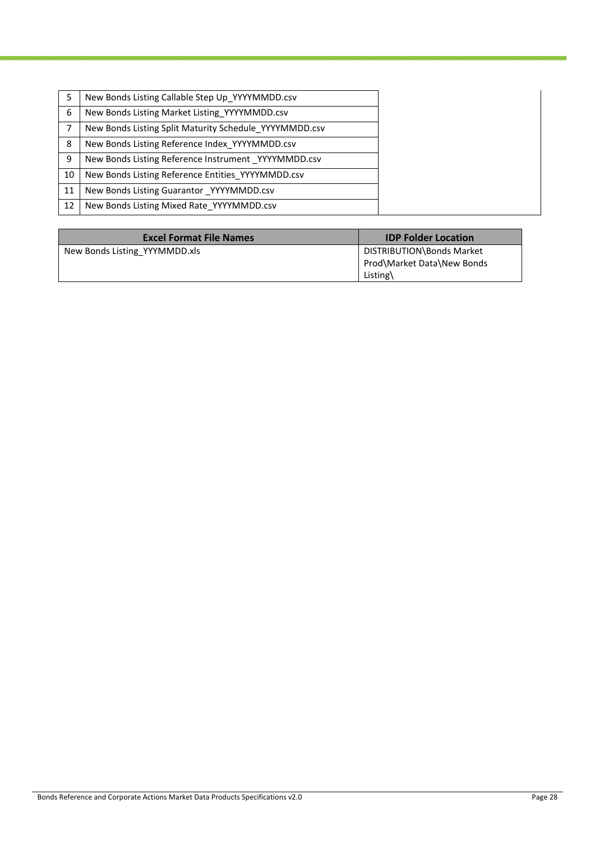|    | New Bonds Listing Callable Step Up YYYYMMDD.csv        |
|----|--------------------------------------------------------|
| 6  | New Bonds Listing Market Listing YYYYMMDD.csv          |
|    | New Bonds Listing Split Maturity Schedule YYYYMMDD.csv |
| 8  | New Bonds Listing Reference Index YYYYMMDD.csv         |
| 9  | New Bonds Listing Reference Instrument YYYYMMDD.csv    |
| 10 | New Bonds Listing Reference Entities YYYYMMDD.csv      |
| 11 | New Bonds Listing Guarantor YYYYMMDD.csv               |
| 12 | New Bonds Listing Mixed Rate YYYYMMDD.csv              |

| <b>Excel Format File Names</b> | <b>IDP Folder Location</b>                                          |
|--------------------------------|---------------------------------------------------------------------|
| New Bonds Listing YYYMMDD.xls  | DISTRIBUTION\Bonds Market<br>Prod\Market Data\New Bonds<br>Listing\ |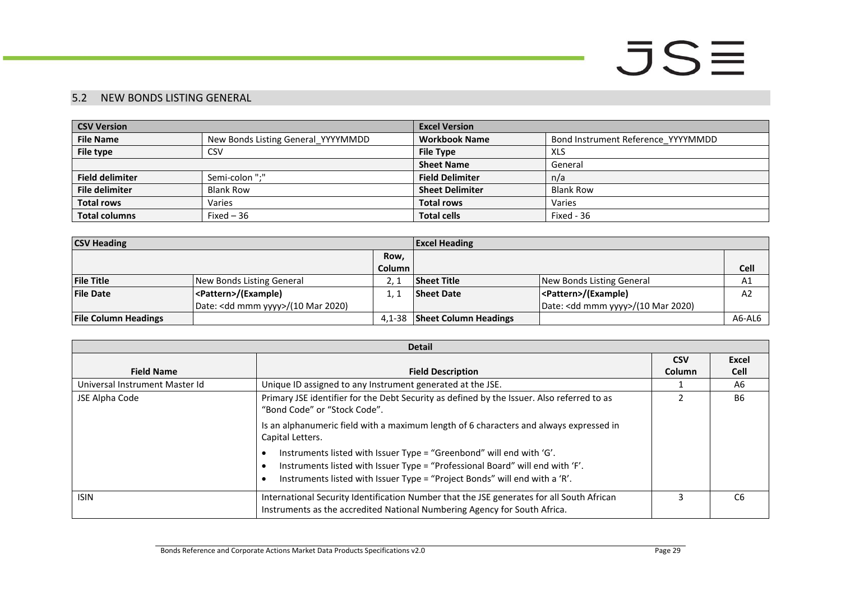#### 5.2 NEW BONDS LISTING GENERAL

| <b>CSV Version</b>     |                                    | <b>Excel Version</b>   |                                    |  |
|------------------------|------------------------------------|------------------------|------------------------------------|--|
| <b>File Name</b>       | New Bonds Listing General YYYYMMDD | <b>Workbook Name</b>   | Bond Instrument Reference YYYYMMDD |  |
| File type              | <b>CSV</b>                         | <b>File Type</b>       | XLS                                |  |
|                        |                                    | <b>Sheet Name</b>      | General                            |  |
| <b>Field delimiter</b> | Semi-colon ":"                     | <b>Field Delimiter</b> | n/a                                |  |
| <b>File delimiter</b>  | <b>Blank Row</b>                   | <b>Sheet Delimiter</b> | <b>Blank Row</b>                   |  |
| <b>Total rows</b>      | Varies                             | <b>Total rows</b>      | Varies                             |  |
| <b>Total columns</b>   | Fixed $-36$                        | <b>Total cells</b>     | Fixed - 36                         |  |

| <b>CSV Heading</b>          |                                              |               | <b>Excel Heading</b>         |                                              |        |  |
|-----------------------------|----------------------------------------------|---------------|------------------------------|----------------------------------------------|--------|--|
|                             |                                              | Row.          |                              |                                              |        |  |
|                             |                                              | <b>Column</b> |                              |                                              | Cell   |  |
| <b>File Title</b>           | New Bonds Listing General                    |               | <b>Sheet Title</b>           | New Bonds Listing General                    | A1     |  |
| <b>File Date</b>            | <pattern>/(Example)</pattern>                |               | <b>Sheet Date</b>            | <pattern>/(Example)</pattern>                | A2     |  |
|                             | Date: <dd mmm="" yyyy="">/(10 Mar 2020)</dd> |               |                              | Date: <dd mmm="" yyyy="">/(10 Mar 2020)</dd> |        |  |
| <b>File Column Headings</b> |                                              | 4.1-38        | <b>Sheet Column Headings</b> |                                              | A6-AL6 |  |

<span id="page-28-0"></span>

| <b>Detail</b>                  |                                                                                                                                                                                                                                     |        |                |  |  |
|--------------------------------|-------------------------------------------------------------------------------------------------------------------------------------------------------------------------------------------------------------------------------------|--------|----------------|--|--|
| <b>CSV</b>                     |                                                                                                                                                                                                                                     |        |                |  |  |
| <b>Field Name</b>              | <b>Field Description</b>                                                                                                                                                                                                            | Column | <b>Cell</b>    |  |  |
| Universal Instrument Master Id | Unique ID assigned to any Instrument generated at the JSE.                                                                                                                                                                          |        | A6             |  |  |
| JSE Alpha Code                 | Primary JSE identifier for the Debt Security as defined by the Issuer. Also referred to as<br>"Bond Code" or "Stock Code".                                                                                                          |        | <b>B6</b>      |  |  |
|                                | Is an alphanumeric field with a maximum length of 6 characters and always expressed in<br>Capital Letters.                                                                                                                          |        |                |  |  |
|                                | Instruments listed with Issuer Type = "Greenbond" will end with 'G'.<br>Instruments listed with Issuer Type = "Professional Board" will end with 'F'.<br>Instruments listed with Issuer Type = "Project Bonds" will end with a 'R'. |        |                |  |  |
| <b>ISIN</b>                    | International Security Identification Number that the JSE generates for all South African<br>Instruments as the accredited National Numbering Agency for South Africa.                                                              |        | C <sub>6</sub> |  |  |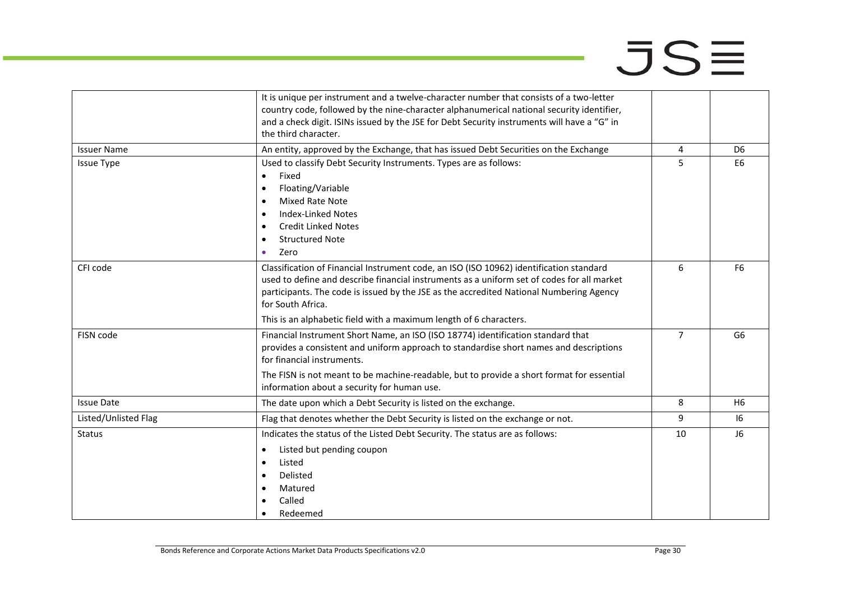|                      | It is unique per instrument and a twelve-character number that consists of a two-letter<br>country code, followed by the nine-character alphanumerical national security identifier,<br>and a check digit. ISINs issued by the JSE for Debt Security instruments will have a "G" in                                                                                         |                |                |
|----------------------|-----------------------------------------------------------------------------------------------------------------------------------------------------------------------------------------------------------------------------------------------------------------------------------------------------------------------------------------------------------------------------|----------------|----------------|
|                      | the third character.                                                                                                                                                                                                                                                                                                                                                        |                |                |
| <b>Issuer Name</b>   | An entity, approved by the Exchange, that has issued Debt Securities on the Exchange                                                                                                                                                                                                                                                                                        | 4              | D <sub>6</sub> |
| <b>Issue Type</b>    | Used to classify Debt Security Instruments. Types are as follows:<br>Fixed<br>$\bullet$<br>Floating/Variable<br>$\bullet$<br><b>Mixed Rate Note</b><br>$\bullet$<br><b>Index-Linked Notes</b><br>$\bullet$<br><b>Credit Linked Notes</b><br>٠<br><b>Structured Note</b><br>Zero<br>٠                                                                                        | 5              | E <sub>6</sub> |
| CFI code             | Classification of Financial Instrument code, an ISO (ISO 10962) identification standard<br>used to define and describe financial instruments as a uniform set of codes for all market<br>participants. The code is issued by the JSE as the accredited National Numbering Agency<br>for South Africa.<br>This is an alphabetic field with a maximum length of 6 characters. | 6              | F <sub>6</sub> |
| FISN code            | Financial Instrument Short Name, an ISO (ISO 18774) identification standard that<br>provides a consistent and uniform approach to standardise short names and descriptions<br>for financial instruments.<br>The FISN is not meant to be machine-readable, but to provide a short format for essential<br>information about a security for human use.                        | $\overline{7}$ | G <sub>6</sub> |
| <b>Issue Date</b>    | The date upon which a Debt Security is listed on the exchange.                                                                                                                                                                                                                                                                                                              | 8              | H <sub>6</sub> |
| Listed/Unlisted Flag | Flag that denotes whether the Debt Security is listed on the exchange or not.                                                                                                                                                                                                                                                                                               | 9              | 16             |
| <b>Status</b>        | Indicates the status of the Listed Debt Security. The status are as follows:<br>Listed but pending coupon<br>$\bullet$<br>Listed<br>٠<br>Delisted<br>٠<br>Matured<br>Called<br>Redeemed                                                                                                                                                                                     | 10             | J6             |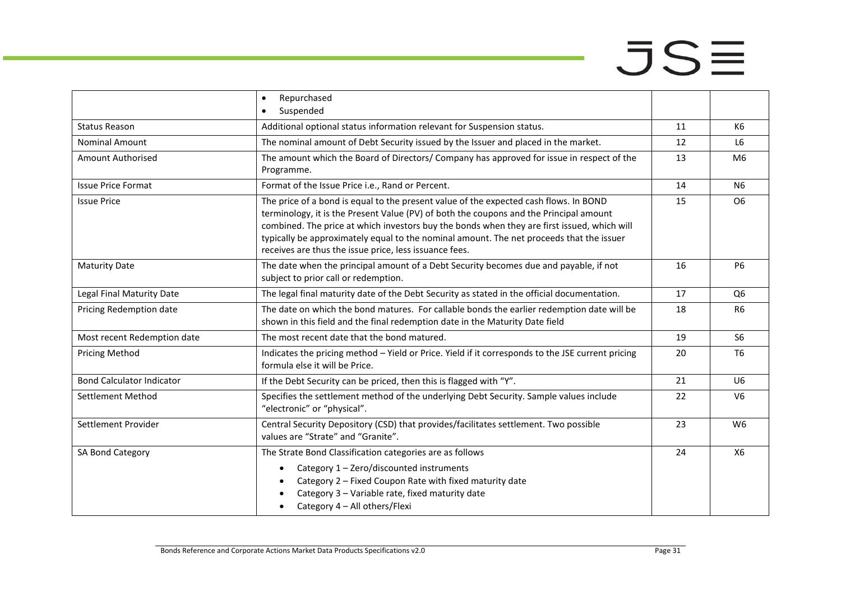# $JSE$

|                                  | Repurchased<br>$\bullet$<br>Suspended<br>$\bullet$                                                                                                                                                                                                                                                                                                                                                                                   |    |                |
|----------------------------------|--------------------------------------------------------------------------------------------------------------------------------------------------------------------------------------------------------------------------------------------------------------------------------------------------------------------------------------------------------------------------------------------------------------------------------------|----|----------------|
|                                  |                                                                                                                                                                                                                                                                                                                                                                                                                                      |    |                |
| <b>Status Reason</b>             | Additional optional status information relevant for Suspension status.                                                                                                                                                                                                                                                                                                                                                               | 11 | K6             |
| <b>Nominal Amount</b>            | The nominal amount of Debt Security issued by the Issuer and placed in the market.                                                                                                                                                                                                                                                                                                                                                   | 12 | L <sub>6</sub> |
| Amount Authorised                | The amount which the Board of Directors/ Company has approved for issue in respect of the<br>Programme.                                                                                                                                                                                                                                                                                                                              | 13 | M <sub>6</sub> |
| <b>Issue Price Format</b>        | Format of the Issue Price i.e., Rand or Percent.                                                                                                                                                                                                                                                                                                                                                                                     | 14 | N <sub>6</sub> |
| <b>Issue Price</b>               | The price of a bond is equal to the present value of the expected cash flows. In BOND<br>terminology, it is the Present Value (PV) of both the coupons and the Principal amount<br>combined. The price at which investors buy the bonds when they are first issued, which will<br>typically be approximately equal to the nominal amount. The net proceeds that the issuer<br>receives are thus the issue price, less issuance fees. |    | O <sub>6</sub> |
| <b>Maturity Date</b>             | The date when the principal amount of a Debt Security becomes due and payable, if not<br>subject to prior call or redemption.                                                                                                                                                                                                                                                                                                        |    | <b>P6</b>      |
| Legal Final Maturity Date        | The legal final maturity date of the Debt Security as stated in the official documentation.                                                                                                                                                                                                                                                                                                                                          |    | Q <sub>6</sub> |
| Pricing Redemption date          | The date on which the bond matures. For callable bonds the earlier redemption date will be<br>shown in this field and the final redemption date in the Maturity Date field                                                                                                                                                                                                                                                           |    | <b>R6</b>      |
| Most recent Redemption date      | The most recent date that the bond matured.                                                                                                                                                                                                                                                                                                                                                                                          |    | S <sub>6</sub> |
| <b>Pricing Method</b>            | Indicates the pricing method - Yield or Price. Yield if it corresponds to the JSE current pricing<br>formula else it will be Price.                                                                                                                                                                                                                                                                                                  |    | T <sub>6</sub> |
| <b>Bond Calculator Indicator</b> | If the Debt Security can be priced, then this is flagged with "Y".                                                                                                                                                                                                                                                                                                                                                                   | 21 | U <sub>6</sub> |
| Settlement Method                | Specifies the settlement method of the underlying Debt Security. Sample values include<br>22<br>"electronic" or "physical".                                                                                                                                                                                                                                                                                                          |    | V <sub>6</sub> |
| Settlement Provider              | Central Security Depository (CSD) that provides/facilitates settlement. Two possible<br>values are "Strate" and "Granite".                                                                                                                                                                                                                                                                                                           |    | W <sub>6</sub> |
| SA Bond Category                 | The Strate Bond Classification categories are as follows<br>Category 1 - Zero/discounted instruments<br>$\bullet$<br>Category 2 - Fixed Coupon Rate with fixed maturity date<br>Category 3 - Variable rate, fixed maturity date<br>Category 4 - All others/Flexi                                                                                                                                                                     | 24 | X6             |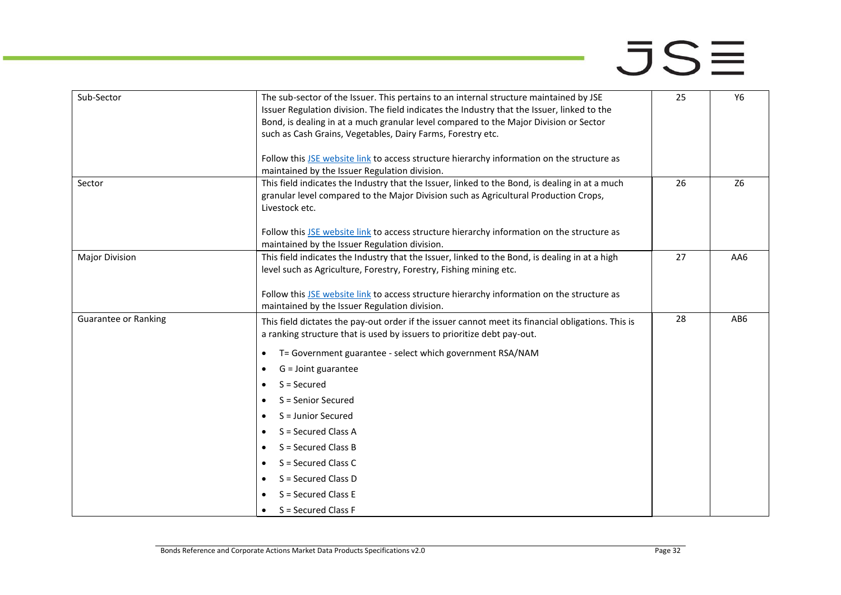| Sub-Sector            | The sub-sector of the Issuer. This pertains to an internal structure maintained by JSE<br>Issuer Regulation division. The field indicates the Industry that the Issuer, linked to the<br>Bond, is dealing in at a much granular level compared to the Major Division or Sector<br>such as Cash Grains, Vegetables, Dairy Farms, Forestry etc. |    | Y6             |
|-----------------------|-----------------------------------------------------------------------------------------------------------------------------------------------------------------------------------------------------------------------------------------------------------------------------------------------------------------------------------------------|----|----------------|
|                       | Follow this JSE website link to access structure hierarchy information on the structure as<br>maintained by the Issuer Regulation division.                                                                                                                                                                                                   |    |                |
| Sector                | This field indicates the Industry that the Issuer, linked to the Bond, is dealing in at a much<br>granular level compared to the Major Division such as Agricultural Production Crops,<br>Livestock etc.                                                                                                                                      | 26 | Z <sub>6</sub> |
|                       | Follow this JSE website link to access structure hierarchy information on the structure as<br>maintained by the Issuer Regulation division.                                                                                                                                                                                                   |    |                |
| <b>Major Division</b> | This field indicates the Industry that the Issuer, linked to the Bond, is dealing in at a high<br>level such as Agriculture, Forestry, Forestry, Fishing mining etc.                                                                                                                                                                          | 27 | AA6            |
|                       | Follow this JSE website link to access structure hierarchy information on the structure as<br>maintained by the Issuer Regulation division.                                                                                                                                                                                                   |    |                |
| Guarantee or Ranking  | This field dictates the pay-out order if the issuer cannot meet its financial obligations. This is<br>a ranking structure that is used by issuers to prioritize debt pay-out.                                                                                                                                                                 | 28 | AB6            |
|                       | T= Government guarantee - select which government RSA/NAM<br>٠                                                                                                                                                                                                                                                                                |    |                |
|                       | $G =$ Joint guarantee<br>٠                                                                                                                                                                                                                                                                                                                    |    |                |
|                       | $S =$ Secured<br>$\bullet$                                                                                                                                                                                                                                                                                                                    |    |                |
|                       | S = Senior Secured<br>$\bullet$                                                                                                                                                                                                                                                                                                               |    |                |
|                       | S = Junior Secured<br>$\bullet$                                                                                                                                                                                                                                                                                                               |    |                |
|                       | S = Secured Class A                                                                                                                                                                                                                                                                                                                           |    |                |
|                       | $S =$ Secured Class B<br>$\bullet$                                                                                                                                                                                                                                                                                                            |    |                |
|                       | S = Secured Class C<br>$\bullet$                                                                                                                                                                                                                                                                                                              |    |                |
|                       | S = Secured Class D                                                                                                                                                                                                                                                                                                                           |    |                |
|                       | $S =$ Secured Class E                                                                                                                                                                                                                                                                                                                         |    |                |
|                       | $S =$ Secured Class F                                                                                                                                                                                                                                                                                                                         |    |                |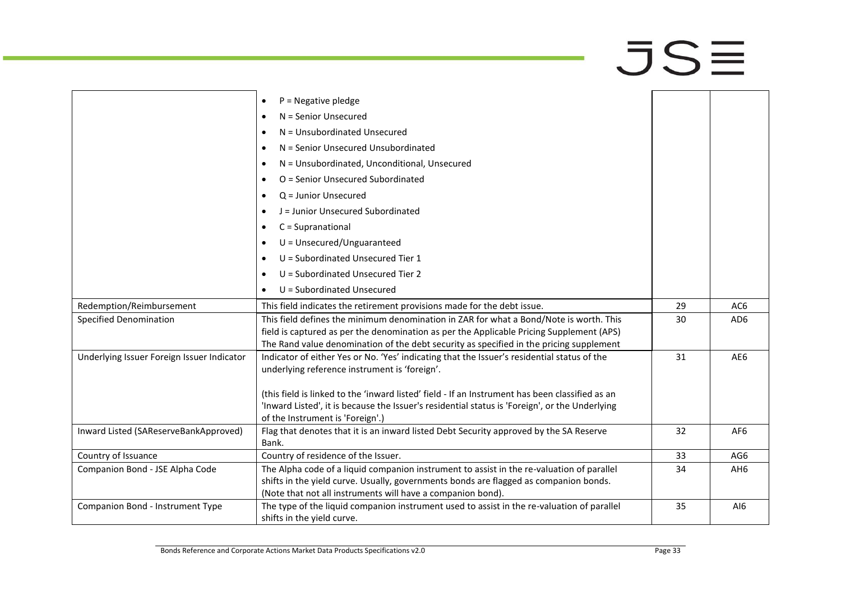|                                            | $P = Negative$ pledge<br>$\bullet$                                                                                                 |    |                 |
|--------------------------------------------|------------------------------------------------------------------------------------------------------------------------------------|----|-----------------|
|                                            | $N =$ Senior Unsecured<br>$\bullet$                                                                                                |    |                 |
|                                            | N = Unsubordinated Unsecured<br>$\bullet$                                                                                          |    |                 |
|                                            | N = Senior Unsecured Unsubordinated<br>$\bullet$                                                                                   |    |                 |
|                                            | N = Unsubordinated, Unconditional, Unsecured<br>$\bullet$                                                                          |    |                 |
|                                            | O = Senior Unsecured Subordinated<br>$\bullet$                                                                                     |    |                 |
|                                            | $Q =$ Junior Unsecured<br>$\bullet$                                                                                                |    |                 |
|                                            | J = Junior Unsecured Subordinated<br>$\bullet$                                                                                     |    |                 |
|                                            | $C = Supranational$<br>$\bullet$                                                                                                   |    |                 |
|                                            | $U =$ Unsecured/Unguaranteed<br>$\bullet$                                                                                          |    |                 |
|                                            |                                                                                                                                    |    |                 |
|                                            | U = Subordinated Unsecured Tier 1<br>$\bullet$                                                                                     |    |                 |
|                                            | U = Subordinated Unsecured Tier 2<br>$\bullet$                                                                                     |    |                 |
|                                            | U = Subordinated Unsecured<br>$\bullet$                                                                                            |    |                 |
| Redemption/Reimbursement                   | This field indicates the retirement provisions made for the debt issue.                                                            | 29 | AC <sub>6</sub> |
| <b>Specified Denomination</b>              | This field defines the minimum denomination in ZAR for what a Bond/Note is worth. This                                             | 30 | AD <sub>6</sub> |
|                                            | field is captured as per the denomination as per the Applicable Pricing Supplement (APS)                                           |    |                 |
|                                            | The Rand value denomination of the debt security as specified in the pricing supplement                                            |    |                 |
| Underlying Issuer Foreign Issuer Indicator | Indicator of either Yes or No. 'Yes' indicating that the Issuer's residential status of the                                        | 31 | AE6             |
|                                            | underlying reference instrument is 'foreign'.                                                                                      |    |                 |
|                                            |                                                                                                                                    |    |                 |
|                                            | (this field is linked to the 'inward listed' field - If an Instrument has been classified as an                                    |    |                 |
|                                            | 'Inward Listed', it is because the Issuer's residential status is 'Foreign', or the Underlying<br>of the Instrument is 'Foreign'.) |    |                 |
| Inward Listed (SAReserveBankApproved)      | Flag that denotes that it is an inward listed Debt Security approved by the SA Reserve                                             | 32 | AF <sub>6</sub> |
|                                            | Bank.                                                                                                                              |    |                 |
| Country of Issuance                        | Country of residence of the Issuer.                                                                                                | 33 | AG6             |
| Companion Bond - JSE Alpha Code            | The Alpha code of a liquid companion instrument to assist in the re-valuation of parallel                                          | 34 | AH <sub>6</sub> |
|                                            | shifts in the yield curve. Usually, governments bonds are flagged as companion bonds.                                              |    |                 |
|                                            | (Note that not all instruments will have a companion bond).                                                                        |    |                 |
| Companion Bond - Instrument Type           | The type of the liquid companion instrument used to assist in the re-valuation of parallel                                         | 35 | AI6             |
|                                            | shifts in the yield curve.                                                                                                         |    |                 |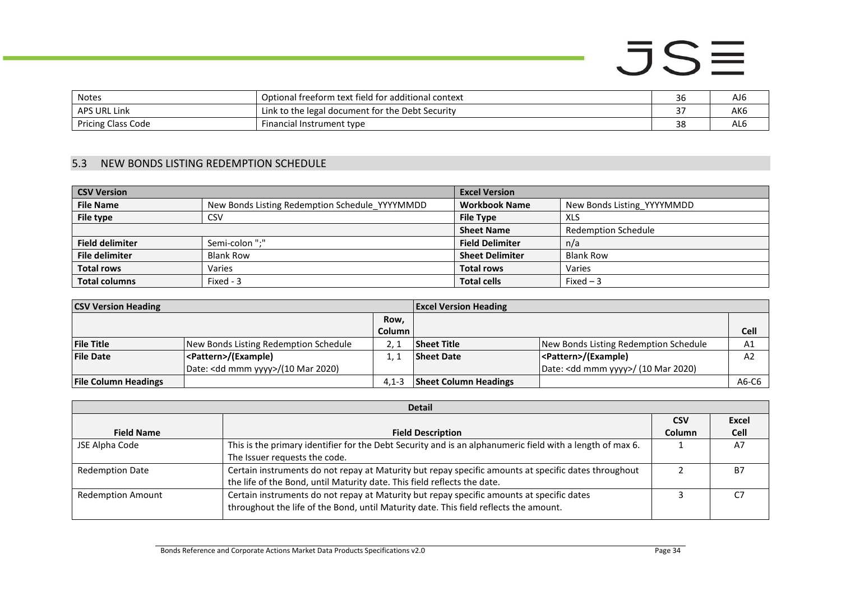| <b>Notes</b>              | Optional freeform text field for additional context   | 36         | AJ6             |
|---------------------------|-------------------------------------------------------|------------|-----------------|
| <b>APS URL Link</b>       | k to the legal document for the Debt Security<br>.ink | $\sim$ $-$ | AK <sub>6</sub> |
| <b>Pricing Class Code</b> | Financial Instrument type                             | າດ<br>30   | AL6             |

#### 5.3 NEW BONDS LISTING REDEMPTION SCHEDULE

| <b>CSV Version</b>     |                                                | <b>Excel Version</b>   |                            |
|------------------------|------------------------------------------------|------------------------|----------------------------|
| <b>File Name</b>       | New Bonds Listing Redemption Schedule YYYYMMDD | <b>Workbook Name</b>   | New Bonds Listing YYYYMMDD |
| File type              | CSV                                            | <b>File Type</b>       | <b>XLS</b>                 |
|                        |                                                | <b>Sheet Name</b>      | <b>Redemption Schedule</b> |
| <b>Field delimiter</b> | Semi-colon ":"                                 | <b>Field Delimiter</b> | n/a                        |
| <b>File delimiter</b>  | <b>Blank Row</b>                               | <b>Sheet Delimiter</b> | <b>Blank Row</b>           |
| <b>Total rows</b>      | Varies                                         | <b>Total rows</b>      | Varies                     |
| <b>Total columns</b>   | Fixed - 3                                      | <b>Total cells</b>     | Fixed $-3$                 |

| <b>CSV Version Heading</b><br><b>Excel Version Heading</b> |                                              |           |                              |                                               |             |
|------------------------------------------------------------|----------------------------------------------|-----------|------------------------------|-----------------------------------------------|-------------|
|                                                            |                                              | Row,      |                              |                                               |             |
|                                                            |                                              | Column i  |                              |                                               | <b>Cell</b> |
| <b>File Title</b>                                          | New Bonds Listing Redemption Schedule        |           | <b>Sheet Title</b>           | New Bonds Listing Redemption Schedule         | A1          |
| <b>File Date</b>                                           | <pattern>/(Example)</pattern>                |           | <b>Sheet Date</b>            | <pattern>/(Example)</pattern>                 | A2          |
|                                                            | Date: <dd mmm="" yyyy="">/(10 Mar 2020)</dd> |           |                              | Date: <dd mmm="" yyyy="">/ (10 Mar 2020)</dd> |             |
| <b>File Column Headings</b>                                |                                              | $4.1 - 3$ | <b>Sheet Column Headings</b> |                                               | A6-C6       |

<span id="page-33-0"></span>

| <b>Detail</b>            |                                                                                                           |               |           |  |  |
|--------------------------|-----------------------------------------------------------------------------------------------------------|---------------|-----------|--|--|
|                          |                                                                                                           | <b>CSV</b>    | Excel     |  |  |
| <b>Field Name</b>        | <b>Field Description</b>                                                                                  | <b>Column</b> | Cell      |  |  |
| JSE Alpha Code           | This is the primary identifier for the Debt Security and is an alphanumeric field with a length of max 6. |               | A7        |  |  |
|                          | The Issuer requests the code.                                                                             |               |           |  |  |
| <b>Redemption Date</b>   | Certain instruments do not repay at Maturity but repay specific amounts at specific dates throughout      |               | <b>B7</b> |  |  |
|                          | the life of the Bond, until Maturity date. This field reflects the date.                                  |               |           |  |  |
| <b>Redemption Amount</b> | Certain instruments do not repay at Maturity but repay specific amounts at specific dates                 |               | C7        |  |  |
|                          | throughout the life of the Bond, until Maturity date. This field reflects the amount.                     |               |           |  |  |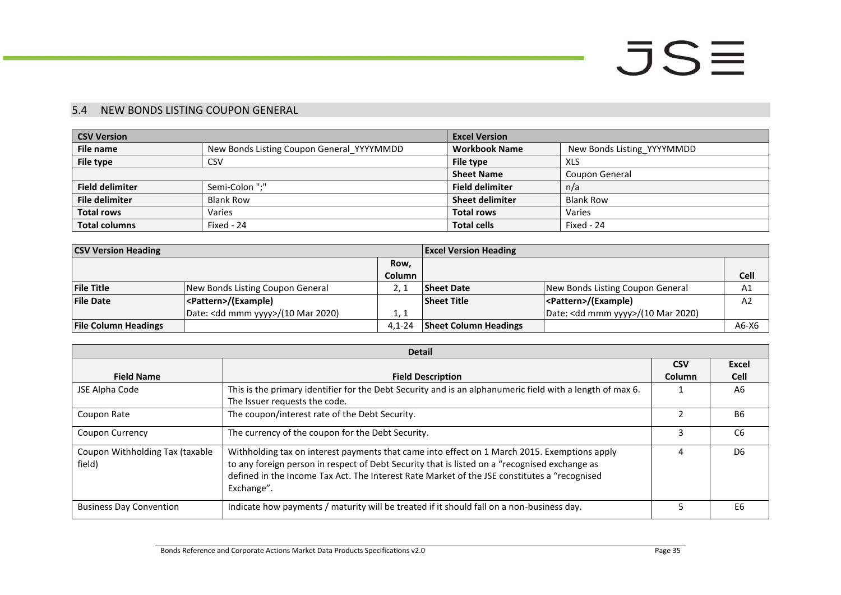#### 5.4 NEW BONDS LISTING COUPON GENERAL

| <b>CSV Version</b>     |                                           | <b>Excel Version</b>   |                            |
|------------------------|-------------------------------------------|------------------------|----------------------------|
| File name              | New Bonds Listing Coupon General YYYYMMDD | <b>Workbook Name</b>   | New Bonds Listing YYYYMMDD |
| File type              | <b>CSV</b>                                | File type              | <b>XLS</b>                 |
|                        |                                           | <b>Sheet Name</b>      | Coupon General             |
| <b>Field delimiter</b> | Semi-Colon ":"                            | <b>Field delimiter</b> | n/a                        |
| <b>File delimiter</b>  | <b>Blank Row</b>                          | <b>Sheet delimiter</b> | <b>Blank Row</b>           |
| <b>Total rows</b>      | Varies                                    | <b>Total rows</b>      | Varies                     |
| <b>Total columns</b>   | Fixed - 24                                | <b>Total cells</b>     | Fixed - 24                 |

| <b>CSV Version Heading</b>  |                                              |               | <b>Excel Version Heading</b> |                                              |         |
|-----------------------------|----------------------------------------------|---------------|------------------------------|----------------------------------------------|---------|
|                             |                                              | Row,          |                              |                                              |         |
|                             |                                              | <b>Column</b> |                              |                                              | Cell    |
| <b>File Title</b>           | New Bonds Listing Coupon General             |               | <b>Sheet Date</b>            | New Bonds Listing Coupon General             | A1      |
| <b>File Date</b>            | <pattern>/(Example)</pattern>                |               | <b>Sheet Title</b>           | <pattern>/(Example)</pattern>                | A2      |
|                             | Date: <dd mmm="" yyyy="">/(10 Mar 2020)</dd> | 1.1           |                              | Date: <dd mmm="" yyyy="">/(10 Mar 2020)</dd> |         |
| <b>File Column Headings</b> |                                              | $4.1 - 24$    | <b>Sheet Column Headings</b> |                                              | $A6-X6$ |

<span id="page-34-0"></span>

|                                           | <b>Detail</b>                                                                                                                                                                                                                                                                                               |            |                |
|-------------------------------------------|-------------------------------------------------------------------------------------------------------------------------------------------------------------------------------------------------------------------------------------------------------------------------------------------------------------|------------|----------------|
|                                           |                                                                                                                                                                                                                                                                                                             | <b>CSV</b> | Excel          |
| <b>Field Name</b>                         | <b>Field Description</b>                                                                                                                                                                                                                                                                                    | Column     | <b>Cell</b>    |
| JSE Alpha Code                            | This is the primary identifier for the Debt Security and is an alphanumeric field with a length of max 6.<br>The Issuer requests the code.                                                                                                                                                                  |            | A <sub>6</sub> |
| Coupon Rate                               | The coupon/interest rate of the Debt Security.                                                                                                                                                                                                                                                              |            | B <sub>6</sub> |
| <b>Coupon Currency</b>                    | The currency of the coupon for the Debt Security.                                                                                                                                                                                                                                                           |            | C <sub>6</sub> |
| Coupon Withholding Tax (taxable<br>field) | Withholding tax on interest payments that came into effect on 1 March 2015. Exemptions apply<br>to any foreign person in respect of Debt Security that is listed on a "recognised exchange as<br>defined in the Income Tax Act. The Interest Rate Market of the JSE constitutes a "recognised<br>Exchange". |            | D <sub>6</sub> |
| <b>Business Day Convention</b>            | Indicate how payments / maturity will be treated if it should fall on a non-business day.                                                                                                                                                                                                                   |            | E <sub>6</sub> |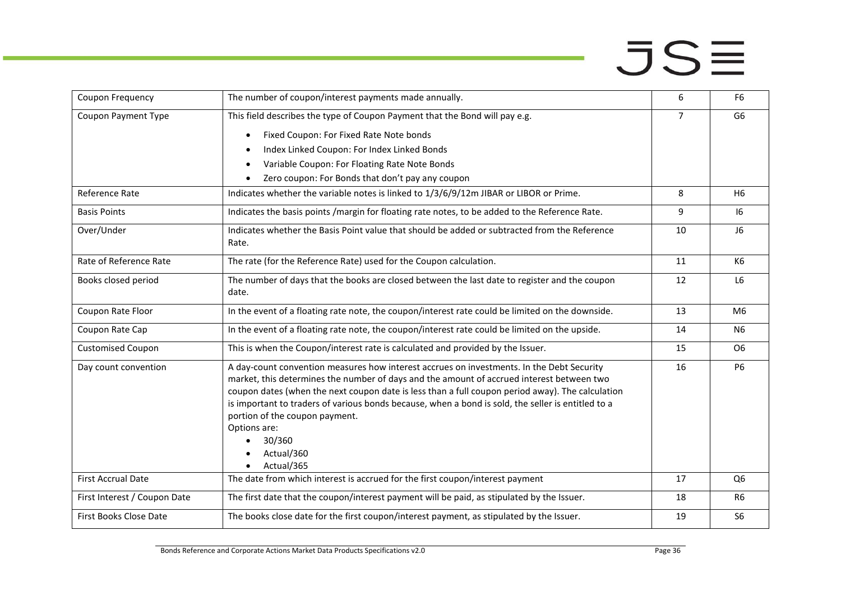| Coupon Frequency             | The number of coupon/interest payments made annually.                                              | 6              | F <sub>6</sub> |
|------------------------------|----------------------------------------------------------------------------------------------------|----------------|----------------|
| Coupon Payment Type          | This field describes the type of Coupon Payment that the Bond will pay e.g.                        | $\overline{7}$ | G <sub>6</sub> |
|                              | Fixed Coupon: For Fixed Rate Note bonds<br>$\bullet$                                               |                |                |
|                              | Index Linked Coupon: For Index Linked Bonds                                                        |                |                |
|                              | Variable Coupon: For Floating Rate Note Bonds<br>$\bullet$                                         |                |                |
|                              | Zero coupon: For Bonds that don't pay any coupon                                                   |                |                |
| Reference Rate               | Indicates whether the variable notes is linked to 1/3/6/9/12m JIBAR or LIBOR or Prime.             | 8              | H <sub>6</sub> |
| <b>Basis Points</b>          | Indicates the basis points /margin for floating rate notes, to be added to the Reference Rate.     | 9              | 16             |
| Over/Under                   | Indicates whether the Basis Point value that should be added or subtracted from the Reference      | 10             | J6             |
|                              | Rate.                                                                                              |                |                |
| Rate of Reference Rate       | The rate (for the Reference Rate) used for the Coupon calculation.                                 | 11             | K6             |
| Books closed period          | The number of days that the books are closed between the last date to register and the coupon      | 12             | L <sub>6</sub> |
|                              | date.                                                                                              |                |                |
| Coupon Rate Floor            | In the event of a floating rate note, the coupon/interest rate could be limited on the downside.   | 13             | M <sub>6</sub> |
| Coupon Rate Cap              | In the event of a floating rate note, the coupon/interest rate could be limited on the upside.     | 14             | N <sub>6</sub> |
| <b>Customised Coupon</b>     | This is when the Coupon/interest rate is calculated and provided by the Issuer.                    | 15             | O <sub>6</sub> |
| Day count convention         | A day-count convention measures how interest accrues on investments. In the Debt Security          | 16             | <b>P6</b>      |
|                              | market, this determines the number of days and the amount of accrued interest between two          |                |                |
|                              | coupon dates (when the next coupon date is less than a full coupon period away). The calculation   |                |                |
|                              | is important to traders of various bonds because, when a bond is sold, the seller is entitled to a |                |                |
|                              | portion of the coupon payment.                                                                     |                |                |
|                              | Options are:                                                                                       |                |                |
|                              | 30/360                                                                                             |                |                |
|                              | Actual/360<br>Actual/365                                                                           |                |                |
| <b>First Accrual Date</b>    |                                                                                                    | 17             | Q <sub>6</sub> |
|                              | The date from which interest is accrued for the first coupon/interest payment                      |                |                |
| First Interest / Coupon Date | The first date that the coupon/interest payment will be paid, as stipulated by the Issuer.         | 18             | R <sub>6</sub> |
| First Books Close Date       | The books close date for the first coupon/interest payment, as stipulated by the Issuer.           | 19             | S <sub>6</sub> |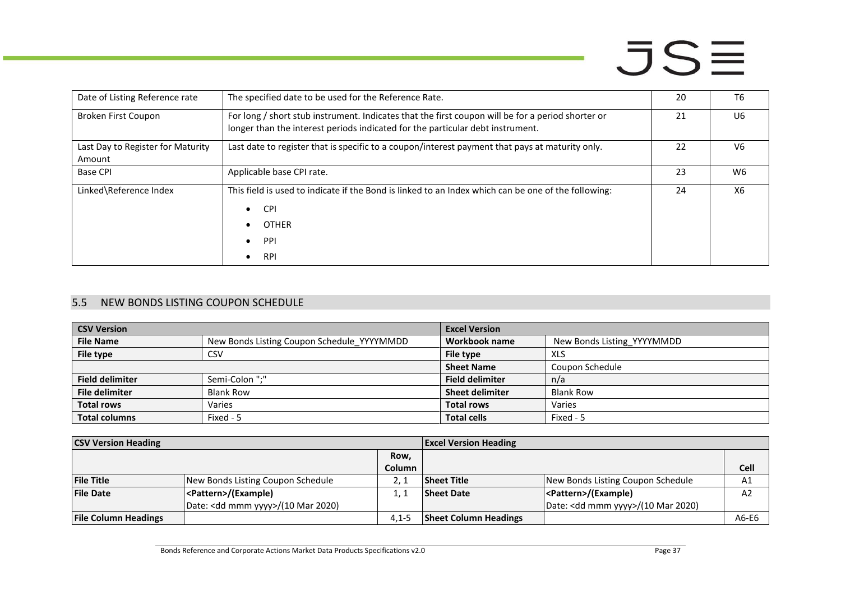| Date of Listing Reference rate              | The specified date to be used for the Reference Rate.                                                                                                                               | 20 | T <sub>6</sub> |
|---------------------------------------------|-------------------------------------------------------------------------------------------------------------------------------------------------------------------------------------|----|----------------|
| Broken First Coupon                         | For long / short stub instrument. Indicates that the first coupon will be for a period shorter or<br>longer than the interest periods indicated for the particular debt instrument. | 21 | U6             |
| Last Day to Register for Maturity<br>Amount | Last date to register that is specific to a coupon/interest payment that pays at maturity only.                                                                                     | 22 | V <sub>6</sub> |
| <b>Base CPI</b>                             | Applicable base CPI rate.                                                                                                                                                           | 23 | W6             |
| Linked\Reference Index                      | This field is used to indicate if the Bond is linked to an Index which can be one of the following:<br><b>CPI</b><br><b>OTHER</b><br>PPI<br><b>RPI</b>                              | 24 | X6             |

#### 5.5 NEW BONDS LISTING COUPON SCHEDULE

| <b>CSV Version</b>     |                                            | <b>Excel Version</b>   |                            |
|------------------------|--------------------------------------------|------------------------|----------------------------|
| <b>File Name</b>       | New Bonds Listing Coupon Schedule_YYYYMMDD | Workbook name          | New Bonds Listing YYYYMMDD |
| File type              | CSV                                        | File type              | XLS                        |
|                        |                                            | <b>Sheet Name</b>      | Coupon Schedule            |
| <b>Field delimiter</b> | Semi-Colon ";"                             | <b>Field delimiter</b> | n/a                        |
| <b>File delimiter</b>  | <b>Blank Row</b>                           | <b>Sheet delimiter</b> | <b>Blank Row</b>           |
| <b>Total rows</b>      | Varies                                     | <b>Total rows</b>      | Varies                     |
| <b>Total columns</b>   | Fixed - 5                                  | <b>Total cells</b>     | Fixed - 5                  |

<span id="page-36-0"></span>

| <b>CSV Version Heading</b>  |                                              |               | <b>Excel Version Heading</b> |                                              |       |
|-----------------------------|----------------------------------------------|---------------|------------------------------|----------------------------------------------|-------|
|                             |                                              | Row,          |                              |                                              |       |
|                             |                                              | <b>Column</b> |                              |                                              | Cell  |
| <b>File Title</b>           | New Bonds Listing Coupon Schedule            |               | <b>Sheet Title</b>           | New Bonds Listing Coupon Schedule            | Α1    |
| <b>File Date</b>            | <pattern>/(Example)</pattern>                |               | <b>Sheet Date</b>            | <pattern>/(Example)</pattern>                | A2    |
|                             | Date: <dd mmm="" yyyy="">/(10 Mar 2020)</dd> |               |                              | Date: <dd mmm="" yyyy="">/(10 Mar 2020)</dd> |       |
| <b>File Column Headings</b> |                                              | $4.1 - 5$     | <b>Sheet Column Headings</b> |                                              | A6-E6 |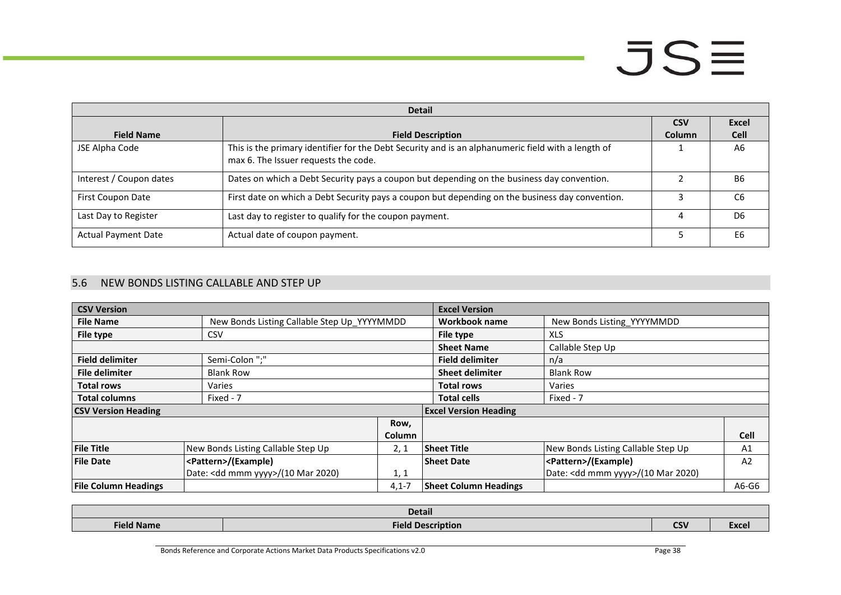|                            | <b>Detail</b>                                                                                                                              |            |                |
|----------------------------|--------------------------------------------------------------------------------------------------------------------------------------------|------------|----------------|
|                            |                                                                                                                                            | <b>CSV</b> | Excel          |
| <b>Field Name</b>          | <b>Field Description</b>                                                                                                                   | Column     | <b>Cell</b>    |
| JSE Alpha Code             | This is the primary identifier for the Debt Security and is an alphanumeric field with a length of<br>max 6. The Issuer requests the code. |            | A6             |
| Interest / Coupon dates    | Dates on which a Debt Security pays a coupon but depending on the business day convention.                                                 |            | <b>B6</b>      |
| <b>First Coupon Date</b>   | First date on which a Debt Security pays a coupon but depending on the business day convention.                                            |            | C6             |
| Last Day to Register       | Last day to register to qualify for the coupon payment.                                                                                    |            | D <sub>6</sub> |
| <b>Actual Payment Date</b> | Actual date of coupon payment.                                                                                                             |            | E6             |

#### 5.6 NEW BONDS LISTING CALLABLE AND STEP UP

| <b>CSV Version</b>          |                                             |           | <b>Excel Version</b>         |                                    |             |
|-----------------------------|---------------------------------------------|-----------|------------------------------|------------------------------------|-------------|
| <b>File Name</b>            | New Bonds Listing Callable Step Up YYYYMMDD |           | <b>Workbook name</b>         | New Bonds Listing YYYYMMDD         |             |
| File type                   | CSV                                         |           | File type                    | <b>XLS</b>                         |             |
|                             |                                             |           | <b>Sheet Name</b>            | Callable Step Up                   |             |
| <b>Field delimiter</b>      | Semi-Colon ";"                              |           | <b>Field delimiter</b>       | n/a                                |             |
| <b>File delimiter</b>       | <b>Blank Row</b>                            |           | <b>Sheet delimiter</b>       | <b>Blank Row</b>                   |             |
| <b>Total rows</b>           | Varies                                      |           | <b>Total rows</b>            | Varies                             |             |
| <b>Total columns</b>        | Fixed - 7                                   |           | <b>Total cells</b>           | Fixed - 7                          |             |
| <b>CSV Version Heading</b>  |                                             |           | <b>Excel Version Heading</b> |                                    |             |
|                             |                                             | Row,      |                              |                                    |             |
|                             |                                             | Column    |                              |                                    | <b>Cell</b> |
| <b>File Title</b>           | New Bonds Listing Callable Step Up          | 2, 1      | <b>Sheet Title</b>           | New Bonds Listing Callable Step Up | A1          |
| <b>File Date</b>            | <pattern>/(Example)</pattern>               |           | <b>Sheet Date</b>            | <pattern>/(Example)</pattern>      | A2          |
|                             | Date: < dd mmm yyyy>/(10 Mar 2020)          | 1, 1      |                              | Date: < dd mmm yyyy>/(10 Mar 2020) |             |
| <b>File Column Headings</b> |                                             | $4,1 - 7$ | <b>Sheet Column Headings</b> |                                    | A6-G6       |

<span id="page-37-0"></span>

| <b>Detail</b>     |                                       |                |                                      |  |
|-------------------|---------------------------------------|----------------|--------------------------------------|--|
| <b>Field Name</b> | <b>Field Du</b><br><b>Description</b> | $\sim$<br>ns i | --<br>$T$ <i>vcn</i><br><b>TYCEI</b> |  |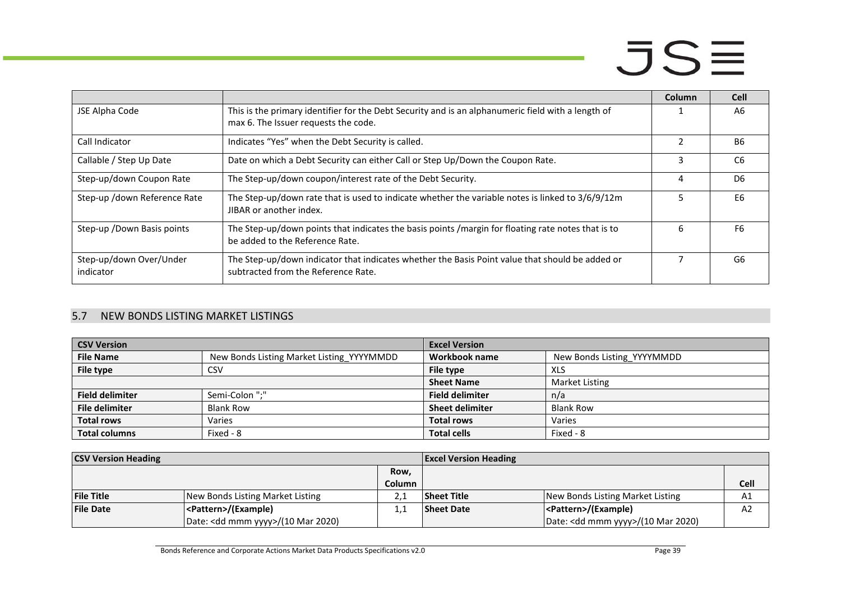|                                      |                                                                                                                                            | Column | <b>Cell</b>    |
|--------------------------------------|--------------------------------------------------------------------------------------------------------------------------------------------|--------|----------------|
| JSE Alpha Code                       | This is the primary identifier for the Debt Security and is an alphanumeric field with a length of<br>max 6. The Issuer requests the code. |        | A6             |
| Call Indicator                       | Indicates "Yes" when the Debt Security is called.                                                                                          |        | <b>B6</b>      |
| Callable / Step Up Date              | Date on which a Debt Security can either Call or Step Up/Down the Coupon Rate.                                                             | 3      | C <sub>6</sub> |
| Step-up/down Coupon Rate             | The Step-up/down coupon/interest rate of the Debt Security.                                                                                | 4      | D <sub>6</sub> |
| Step-up /down Reference Rate         | The Step-up/down rate that is used to indicate whether the variable notes is linked to 3/6/9/12m<br>JIBAR or another index.                |        | E6             |
| Step-up / Down Basis points          | The Step-up/down points that indicates the basis points /margin for floating rate notes that is to<br>be added to the Reference Rate.      | h      | F6             |
| Step-up/down Over/Under<br>indicator | The Step-up/down indicator that indicates whether the Basis Point value that should be added or<br>subtracted from the Reference Rate.     |        | G6             |

#### 5.7 NEW BONDS LISTING MARKET LISTINGS

| <b>CSV Version</b>     |                                           | <b>Excel Version</b>   |                            |
|------------------------|-------------------------------------------|------------------------|----------------------------|
| <b>File Name</b>       | New Bonds Listing Market Listing YYYYMMDD | Workbook name          | New Bonds Listing YYYYMMDD |
| File type              | CSV                                       | File type              | XLS                        |
|                        |                                           | <b>Sheet Name</b>      | Market Listing             |
| <b>Field delimiter</b> | Semi-Colon ":"                            | <b>Field delimiter</b> | n/a                        |
| <b>File delimiter</b>  | <b>Blank Row</b>                          | <b>Sheet delimiter</b> | <b>Blank Row</b>           |
| <b>Total rows</b>      | Varies                                    | <b>Total rows</b>      | Varies                     |
| <b>Total columns</b>   | Fixed - 8                                 | <b>Total cells</b>     | Fixed - 8                  |

<span id="page-38-0"></span>

| <b>CSV Version Heading</b> |                                              |        | <b>Excel Version Heading</b> |                                              |                |
|----------------------------|----------------------------------------------|--------|------------------------------|----------------------------------------------|----------------|
|                            |                                              | Row,   |                              |                                              |                |
|                            |                                              | Column |                              |                                              | Cell           |
| <b>File Title</b>          | New Bonds Listing Market Listing             |        | <b>Sheet Title</b>           | New Bonds Listing Market Listing             | A1             |
| <b>File Date</b>           | <pattern>/(Example)</pattern>                |        | <b>Sheet Date</b>            | <pattern>/(Example)</pattern>                | A <sub>2</sub> |
|                            | Date: <dd mmm="" yyyy="">/(10 Mar 2020)</dd> |        |                              | Date: <dd mmm="" yyyy="">/(10 Mar 2020)</dd> |                |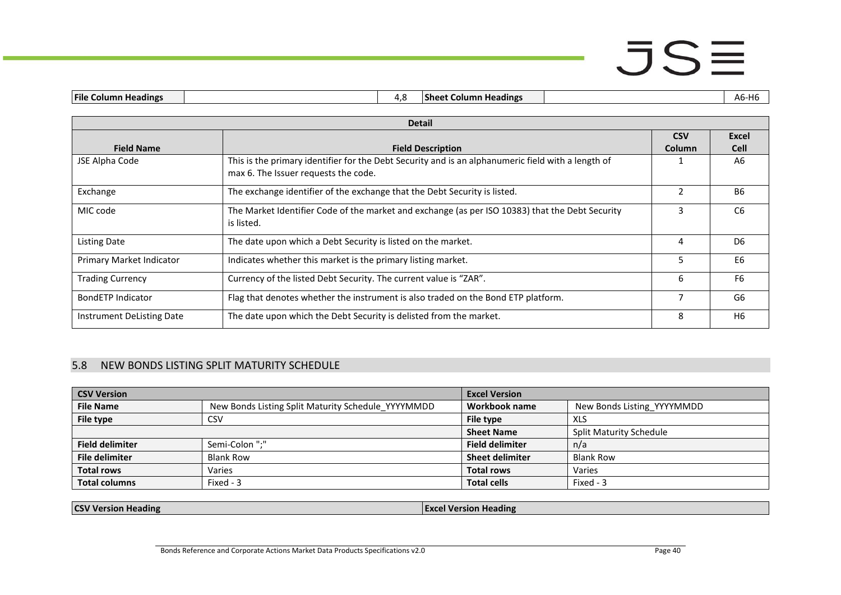|  | <b>IFile C</b><br><b>Headings</b><br>. |  | <br>L<br>Column Heading<br>-sneet<br>. . |  | . .<br>טוו<br>־ש |
|--|----------------------------------------|--|------------------------------------------|--|------------------|
|--|----------------------------------------|--|------------------------------------------|--|------------------|

|                           | <b>Detail</b>                                                                                                                              |            |                |
|---------------------------|--------------------------------------------------------------------------------------------------------------------------------------------|------------|----------------|
|                           |                                                                                                                                            | <b>CSV</b> | Excel          |
| <b>Field Name</b>         | <b>Field Description</b>                                                                                                                   | Column     | <b>Cell</b>    |
| JSE Alpha Code            | This is the primary identifier for the Debt Security and is an alphanumeric field with a length of<br>max 6. The Issuer requests the code. |            | A6             |
| Exchange                  | The exchange identifier of the exchange that the Debt Security is listed.                                                                  |            | <b>B6</b>      |
| MIC code                  | The Market Identifier Code of the market and exchange (as per ISO 10383) that the Debt Security<br>is listed.                              | 3          | C <sub>6</sub> |
| Listing Date              | The date upon which a Debt Security is listed on the market.                                                                               | 4          | D <sub>6</sub> |
| Primary Market Indicator  | Indicates whether this market is the primary listing market.                                                                               | 5          | E <sub>6</sub> |
| <b>Trading Currency</b>   | Currency of the listed Debt Security. The current value is "ZAR".                                                                          | 6          | F <sub>6</sub> |
| <b>BondETP Indicator</b>  | Flag that denotes whether the instrument is also traded on the Bond ETP platform.                                                          |            | G6             |
| Instrument DeListing Date | The date upon which the Debt Security is delisted from the market.                                                                         | 8          | H <sub>6</sub> |

#### 5.8 NEW BONDS LISTING SPLIT MATURITY SCHEDULE

| <b>CSV Version</b>     |                                                    | <b>Excel Version</b>   |                                |
|------------------------|----------------------------------------------------|------------------------|--------------------------------|
| <b>File Name</b>       | New Bonds Listing Split Maturity Schedule YYYYMMDD | Workbook name          | New Bonds Listing YYYYMMDD     |
| File type              | CSV                                                | File type              | XLS                            |
|                        |                                                    | <b>Sheet Name</b>      | <b>Split Maturity Schedule</b> |
| <b>Field delimiter</b> | Semi-Colon ":"                                     | <b>Field delimiter</b> | n/a                            |
| <b>File delimiter</b>  | <b>Blank Row</b>                                   | <b>Sheet delimiter</b> | <b>Blank Row</b>               |
| <b>Total rows</b>      | Varies                                             | <b>Total rows</b>      | Varies                         |
| <b>Total columns</b>   | Fixed - 3                                          | <b>Total cells</b>     | Fixed - 3                      |

<span id="page-39-0"></span>**CSV Version Heading Excel Version Heading Excel Version Heading**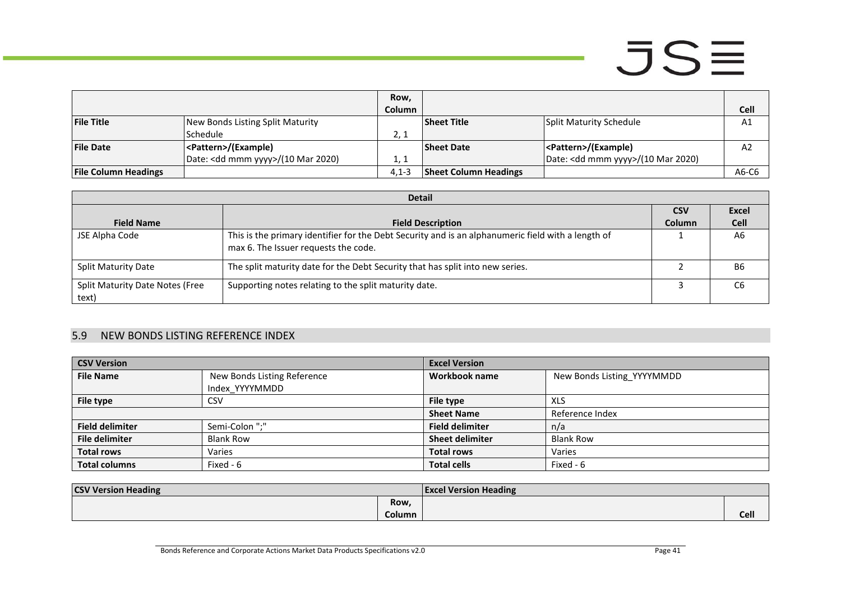|                             |                                    | Row,    |                              |                                              |       |
|-----------------------------|------------------------------------|---------|------------------------------|----------------------------------------------|-------|
|                             |                                    | Column  |                              |                                              | Cell  |
| <b>File Title</b>           | New Bonds Listing Split Maturity   |         | <b>Sheet Title</b>           | Split Maturity Schedule                      | A1    |
|                             | l Schedule                         | 2, 1    |                              |                                              |       |
| <b>File Date</b>            | <pattern>/(Example)</pattern>      |         | <b>Sheet Date</b>            | <pattern>/(Example)</pattern>                | A2    |
|                             | Date: < dd mmm yyyy>/(10 Mar 2020) | 1, 1    |                              | Date: <dd mmm="" yyyy="">/(10 Mar 2020)</dd> |       |
| <b>File Column Headings</b> |                                    | $4,1-3$ | <b>Sheet Column Headings</b> |                                              | A6-C6 |

|                                          | <b>Detail</b>                                                                                                                              |               |              |  |  |  |
|------------------------------------------|--------------------------------------------------------------------------------------------------------------------------------------------|---------------|--------------|--|--|--|
|                                          |                                                                                                                                            | <b>CSV</b>    | <b>Excel</b> |  |  |  |
| <b>Field Name</b>                        | <b>Field Description</b>                                                                                                                   | <b>Column</b> | <b>Cell</b>  |  |  |  |
| JSE Alpha Code                           | This is the primary identifier for the Debt Security and is an alphanumeric field with a length of<br>max 6. The Issuer requests the code. |               | A6           |  |  |  |
| <b>Split Maturity Date</b>               | The split maturity date for the Debt Security that has split into new series.                                                              |               | B6           |  |  |  |
| Split Maturity Date Notes (Free<br>text) | Supporting notes relating to the split maturity date.                                                                                      |               | C6           |  |  |  |

#### 5.9 NEW BONDS LISTING REFERENCE INDEX

| <b>CSV Version</b>     |                             | <b>Excel Version</b>   |                            |
|------------------------|-----------------------------|------------------------|----------------------------|
| <b>File Name</b>       | New Bonds Listing Reference | Workbook name          | New Bonds Listing YYYYMMDD |
|                        | Index YYYYMMDD              |                        |                            |
| File type              | <b>CSV</b>                  | File type              | <b>XLS</b>                 |
|                        |                             | <b>Sheet Name</b>      | Reference Index            |
| <b>Field delimiter</b> | Semi-Colon ";"              | <b>Field delimiter</b> | n/a                        |
| <b>File delimiter</b>  | <b>Blank Row</b>            | <b>Sheet delimiter</b> | <b>Blank Row</b>           |
| <b>Total rows</b>      | Varies                      | <b>Total rows</b>      | Varies                     |
| <b>Total columns</b>   | Fixed - 6                   | <b>Total cells</b>     | Fixed - 6                  |

<span id="page-40-0"></span>

| <b>CSV Version Heading</b> |               | <b>Excel Version Heading</b> |      |
|----------------------------|---------------|------------------------------|------|
|                            | Row,          |                              |      |
|                            | <b>Column</b> |                              | Cell |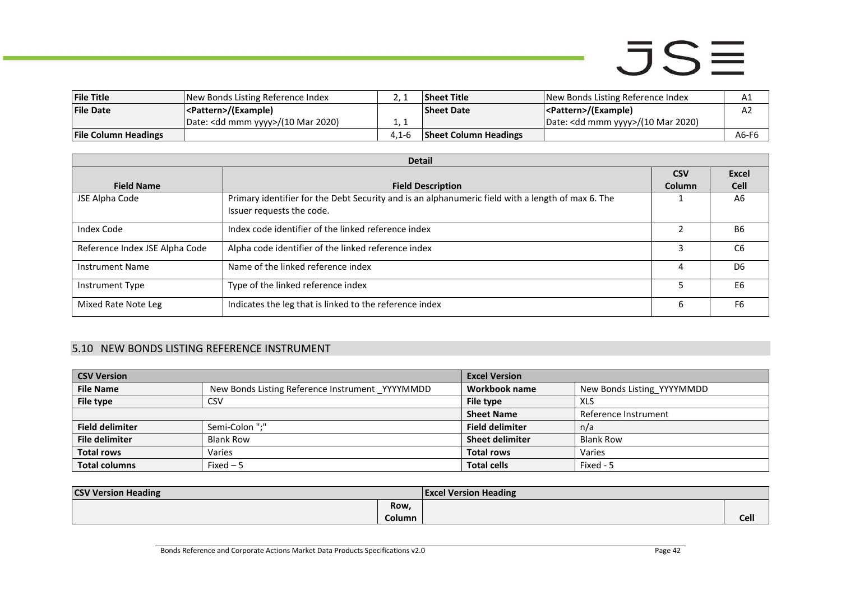| <b>File Title</b>           | New Bonds Listing Reference Index            |       | <b>Sheet Title</b>           | New Bonds Listing Reference Index            | ΑT    |
|-----------------------------|----------------------------------------------|-------|------------------------------|----------------------------------------------|-------|
| <b>File Date</b>            | <pattern>/(Example)</pattern>                |       | <b>Sheet Date</b>            | <pattern>/(Example)</pattern>                | A2    |
|                             | Date: <dd mmm="" yyyy="">/(10 Mar 2020)</dd> |       |                              | Date: <dd mmm="" yyyy="">/(10 Mar 2020)</dd> |       |
| <b>File Column Headings</b> |                                              | 4.1-6 | <b>Sheet Column Headings</b> |                                              | A6-F6 |

|                                | <b>Detail</b>                                                                                                                  |            |                |
|--------------------------------|--------------------------------------------------------------------------------------------------------------------------------|------------|----------------|
|                                |                                                                                                                                | <b>CSV</b> | Excel          |
| <b>Field Name</b>              | <b>Field Description</b>                                                                                                       | Column     | <b>Cell</b>    |
| JSE Alpha Code                 | Primary identifier for the Debt Security and is an alphanumeric field with a length of max 6. The<br>Issuer requests the code. |            | A6             |
| Index Code                     | Index code identifier of the linked reference index                                                                            |            | <b>B6</b>      |
| Reference Index JSE Alpha Code | Alpha code identifier of the linked reference index                                                                            |            | C <sub>6</sub> |
| <b>Instrument Name</b>         | Name of the linked reference index                                                                                             | 4          | D <sub>6</sub> |
| Instrument Type                | Type of the linked reference index                                                                                             |            | E <sub>6</sub> |
| Mixed Rate Note Leg            | Indicates the leg that is linked to the reference index                                                                        | 6          | F <sub>6</sub> |

#### 5.10 NEW BONDS LISTING REFERENCE INSTRUMENT

| <b>CSV Version</b>     |                                                 | <b>Excel Version</b>   |                            |
|------------------------|-------------------------------------------------|------------------------|----------------------------|
| <b>File Name</b>       | New Bonds Listing Reference Instrument YYYYMMDD | Workbook name          | New Bonds Listing YYYYMMDD |
| File type              | CSV                                             | File type              | <b>XLS</b>                 |
|                        |                                                 | <b>Sheet Name</b>      | Reference Instrument       |
| <b>Field delimiter</b> | Semi-Colon ";"                                  | <b>Field delimiter</b> | n/a                        |
| <b>File delimiter</b>  | <b>Blank Row</b>                                | <b>Sheet delimiter</b> | <b>Blank Row</b>           |
| <b>Total rows</b>      | Varies                                          | <b>Total rows</b>      | Varies                     |
| <b>Total columns</b>   | Fixed $-5$                                      | <b>Total cells</b>     | Fixed - 5                  |

<span id="page-41-0"></span>

| <b>CSV Version Heading</b> |        | <b>Excel Version Heading</b> |             |
|----------------------------|--------|------------------------------|-------------|
|                            | Row,   |                              |             |
|                            | Column |                              | <b>Cell</b> |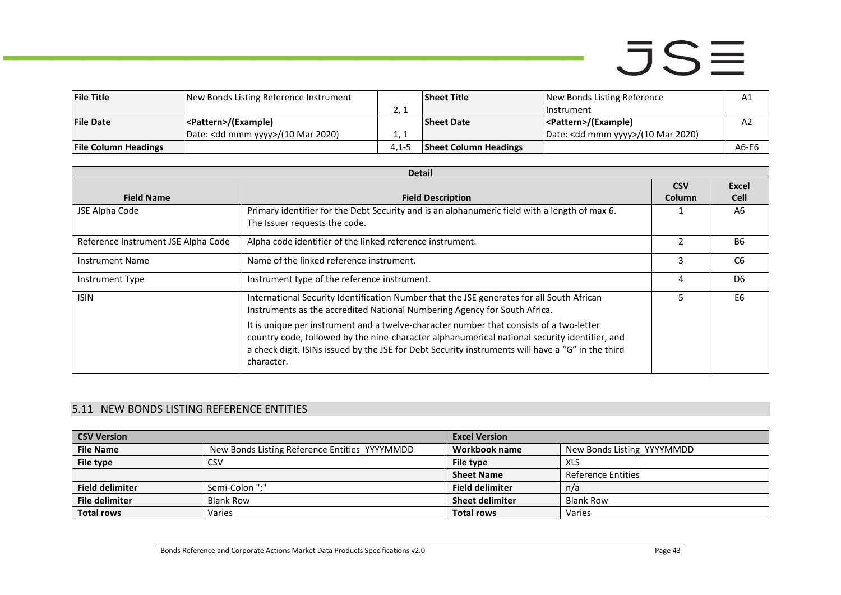| <b>File Title</b>           | New Bonds Listing Reference Instrument       |           | <b>Sheet Title</b>           | New Bonds Listing Reference                  | A1    |
|-----------------------------|----------------------------------------------|-----------|------------------------------|----------------------------------------------|-------|
|                             |                                              | <u>.</u>  |                              | l Instrument                                 |       |
| <b>File Date</b>            | <pattern>/(Example)</pattern>                |           | <b>Sheet Date</b>            | <pattern>/(Example)</pattern>                | A2    |
|                             | Date: <dd mmm="" yyyy="">/(10 Mar 2020)</dd> | . .       |                              | Date: <dd mmm="" yyyy="">/(10 Mar 2020)</dd> |       |
| <b>File Column Headings</b> |                                              | $4.1 - 5$ | <b>Sheet Column Headings</b> |                                              | A6-E6 |

|                                     | <b>Detail</b>                                                                                                                                                                                                                                                                                               |               |                |  |  |
|-------------------------------------|-------------------------------------------------------------------------------------------------------------------------------------------------------------------------------------------------------------------------------------------------------------------------------------------------------------|---------------|----------------|--|--|
|                                     |                                                                                                                                                                                                                                                                                                             | <b>CSV</b>    | Excel          |  |  |
| <b>Field Name</b>                   | <b>Field Description</b>                                                                                                                                                                                                                                                                                    | <b>Column</b> | <b>Cell</b>    |  |  |
| JSE Alpha Code                      | Primary identifier for the Debt Security and is an alphanumeric field with a length of max 6.                                                                                                                                                                                                               |               | A6             |  |  |
|                                     | The Issuer requests the code.                                                                                                                                                                                                                                                                               |               |                |  |  |
| Reference Instrument JSE Alpha Code | Alpha code identifier of the linked reference instrument.                                                                                                                                                                                                                                                   | $\mathfrak z$ | <b>B6</b>      |  |  |
| <b>Instrument Name</b>              | Name of the linked reference instrument.                                                                                                                                                                                                                                                                    | 3             | C <sub>6</sub> |  |  |
| Instrument Type                     | Instrument type of the reference instrument.                                                                                                                                                                                                                                                                | 4             | D <sub>6</sub> |  |  |
| <b>ISIN</b>                         | International Security Identification Number that the JSE generates for all South African<br>Instruments as the accredited National Numbering Agency for South Africa.                                                                                                                                      | 5             | E <sub>6</sub> |  |  |
|                                     | It is unique per instrument and a twelve-character number that consists of a two-letter<br>country code, followed by the nine-character alphanumerical national security identifier, and<br>a check digit. ISINs issued by the JSE for Debt Security instruments will have a "G" in the third<br>character. |               |                |  |  |

#### 5.11 NEW BONDS LISTING REFERENCE ENTITIES

<span id="page-42-0"></span>

| <b>CSV Version</b>     |                                               | <b>Excel Version</b>   |                            |
|------------------------|-----------------------------------------------|------------------------|----------------------------|
| <b>File Name</b>       | New Bonds Listing Reference Entities YYYYMMDD | Workbook name          | New Bonds Listing YYYYMMDD |
| File type              | CSV                                           | File type              | <b>XLS</b>                 |
|                        |                                               | <b>Sheet Name</b>      | <b>Reference Entities</b>  |
| <b>Field delimiter</b> | Semi-Colon ":"                                | <b>Field delimiter</b> | n/a                        |
| File delimiter         | <b>Blank Row</b>                              | <b>Sheet delimiter</b> | Blank Row                  |
| <b>Total rows</b>      | Varies                                        | <b>Total rows</b>      | Varies                     |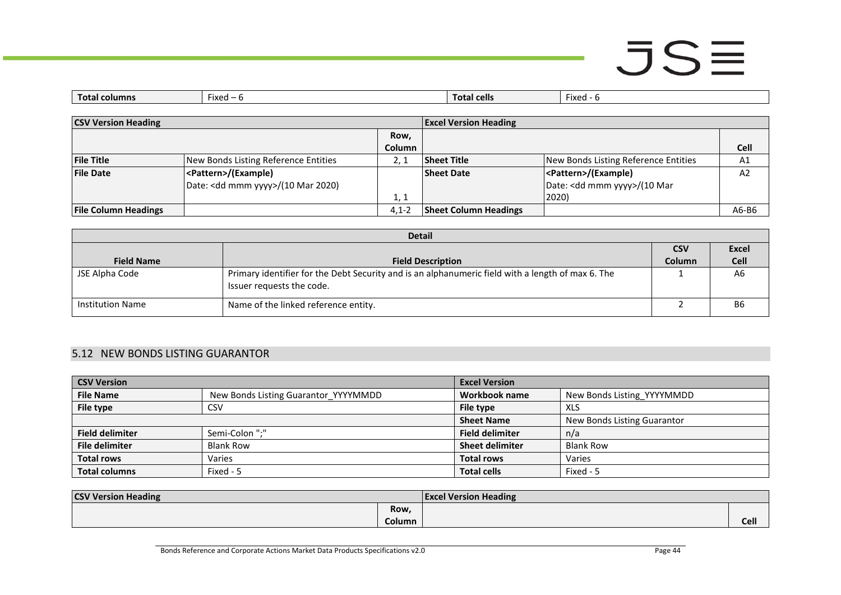# $JSE$

| Tot:<br>:olumn | Fixed | I cells<br>Tota | Fixed<br>$\overline{\phantom{0}}$ |
|----------------|-------|-----------------|-----------------------------------|
|                |       |                 |                                   |

| <b>CSV Version Heading</b>  |                                              | <b>Excel Version Heading</b> |                              |                                        |       |
|-----------------------------|----------------------------------------------|------------------------------|------------------------------|----------------------------------------|-------|
|                             |                                              | Row,                         |                              |                                        |       |
|                             |                                              | <b>Column</b>                |                              |                                        | Cell  |
| <b>File Title</b>           | New Bonds Listing Reference Entities         |                              | <b>Sheet Title</b>           | New Bonds Listing Reference Entities   | A1    |
| <b>File Date</b>            | <pattern>/(Example)</pattern>                |                              | <b>Sheet Date</b>            | <pattern>/(Example)</pattern>          | A2    |
|                             | Date: <dd mmm="" yyyy="">/(10 Mar 2020)</dd> |                              |                              | Date: <dd mmm="" yyyy="">/(10 Mar</dd> |       |
|                             |                                              | 1, 1                         |                              | 2020)                                  |       |
| <b>File Column Headings</b> |                                              | $4.1 - 2$                    | <b>Sheet Column Headings</b> |                                        | A6-B6 |

|                         | <b>Detail</b>                                                                                                                  |               |                |  |  |
|-------------------------|--------------------------------------------------------------------------------------------------------------------------------|---------------|----------------|--|--|
|                         |                                                                                                                                | <b>CSV</b>    | <b>Excel</b>   |  |  |
| <b>Field Name</b>       | <b>Field Description</b>                                                                                                       | <b>Column</b> | <b>Cell</b>    |  |  |
| JSE Alpha Code          | Primary identifier for the Debt Security and is an alphanumeric field with a length of max 6. The<br>Issuer requests the code. |               | A <sub>6</sub> |  |  |
| <b>Institution Name</b> | Name of the linked reference entity.                                                                                           |               | <b>B6</b>      |  |  |

#### 5.12 NEW BONDS LISTING GUARANTOR

| <b>CSV Version</b>     |                                      | <b>Excel Version</b>   |                             |
|------------------------|--------------------------------------|------------------------|-----------------------------|
| <b>File Name</b>       | New Bonds Listing Guarantor YYYYMMDD | Workbook name          | New Bonds Listing YYYYMMDD  |
| File type              | CSV                                  | File type              | <b>XLS</b>                  |
|                        |                                      | <b>Sheet Name</b>      | New Bonds Listing Guarantor |
| <b>Field delimiter</b> | Semi-Colon ";"                       | <b>Field delimiter</b> | n/a                         |
| <b>File delimiter</b>  | <b>Blank Row</b>                     | <b>Sheet delimiter</b> | <b>Blank Row</b>            |
| <b>Total rows</b>      | Varies                               | <b>Total rows</b>      | Varies                      |
| <b>Total columns</b>   | Fixed - 5                            | <b>Total cells</b>     | Fixed - 5                   |

<span id="page-43-0"></span>

| <b>CSV Version Heading</b> |               | <b>Excel Version Heading</b> |             |
|----------------------------|---------------|------------------------------|-------------|
|                            | Row,          |                              |             |
|                            | <b>Column</b> |                              | <b>Cell</b> |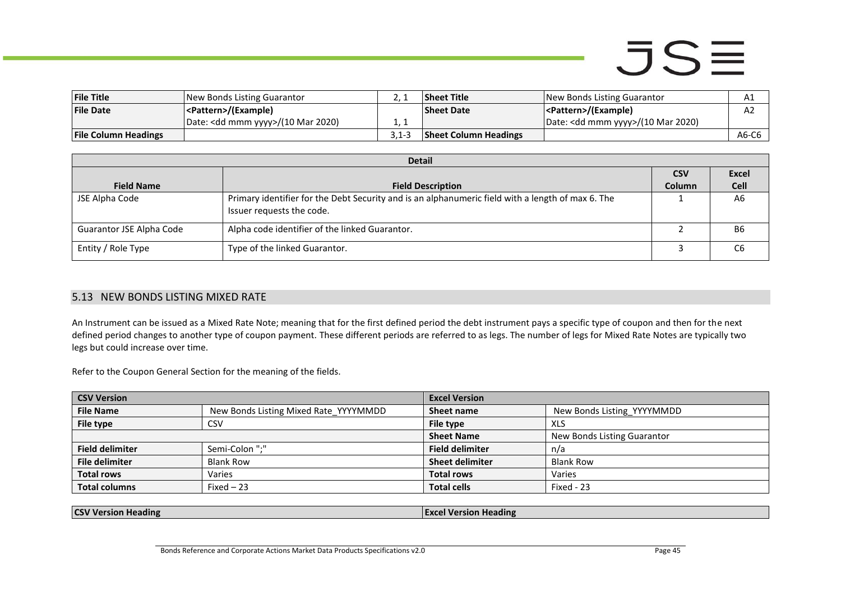### $JSE$

| <b>File Title</b>           | New Bonds Listing Guarantor                  |       | <b>Sheet Title</b>           | New Bonds Listing Guarantor                  | A1    |
|-----------------------------|----------------------------------------------|-------|------------------------------|----------------------------------------------|-------|
| <b>File Date</b>            | <pattern>/(Example)</pattern>                |       | <b>Sheet Date</b>            | <pattern>/(Example)</pattern>                | ΑZ    |
|                             | Date: <dd mmm="" yyyy="">/(10 Mar 2020)</dd> |       |                              | Date: <dd mmm="" yyyy="">/(10 Mar 2020)</dd> |       |
| <b>File Column Headings</b> |                                              | 3.1-3 | <b>Sheet Column Headings</b> |                                              | A6-C6 |

|                          | <b>Detail</b>                                                                                                                  |               |                |  |  |
|--------------------------|--------------------------------------------------------------------------------------------------------------------------------|---------------|----------------|--|--|
|                          |                                                                                                                                | <b>CSV</b>    | <b>Excel</b>   |  |  |
| <b>Field Name</b>        | <b>Field Description</b>                                                                                                       | <b>Column</b> | <b>Cell</b>    |  |  |
| JSE Alpha Code           | Primary identifier for the Debt Security and is an alphanumeric field with a length of max 6. The<br>Issuer requests the code. |               | A <sub>6</sub> |  |  |
| Guarantor JSE Alpha Code | Alpha code identifier of the linked Guarantor.                                                                                 |               | <b>B6</b>      |  |  |
| Entity / Role Type       | Type of the linked Guarantor.                                                                                                  |               | C <sub>6</sub> |  |  |

#### 5.13 NEW BONDS LISTING MIXED RATE

An Instrument can be issued as a Mixed Rate Note; meaning that for the first defined period the debt instrument pays a specific type of coupon and then for the next defined period changes to another type of coupon payment. These different periods are referred to as legs. The number of legs for Mixed Rate Notes are typically two legs but could increase over time.

Refer to the Coupon General Section for the meaning of the fields.

| <b>CSV Version</b> |                                       | <b>Excel Version</b>        |  |
|--------------------|---------------------------------------|-----------------------------|--|
|                    | Sheet name                            | New Bonds Listing YYYYMMDD  |  |
|                    | File type                             | XLS                         |  |
|                    | <b>Sheet Name</b>                     | New Bonds Listing Guarantor |  |
|                    | <b>Field delimiter</b>                | n/a                         |  |
|                    | <b>Sheet delimiter</b>                | <b>Blank Row</b>            |  |
|                    | <b>Total rows</b>                     | Varies                      |  |
|                    | <b>Total cells</b>                    | Fixed - 23                  |  |
|                    | New Bonds Listing Mixed Rate YYYYMMDD |                             |  |

<span id="page-44-0"></span>

| <b>CSV Version Heading</b> | <b>Excel Version Heading</b> |
|----------------------------|------------------------------|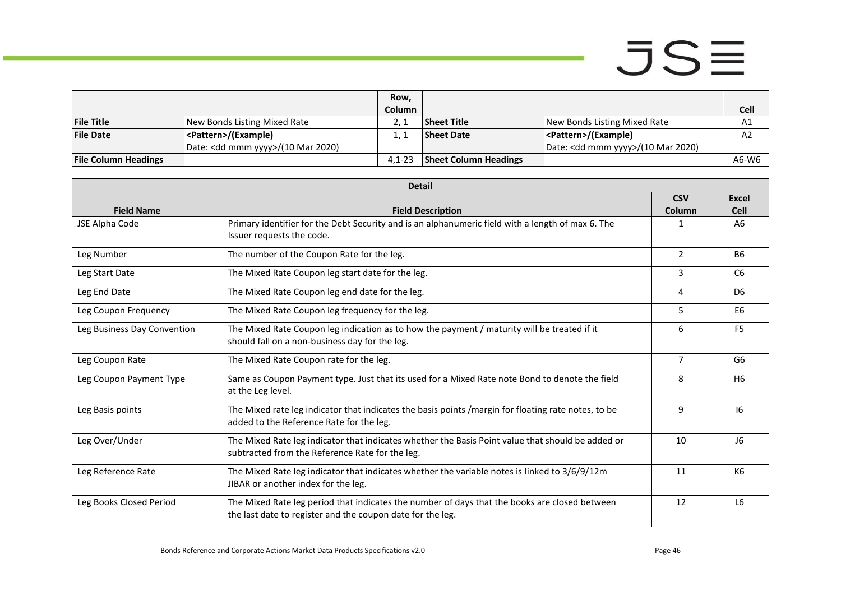|                             |                                              | Row,          |                              |                                              |                |
|-----------------------------|----------------------------------------------|---------------|------------------------------|----------------------------------------------|----------------|
|                             |                                              | <b>Column</b> |                              |                                              | <b>Cell</b>    |
| <b>File Title</b>           | New Bonds Listing Mixed Rate                 |               | Sheet Title                  | New Bonds Listing Mixed Rate                 | A1             |
| <b>File Date</b>            | <pattern>/(Example)</pattern>                |               | <b>Sheet Date</b>            | <pattern>/(Example)</pattern>                | A <sub>2</sub> |
|                             | Date: <dd mmm="" yyyy="">/(10 Mar 2020)</dd> |               |                              | Date: <dd mmm="" yyyy="">/(10 Mar 2020)</dd> |                |
| <b>File Column Headings</b> |                                              | $4.1 - 23$    | <b>Sheet Column Headings</b> |                                              | A6-W6          |

| <b>Detail</b>               |                                                                                                                                                             |                      |                      |
|-----------------------------|-------------------------------------------------------------------------------------------------------------------------------------------------------------|----------------------|----------------------|
| <b>Field Name</b>           | <b>Field Description</b>                                                                                                                                    | <b>CSV</b><br>Column | <b>Excel</b><br>Cell |
| JSE Alpha Code              | Primary identifier for the Debt Security and is an alphanumeric field with a length of max 6. The<br>Issuer requests the code.                              | 1                    | A <sub>6</sub>       |
| Leg Number                  | The number of the Coupon Rate for the leg.                                                                                                                  | $\overline{2}$       | <b>B6</b>            |
| Leg Start Date              | The Mixed Rate Coupon leg start date for the leg.                                                                                                           | 3                    | C <sub>6</sub>       |
| Leg End Date                | The Mixed Rate Coupon leg end date for the leg.                                                                                                             | 4                    | D <sub>6</sub>       |
| Leg Coupon Frequency        | The Mixed Rate Coupon leg frequency for the leg.                                                                                                            | 5.                   | E6                   |
| Leg Business Day Convention | The Mixed Rate Coupon leg indication as to how the payment / maturity will be treated if it<br>should fall on a non-business day for the leg.               | 6                    | F <sub>5</sub>       |
| Leg Coupon Rate             | The Mixed Rate Coupon rate for the leg.                                                                                                                     | $\overline{7}$       | G <sub>6</sub>       |
| Leg Coupon Payment Type     | Same as Coupon Payment type. Just that its used for a Mixed Rate note Bond to denote the field<br>at the Leg level.                                         | 8                    | H <sub>6</sub>       |
| Leg Basis points            | The Mixed rate leg indicator that indicates the basis points / margin for floating rate notes, to be<br>added to the Reference Rate for the leg.            | 9                    | 16                   |
| Leg Over/Under              | The Mixed Rate leg indicator that indicates whether the Basis Point value that should be added or<br>subtracted from the Reference Rate for the leg.        | 10                   | 16                   |
| Leg Reference Rate          | The Mixed Rate leg indicator that indicates whether the variable notes is linked to 3/6/9/12m<br>JIBAR or another index for the leg.                        | 11                   | K <sub>6</sub>       |
| Leg Books Closed Period     | The Mixed Rate leg period that indicates the number of days that the books are closed between<br>the last date to register and the coupon date for the leg. | 12                   | L <sub>6</sub>       |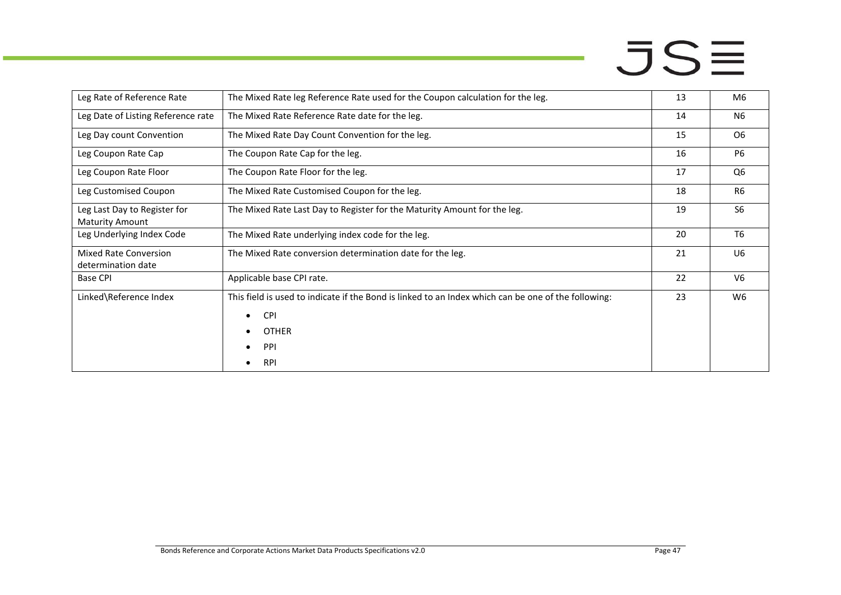| Leg Rate of Reference Rate                             | The Mixed Rate leg Reference Rate used for the Coupon calculation for the leg.                                                                                      | 13 | M6             |
|--------------------------------------------------------|---------------------------------------------------------------------------------------------------------------------------------------------------------------------|----|----------------|
| Leg Date of Listing Reference rate                     | The Mixed Rate Reference Rate date for the leg.                                                                                                                     | 14 | N <sub>6</sub> |
| Leg Day count Convention                               | The Mixed Rate Day Count Convention for the leg.                                                                                                                    | 15 | O <sub>6</sub> |
| Leg Coupon Rate Cap                                    | The Coupon Rate Cap for the leg.                                                                                                                                    | 16 | <b>P6</b>      |
| Leg Coupon Rate Floor                                  | The Coupon Rate Floor for the leg.                                                                                                                                  | 17 | Q <sub>6</sub> |
| Leg Customised Coupon                                  | The Mixed Rate Customised Coupon for the leg.                                                                                                                       | 18 | R <sub>6</sub> |
| Leg Last Day to Register for<br><b>Maturity Amount</b> | The Mixed Rate Last Day to Register for the Maturity Amount for the leg.                                                                                            | 19 | S <sub>6</sub> |
| Leg Underlying Index Code                              | The Mixed Rate underlying index code for the leg.                                                                                                                   | 20 | T <sub>6</sub> |
| Mixed Rate Conversion<br>determination date            | The Mixed Rate conversion determination date for the leg.                                                                                                           | 21 | U <sub>6</sub> |
| <b>Base CPI</b>                                        | Applicable base CPI rate.                                                                                                                                           | 22 | V <sub>6</sub> |
| Linked\Reference Index                                 | This field is used to indicate if the Bond is linked to an Index which can be one of the following:<br><b>CPI</b><br>$\bullet$<br><b>OTHER</b><br>PPI<br><b>RPI</b> | 23 | W <sub>6</sub> |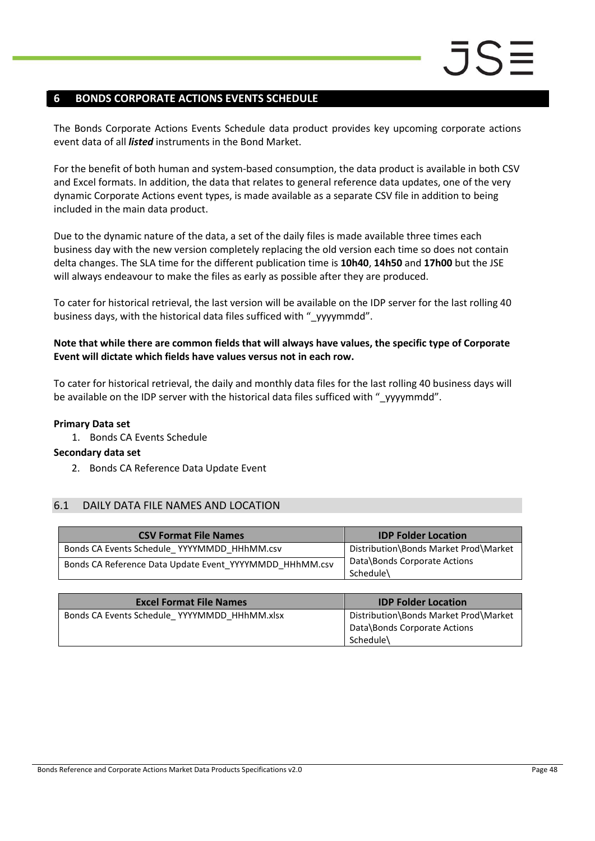### <span id="page-47-0"></span>**6 BONDS CORPORATE ACTIONS EVENTS SCHEDULE**

The Bonds Corporate Actions Events Schedule data product provides key upcoming corporate actions event data of all *listed* instruments in the Bond Market.

For the benefit of both human and system-based consumption, the data product is available in both CSV and Excel formats. In addition, the data that relates to general reference data updates, one of the very dynamic Corporate Actions event types, is made available as a separate CSV file in addition to being included in the main data product.

Due to the dynamic nature of the data, a set of the daily files is made available three times each business day with the new version completely replacing the old version each time so does not contain delta changes. The SLA time for the different publication time is **10h40**, **14h50** and **17h00** but the JSE will always endeavour to make the files as early as possible after they are produced.

To cater for historical retrieval, the last version will be available on the IDP server for the last rolling 40 business days, with the historical data files sufficed with " yyyymmdd".

#### **Note that while there are common fields that will always have values, the specific type of Corporate Event will dictate which fields have values versus not in each row.**

To cater for historical retrieval, the daily and monthly data files for the last rolling 40 business days will be available on the IDP server with the historical data files sufficed with " yyyymmdd".

#### **Primary Data set**

1. Bonds CA Events Schedule

#### **Secondary data set**

2. Bonds CA Reference Data Update Event

#### <span id="page-47-1"></span>6.1 DAILY DATA FILE NAMES AND LOCATION

| <b>CSV Format File Names</b>                            | <b>IDP Folder Location</b>                |
|---------------------------------------------------------|-------------------------------------------|
| Bonds CA Events Schedule YYYYMMDD HHhMM.csv             | Distribution\Bonds Market Prod\Market     |
| Bonds CA Reference Data Update Event YYYYMMDD HHhMM.csv | Data\Bonds Corporate Actions<br>Schedule\ |

| <b>Excel Format File Names</b>               | <b>IDP Folder Location</b>                                                         |
|----------------------------------------------|------------------------------------------------------------------------------------|
| Bonds CA Events Schedule YYYYMMDD HHhMM.xlsx | Distribution\Bonds Market Prod\Market<br>Data\Bonds Corporate Actions<br>Schedule\ |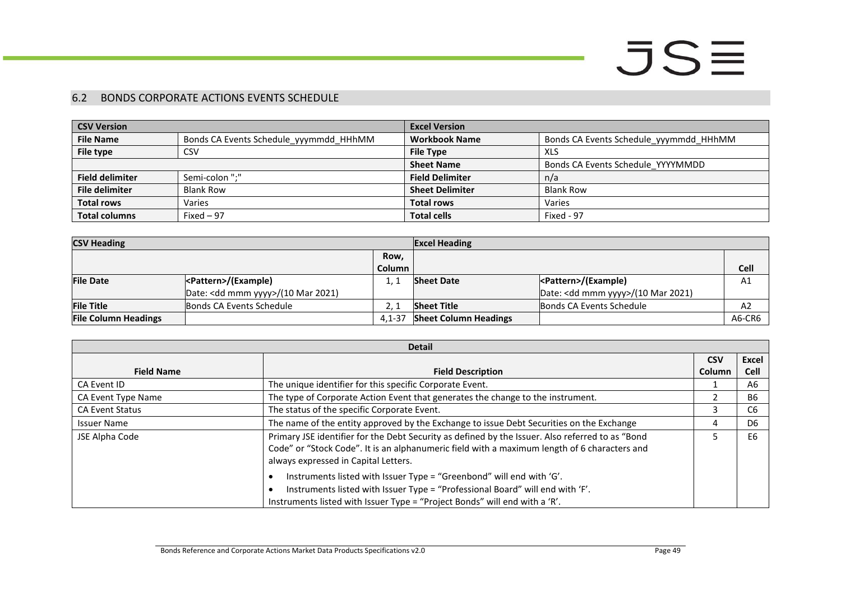#### 6.2 BONDS CORPORATE ACTIONS EVENTS SCHEDULE

| <b>CSV Version</b>     |                                        | <b>Excel Version</b>   |                                        |
|------------------------|----------------------------------------|------------------------|----------------------------------------|
| <b>File Name</b>       | Bonds CA Events Schedule yyymmdd HHhMM | <b>Workbook Name</b>   | Bonds CA Events Schedule yyymmdd HHhMM |
| File type              | CSV                                    | <b>File Type</b>       | XLS                                    |
|                        |                                        | <b>Sheet Name</b>      | Bonds CA Events Schedule YYYYMMDD      |
| <b>Field delimiter</b> | Semi-colon ":"                         | <b>Field Delimiter</b> | n/a                                    |
| <b>File delimiter</b>  | <b>Blank Row</b>                       | <b>Sheet Delimiter</b> | <b>Blank Row</b>                       |
| <b>Total rows</b>      | Varies                                 | <b>Total rows</b>      | Varies                                 |
| <b>Total columns</b>   | Fixed $-97$                            | <b>Total cells</b>     | Fixed - 97                             |

| <b>CSV Heading</b><br><b>Excel Heading</b> |                                              |            |                              |                                              |             |
|--------------------------------------------|----------------------------------------------|------------|------------------------------|----------------------------------------------|-------------|
|                                            |                                              | Row,       |                              |                                              |             |
|                                            |                                              | Column     |                              |                                              | <b>Cell</b> |
| <b>File Date</b>                           | <pattern>/(Example)</pattern>                |            | <b>Sheet Date</b>            |                                              | A1          |
|                                            | Date: <dd mmm="" yyyy="">/(10 Mar 2021)</dd> |            |                              | Date: <dd mmm="" yyyy="">/(10 Mar 2021)</dd> |             |
| <b>File Title</b>                          | Bonds CA Events Schedule                     |            | <b>Sheet Title</b>           | Bonds CA Events Schedule                     | A2          |
| <b>File Column Headings</b>                |                                              | $4.1 - 37$ | <b>Sheet Column Headings</b> |                                              | A6-CR6      |

<span id="page-48-0"></span>

| <b>Detail</b>          |                                                                                                                                                                                                                                          |            |                |
|------------------------|------------------------------------------------------------------------------------------------------------------------------------------------------------------------------------------------------------------------------------------|------------|----------------|
|                        |                                                                                                                                                                                                                                          | <b>CSV</b> | <b>Excel</b>   |
| <b>Field Name</b>      | <b>Field Description</b>                                                                                                                                                                                                                 | Column     | <b>Cell</b>    |
| CA Event ID            | The unique identifier for this specific Corporate Event.                                                                                                                                                                                 |            | A6             |
| CA Event Type Name     | The type of Corporate Action Event that generates the change to the instrument.                                                                                                                                                          |            | <b>B6</b>      |
| <b>CA Event Status</b> | The status of the specific Corporate Event.                                                                                                                                                                                              |            | C <sub>6</sub> |
| <b>Issuer Name</b>     | The name of the entity approved by the Exchange to issue Debt Securities on the Exchange                                                                                                                                                 |            | D6             |
| JSE Alpha Code         | Primary JSE identifier for the Debt Security as defined by the Issuer. Also referred to as "Bond<br>Code" or "Stock Code". It is an alphanumeric field with a maximum length of 6 characters and<br>always expressed in Capital Letters. |            | E6             |
|                        | Instruments listed with Issuer Type = "Greenbond" will end with 'G'.<br>Instruments listed with Issuer Type = "Professional Board" will end with 'F'.<br>Instruments listed with Issuer Type = "Project Bonds" will end with a 'R'.      |            |                |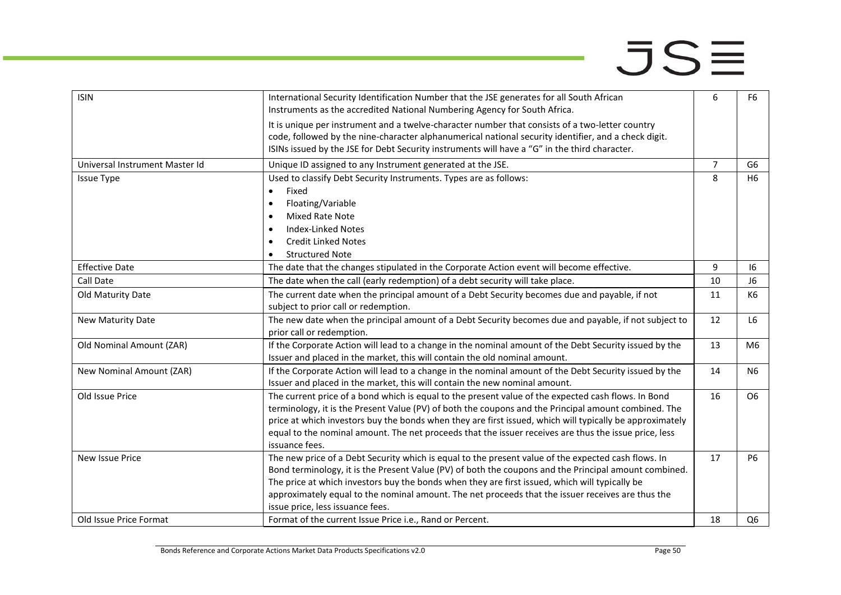| <b>ISIN</b>                    | International Security Identification Number that the JSE generates for all South African<br>Instruments as the accredited National Numbering Agency for South Africa.                                                                                                                                                                                                                                                                                  | 6              | F <sub>6</sub> |
|--------------------------------|---------------------------------------------------------------------------------------------------------------------------------------------------------------------------------------------------------------------------------------------------------------------------------------------------------------------------------------------------------------------------------------------------------------------------------------------------------|----------------|----------------|
|                                | It is unique per instrument and a twelve-character number that consists of a two-letter country<br>code, followed by the nine-character alphanumerical national security identifier, and a check digit.<br>ISINs issued by the JSE for Debt Security instruments will have a "G" in the third character.                                                                                                                                                |                |                |
| Universal Instrument Master Id | Unique ID assigned to any Instrument generated at the JSE.                                                                                                                                                                                                                                                                                                                                                                                              | $\overline{7}$ | G6             |
| <b>Issue Type</b>              | Used to classify Debt Security Instruments. Types are as follows:<br>Fixed<br>$\bullet$<br>Floating/Variable<br>$\bullet$<br>Mixed Rate Note<br><b>Index-Linked Notes</b><br><b>Credit Linked Notes</b>                                                                                                                                                                                                                                                 | 8              | H <sub>6</sub> |
|                                | <b>Structured Note</b><br>$\bullet$                                                                                                                                                                                                                                                                                                                                                                                                                     |                |                |
| <b>Effective Date</b>          | The date that the changes stipulated in the Corporate Action event will become effective.                                                                                                                                                                                                                                                                                                                                                               | 9              | 16             |
| <b>Call Date</b>               | The date when the call (early redemption) of a debt security will take place.                                                                                                                                                                                                                                                                                                                                                                           | 10             | J6             |
| Old Maturity Date              | The current date when the principal amount of a Debt Security becomes due and payable, if not<br>subject to prior call or redemption.                                                                                                                                                                                                                                                                                                                   | 11             | K6             |
| New Maturity Date              | The new date when the principal amount of a Debt Security becomes due and payable, if not subject to<br>prior call or redemption.                                                                                                                                                                                                                                                                                                                       | 12             | L <sub>6</sub> |
| Old Nominal Amount (ZAR)       | If the Corporate Action will lead to a change in the nominal amount of the Debt Security issued by the<br>Issuer and placed in the market, this will contain the old nominal amount.                                                                                                                                                                                                                                                                    | 13             | M6             |
| New Nominal Amount (ZAR)       | If the Corporate Action will lead to a change in the nominal amount of the Debt Security issued by the<br>Issuer and placed in the market, this will contain the new nominal amount.                                                                                                                                                                                                                                                                    | 14             | N <sub>6</sub> |
| Old Issue Price                | The current price of a bond which is equal to the present value of the expected cash flows. In Bond<br>terminology, it is the Present Value (PV) of both the coupons and the Principal amount combined. The<br>price at which investors buy the bonds when they are first issued, which will typically be approximately<br>equal to the nominal amount. The net proceeds that the issuer receives are thus the issue price, less<br>issuance fees.      | 16             | O6             |
| New Issue Price                | The new price of a Debt Security which is equal to the present value of the expected cash flows. In<br>Bond terminology, it is the Present Value (PV) of both the coupons and the Principal amount combined.<br>The price at which investors buy the bonds when they are first issued, which will typically be<br>approximately equal to the nominal amount. The net proceeds that the issuer receives are thus the<br>issue price, less issuance fees. | 17             | <b>P6</b>      |
| Old Issue Price Format         | Format of the current Issue Price i.e., Rand or Percent.                                                                                                                                                                                                                                                                                                                                                                                                | 18             | Q <sub>6</sub> |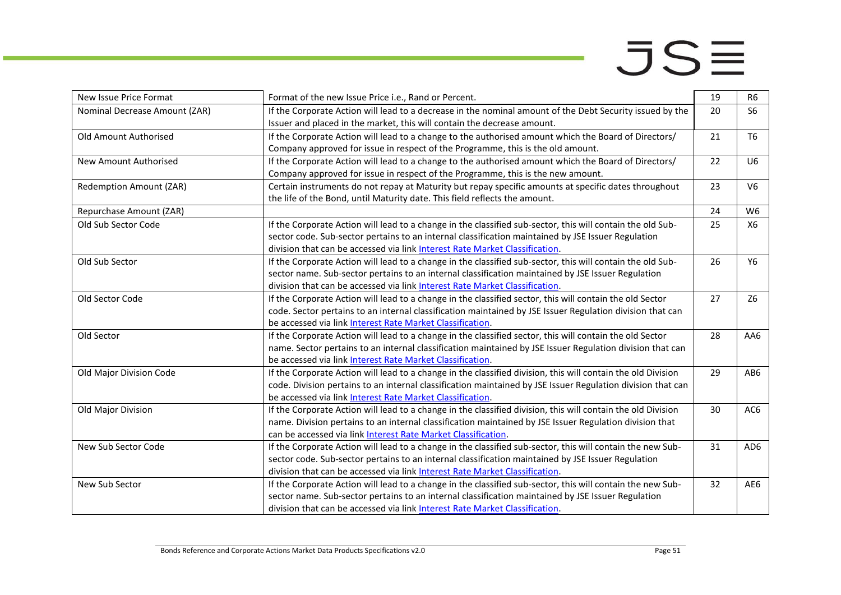| New Issue Price Format        | Format of the new Issue Price i.e., Rand or Percent.                                                         | 19 | R <sub>6</sub> |
|-------------------------------|--------------------------------------------------------------------------------------------------------------|----|----------------|
| Nominal Decrease Amount (ZAR) | If the Corporate Action will lead to a decrease in the nominal amount of the Debt Security issued by the     | 20 | S <sub>6</sub> |
|                               | Issuer and placed in the market, this will contain the decrease amount.                                      |    |                |
| Old Amount Authorised         | If the Corporate Action will lead to a change to the authorised amount which the Board of Directors/         | 21 | T <sub>6</sub> |
|                               | Company approved for issue in respect of the Programme, this is the old amount.                              |    |                |
| New Amount Authorised         | If the Corporate Action will lead to a change to the authorised amount which the Board of Directors/         | 22 | U <sub>6</sub> |
|                               | Company approved for issue in respect of the Programme, this is the new amount.                              |    |                |
| Redemption Amount (ZAR)       | Certain instruments do not repay at Maturity but repay specific amounts at specific dates throughout         | 23 | V <sub>6</sub> |
|                               | the life of the Bond, until Maturity date. This field reflects the amount.                                   |    |                |
| Repurchase Amount (ZAR)       |                                                                                                              | 24 | W <sub>6</sub> |
| Old Sub Sector Code           | If the Corporate Action will lead to a change in the classified sub-sector, this will contain the old Sub-   | 25 | <b>X6</b>      |
|                               | sector code. Sub-sector pertains to an internal classification maintained by JSE Issuer Regulation           |    |                |
|                               | division that can be accessed via link Interest Rate Market Classification.                                  |    |                |
| Old Sub Sector                | If the Corporate Action will lead to a change in the classified sub-sector, this will contain the old Sub-   | 26 | Y6             |
|                               | sector name. Sub-sector pertains to an internal classification maintained by JSE Issuer Regulation           |    |                |
|                               | division that can be accessed via link Interest Rate Market Classification.                                  |    |                |
| Old Sector Code               | If the Corporate Action will lead to a change in the classified sector, this will contain the old Sector     | 27 | Z6             |
|                               | code. Sector pertains to an internal classification maintained by JSE Issuer Regulation division that can    |    |                |
|                               | be accessed via link Interest Rate Market Classification.                                                    |    |                |
| Old Sector                    | If the Corporate Action will lead to a change in the classified sector, this will contain the old Sector     | 28 | AA6            |
|                               | name. Sector pertains to an internal classification maintained by JSE Issuer Regulation division that can    |    |                |
|                               | be accessed via link Interest Rate Market Classification.                                                    |    |                |
| Old Major Division Code       | If the Corporate Action will lead to a change in the classified division, this will contain the old Division | 29 | AB6            |
|                               | code. Division pertains to an internal classification maintained by JSE Issuer Regulation division that can  |    |                |
|                               | be accessed via link Interest Rate Market Classification.                                                    |    |                |
| Old Major Division            | If the Corporate Action will lead to a change in the classified division, this will contain the old Division | 30 | AC6            |
|                               | name. Division pertains to an internal classification maintained by JSE Issuer Regulation division that      |    |                |
|                               | can be accessed via link Interest Rate Market Classification.                                                |    |                |
| New Sub Sector Code           | If the Corporate Action will lead to a change in the classified sub-sector, this will contain the new Sub-   | 31 | AD6            |
|                               | sector code. Sub-sector pertains to an internal classification maintained by JSE Issuer Regulation           |    |                |
|                               | division that can be accessed via link Interest Rate Market Classification.                                  |    |                |
| New Sub Sector                | If the Corporate Action will lead to a change in the classified sub-sector, this will contain the new Sub-   | 32 | AE6            |
|                               | sector name. Sub-sector pertains to an internal classification maintained by JSE Issuer Regulation           |    |                |
|                               | division that can be accessed via link Interest Rate Market Classification.                                  |    |                |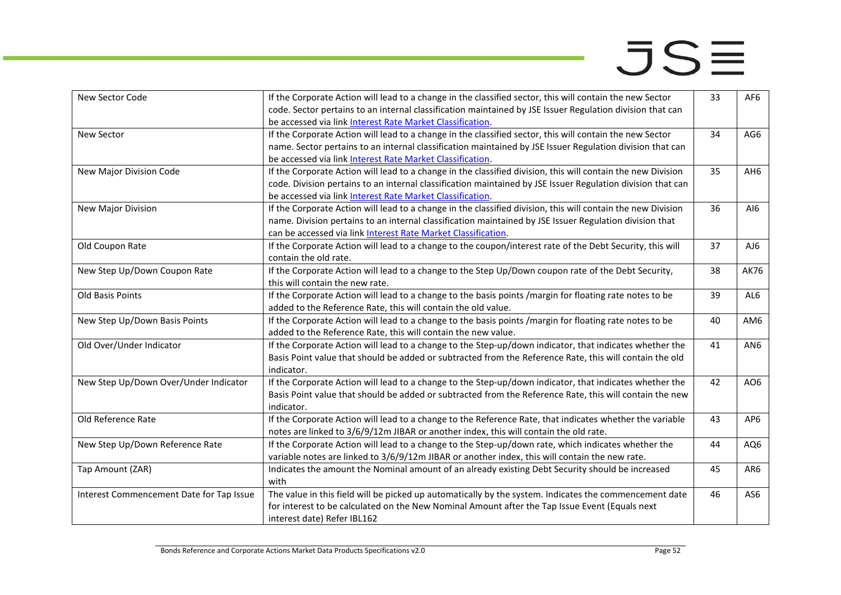| New Sector Code                          | If the Corporate Action will lead to a change in the classified sector, this will contain the new Sector     | 33 | AF6             |
|------------------------------------------|--------------------------------------------------------------------------------------------------------------|----|-----------------|
|                                          | code. Sector pertains to an internal classification maintained by JSE Issuer Regulation division that can    |    |                 |
|                                          | be accessed via link Interest Rate Market Classification.                                                    |    |                 |
| <b>New Sector</b>                        | If the Corporate Action will lead to a change in the classified sector, this will contain the new Sector     | 34 | AG6             |
|                                          | name. Sector pertains to an internal classification maintained by JSE Issuer Regulation division that can    |    |                 |
|                                          | be accessed via link Interest Rate Market Classification.                                                    |    |                 |
| New Major Division Code                  | If the Corporate Action will lead to a change in the classified division, this will contain the new Division | 35 | AH6             |
|                                          | code. Division pertains to an internal classification maintained by JSE Issuer Regulation division that can  |    |                 |
|                                          | be accessed via link Interest Rate Market Classification.                                                    |    |                 |
| New Major Division                       | If the Corporate Action will lead to a change in the classified division, this will contain the new Division | 36 | AI6             |
|                                          | name. Division pertains to an internal classification maintained by JSE Issuer Regulation division that      |    |                 |
|                                          | can be accessed via link Interest Rate Market Classification.                                                |    |                 |
| Old Coupon Rate                          | If the Corporate Action will lead to a change to the coupon/interest rate of the Debt Security, this will    | 37 | AJ6             |
|                                          | contain the old rate.                                                                                        |    |                 |
| New Step Up/Down Coupon Rate             | If the Corporate Action will lead to a change to the Step Up/Down coupon rate of the Debt Security,          | 38 | <b>AK76</b>     |
|                                          | this will contain the new rate.                                                                              |    |                 |
| Old Basis Points                         | If the Corporate Action will lead to a change to the basis points /margin for floating rate notes to be      | 39 | AL6             |
|                                          | added to the Reference Rate, this will contain the old value.                                                |    |                 |
| New Step Up/Down Basis Points            | If the Corporate Action will lead to a change to the basis points /margin for floating rate notes to be      | 40 | AM6             |
|                                          | added to the Reference Rate, this will contain the new value.                                                |    |                 |
| Old Over/Under Indicator                 | If the Corporate Action will lead to a change to the Step-up/down indicator, that indicates whether the      | 41 | AN <sub>6</sub> |
|                                          | Basis Point value that should be added or subtracted from the Reference Rate, this will contain the old      |    |                 |
|                                          | indicator.                                                                                                   |    |                 |
| New Step Up/Down Over/Under Indicator    | If the Corporate Action will lead to a change to the Step-up/down indicator, that indicates whether the      | 42 | AO6             |
|                                          | Basis Point value that should be added or subtracted from the Reference Rate, this will contain the new      |    |                 |
|                                          | indicator.                                                                                                   |    |                 |
| Old Reference Rate                       | If the Corporate Action will lead to a change to the Reference Rate, that indicates whether the variable     | 43 | AP <sub>6</sub> |
|                                          | notes are linked to 3/6/9/12m JIBAR or another index, this will contain the old rate.                        |    |                 |
| New Step Up/Down Reference Rate          | If the Corporate Action will lead to a change to the Step-up/down rate, which indicates whether the          | 44 | AQ6             |
|                                          | variable notes are linked to 3/6/9/12m JIBAR or another index, this will contain the new rate.               |    |                 |
| Tap Amount (ZAR)                         | Indicates the amount the Nominal amount of an already existing Debt Security should be increased             | 45 | AR6             |
|                                          | with                                                                                                         |    |                 |
| Interest Commencement Date for Tap Issue | The value in this field will be picked up automatically by the system. Indicates the commencement date       | 46 | AS6             |
|                                          | for interest to be calculated on the New Nominal Amount after the Tap Issue Event (Equals next               |    |                 |
|                                          | interest date) Refer IBL162                                                                                  |    |                 |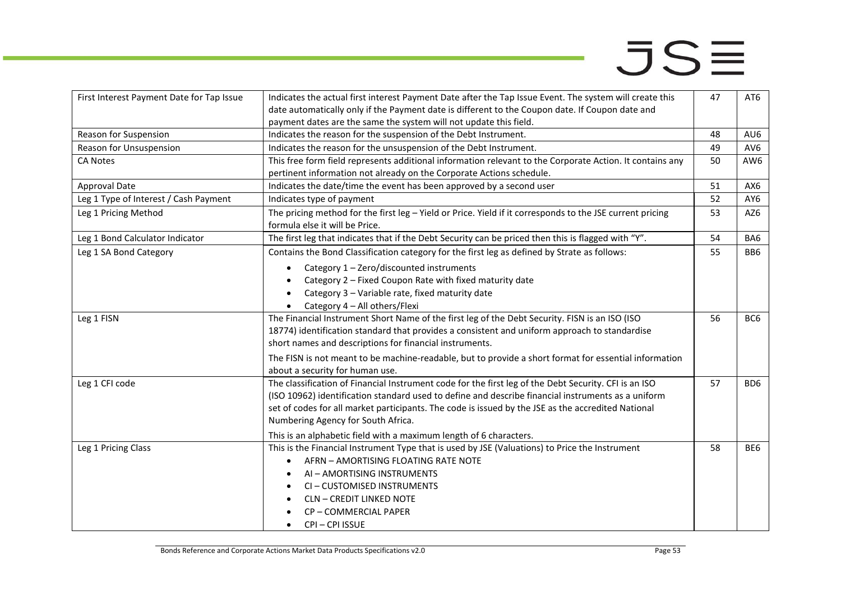| First Interest Payment Date for Tap Issue | Indicates the actual first interest Payment Date after the Tap Issue Event. The system will create this   | 47 | AT6             |
|-------------------------------------------|-----------------------------------------------------------------------------------------------------------|----|-----------------|
|                                           | date automatically only if the Payment date is different to the Coupon date. If Coupon date and           |    |                 |
|                                           | payment dates are the same the system will not update this field.                                         |    |                 |
| Reason for Suspension                     | Indicates the reason for the suspension of the Debt Instrument.                                           | 48 | AU6             |
| Reason for Unsuspension                   | Indicates the reason for the unsuspension of the Debt Instrument.                                         | 49 | AV <sub>6</sub> |
| <b>CA Notes</b>                           | This free form field represents additional information relevant to the Corporate Action. It contains any  | 50 | AW <sub>6</sub> |
|                                           | pertinent information not already on the Corporate Actions schedule.                                      |    |                 |
| <b>Approval Date</b>                      | Indicates the date/time the event has been approved by a second user                                      | 51 | AX6             |
| Leg 1 Type of Interest / Cash Payment     | Indicates type of payment                                                                                 | 52 | AY6             |
| Leg 1 Pricing Method                      | The pricing method for the first leg - Yield or Price. Yield if it corresponds to the JSE current pricing | 53 | AZ6             |
|                                           | formula else it will be Price.                                                                            |    |                 |
| Leg 1 Bond Calculator Indicator           | The first leg that indicates that if the Debt Security can be priced then this is flagged with "Y".       | 54 | BA6             |
| Leg 1 SA Bond Category                    | Contains the Bond Classification category for the first leg as defined by Strate as follows:              | 55 | BB <sub>6</sub> |
|                                           | Category 1 - Zero/discounted instruments                                                                  |    |                 |
|                                           | Category 2 - Fixed Coupon Rate with fixed maturity date                                                   |    |                 |
|                                           | Category 3 - Variable rate, fixed maturity date<br>$\bullet$                                              |    |                 |
|                                           | Category 4 - All others/Flexi<br>$\bullet$                                                                |    |                 |
| Leg 1 FISN                                | The Financial Instrument Short Name of the first leg of the Debt Security. FISN is an ISO (ISO            | 56 | BC <sub>6</sub> |
|                                           | 18774) identification standard that provides a consistent and uniform approach to standardise             |    |                 |
|                                           | short names and descriptions for financial instruments.                                                   |    |                 |
|                                           | The FISN is not meant to be machine-readable, but to provide a short format for essential information     |    |                 |
|                                           | about a security for human use.                                                                           |    |                 |
| Leg 1 CFI code                            | The classification of Financial Instrument code for the first leg of the Debt Security. CFI is an ISO     | 57 | BD <sub>6</sub> |
|                                           | (ISO 10962) identification standard used to define and describe financial instruments as a uniform        |    |                 |
|                                           | set of codes for all market participants. The code is issued by the JSE as the accredited National        |    |                 |
|                                           | Numbering Agency for South Africa.                                                                        |    |                 |
|                                           | This is an alphabetic field with a maximum length of 6 characters.                                        |    |                 |
| Leg 1 Pricing Class                       | This is the Financial Instrument Type that is used by JSE (Valuations) to Price the Instrument            | 58 | BE6             |
|                                           | AFRN - AMORTISING FLOATING RATE NOTE                                                                      |    |                 |
|                                           | AI - AMORTISING INSTRUMENTS                                                                               |    |                 |
|                                           | CI-CUSTOMISED INSTRUMENTS                                                                                 |    |                 |
|                                           | <b>CLN - CREDIT LINKED NOTE</b>                                                                           |    |                 |
|                                           | CP-COMMERCIAL PAPER                                                                                       |    |                 |
|                                           | CPI-CPI ISSUE<br>$\bullet$                                                                                |    |                 |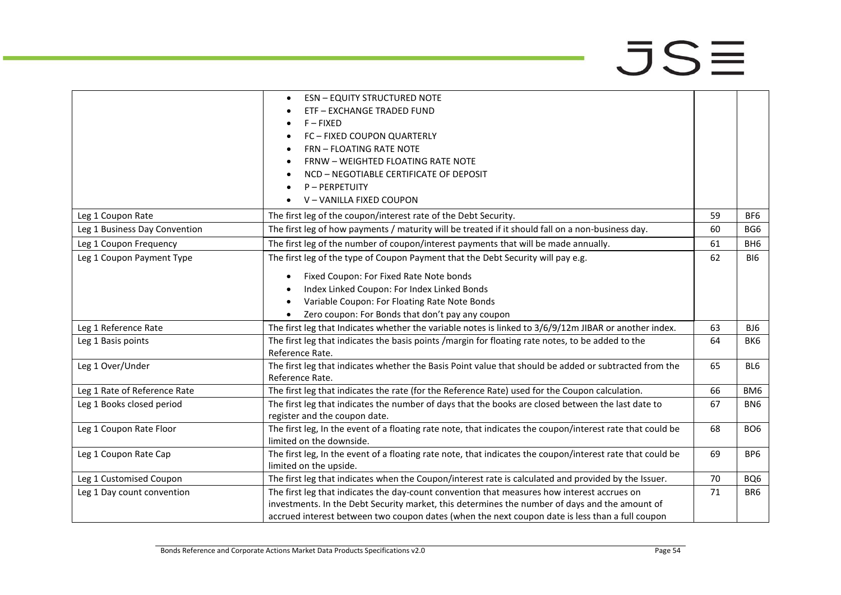|                               | <b>ESN - EQUITY STRUCTURED NOTE</b>                                                                        |    |                 |
|-------------------------------|------------------------------------------------------------------------------------------------------------|----|-----------------|
|                               | ETF - EXCHANGE TRADED FUND                                                                                 |    |                 |
|                               | $F - FIXED$                                                                                                |    |                 |
|                               | FC - FIXED COUPON QUARTERLY                                                                                |    |                 |
|                               | <b>FRN - FLOATING RATE NOTE</b>                                                                            |    |                 |
|                               | FRNW - WEIGHTED FLOATING RATE NOTE                                                                         |    |                 |
|                               | NCD - NEGOTIABLE CERTIFICATE OF DEPOSIT                                                                    |    |                 |
|                               | P-PERPETUITY                                                                                               |    |                 |
|                               | V-VANILLA FIXED COUPON                                                                                     |    |                 |
| Leg 1 Coupon Rate             | The first leg of the coupon/interest rate of the Debt Security.                                            | 59 | BF <sub>6</sub> |
| Leg 1 Business Day Convention | The first leg of how payments / maturity will be treated if it should fall on a non-business day.          | 60 | BG6             |
| Leg 1 Coupon Frequency        | The first leg of the number of coupon/interest payments that will be made annually.                        | 61 | BH <sub>6</sub> |
| Leg 1 Coupon Payment Type     | The first leg of the type of Coupon Payment that the Debt Security will pay e.g.                           | 62 | BI6             |
|                               | Fixed Coupon: For Fixed Rate Note bonds<br>$\bullet$                                                       |    |                 |
|                               | Index Linked Coupon: For Index Linked Bonds                                                                |    |                 |
|                               | Variable Coupon: For Floating Rate Note Bonds<br>$\bullet$                                                 |    |                 |
|                               | Zero coupon: For Bonds that don't pay any coupon                                                           |    |                 |
| Leg 1 Reference Rate          | The first leg that Indicates whether the variable notes is linked to 3/6/9/12m JIBAR or another index.     | 63 | BJ6             |
| Leg 1 Basis points            | The first leg that indicates the basis points /margin for floating rate notes, to be added to the          | 64 | BK6             |
|                               | Reference Rate.                                                                                            |    |                 |
| Leg 1 Over/Under              | The first leg that indicates whether the Basis Point value that should be added or subtracted from the     | 65 | BL <sub>6</sub> |
|                               | Reference Rate.                                                                                            |    |                 |
| Leg 1 Rate of Reference Rate  | The first leg that indicates the rate (for the Reference Rate) used for the Coupon calculation.            | 66 | BM <sub>6</sub> |
| Leg 1 Books closed period     | The first leg that indicates the number of days that the books are closed between the last date to         | 67 | BN <sub>6</sub> |
|                               | register and the coupon date.                                                                              |    |                 |
| Leg 1 Coupon Rate Floor       | The first leg, In the event of a floating rate note, that indicates the coupon/interest rate that could be | 68 | BO <sub>6</sub> |
|                               | limited on the downside.                                                                                   |    |                 |
| Leg 1 Coupon Rate Cap         | The first leg, In the event of a floating rate note, that indicates the coupon/interest rate that could be | 69 | BP <sub>6</sub> |
|                               | limited on the upside.                                                                                     |    |                 |
| Leg 1 Customised Coupon       | The first leg that indicates when the Coupon/interest rate is calculated and provided by the Issuer.       | 70 | BQ6             |
| Leg 1 Day count convention    | The first leg that indicates the day-count convention that measures how interest accrues on                | 71 | BR <sub>6</sub> |
|                               | investments. In the Debt Security market, this determines the number of days and the amount of             |    |                 |
|                               | accrued interest between two coupon dates (when the next coupon date is less than a full coupon            |    |                 |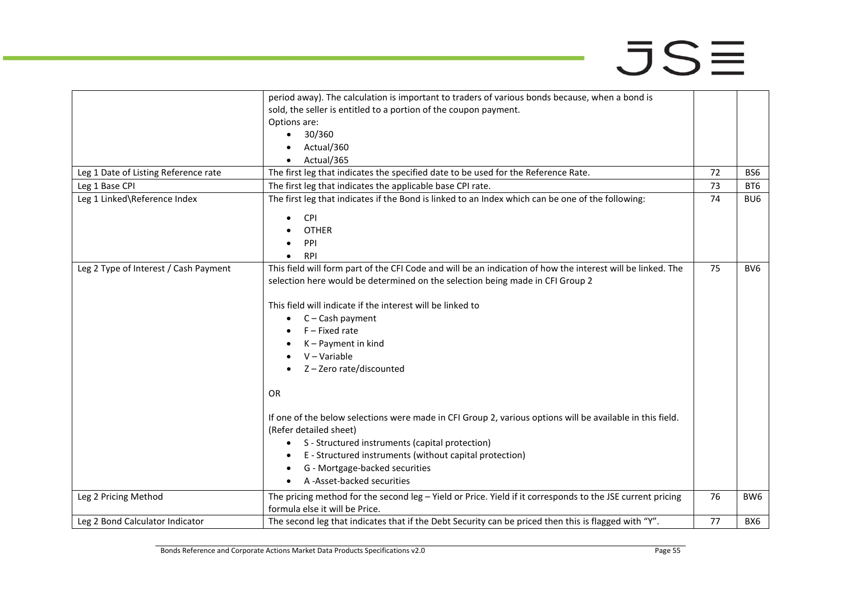|                                       | period away). The calculation is important to traders of various bonds because, when a bond is              |    |                 |
|---------------------------------------|-------------------------------------------------------------------------------------------------------------|----|-----------------|
|                                       | sold, the seller is entitled to a portion of the coupon payment.                                            |    |                 |
|                                       | Options are:                                                                                                |    |                 |
|                                       | 30/360<br>$\bullet$                                                                                         |    |                 |
|                                       | Actual/360                                                                                                  |    |                 |
|                                       | Actual/365                                                                                                  |    |                 |
| Leg 1 Date of Listing Reference rate  | The first leg that indicates the specified date to be used for the Reference Rate.                          | 72 | BS <sub>6</sub> |
| Leg 1 Base CPI                        | The first leg that indicates the applicable base CPI rate.                                                  | 73 | BT <sub>6</sub> |
| Leg 1 Linked\Reference Index          | The first leg that indicates if the Bond is linked to an Index which can be one of the following:           | 74 | BU <sub>6</sub> |
|                                       | <b>CPI</b><br>$\bullet$                                                                                     |    |                 |
|                                       | <b>OTHER</b>                                                                                                |    |                 |
|                                       | PPI                                                                                                         |    |                 |
|                                       | <b>RPI</b>                                                                                                  |    |                 |
| Leg 2 Type of Interest / Cash Payment | This field will form part of the CFI Code and will be an indication of how the interest will be linked. The | 75 | BV <sub>6</sub> |
|                                       | selection here would be determined on the selection being made in CFI Group 2                               |    |                 |
|                                       |                                                                                                             |    |                 |
|                                       | This field will indicate if the interest will be linked to                                                  |    |                 |
|                                       | $\bullet$ C – Cash payment                                                                                  |    |                 |
|                                       | $F$ – Fixed rate                                                                                            |    |                 |
|                                       | $K -$ Payment in kind                                                                                       |    |                 |
|                                       | $V - Variable$                                                                                              |    |                 |
|                                       | Z-Zero rate/discounted                                                                                      |    |                 |
|                                       |                                                                                                             |    |                 |
|                                       | <b>OR</b>                                                                                                   |    |                 |
|                                       | If one of the below selections were made in CFI Group 2, various options will be available in this field.   |    |                 |
|                                       | (Refer detailed sheet)                                                                                      |    |                 |
|                                       | S - Structured instruments (capital protection)<br>٠                                                        |    |                 |
|                                       | E - Structured instruments (without capital protection)                                                     |    |                 |
|                                       | G - Mortgage-backed securities                                                                              |    |                 |
|                                       | A-Asset-backed securities                                                                                   |    |                 |
| Leg 2 Pricing Method                  | The pricing method for the second leg - Yield or Price. Yield if it corresponds to the JSE current pricing  | 76 | BW <sub>6</sub> |
|                                       | formula else it will be Price.                                                                              |    |                 |
| Leg 2 Bond Calculator Indicator       | The second leg that indicates that if the Debt Security can be priced then this is flagged with "Y".        | 77 | BX6             |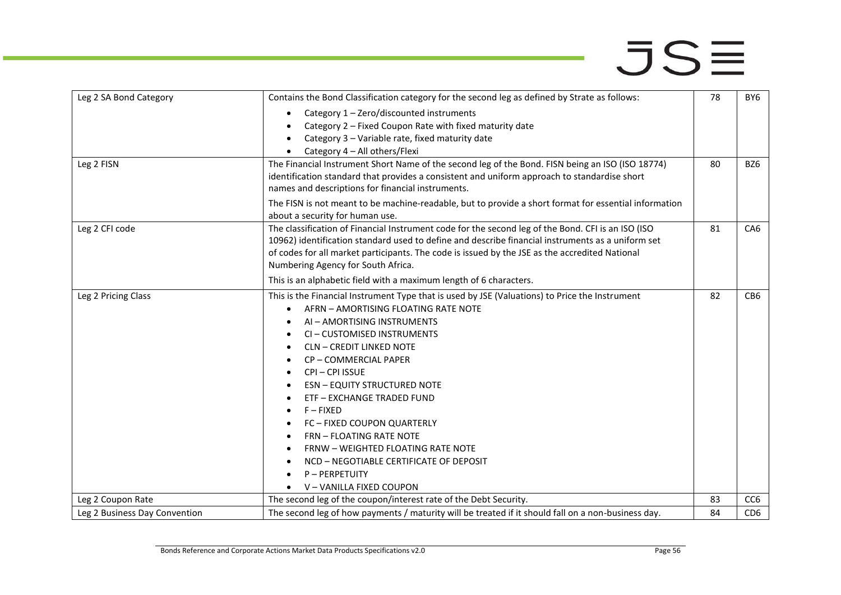| Leg 2 SA Bond Category        | Contains the Bond Classification category for the second leg as defined by Strate as follows:         | 78 | BY <sub>6</sub> |
|-------------------------------|-------------------------------------------------------------------------------------------------------|----|-----------------|
|                               | Category 1 - Zero/discounted instruments                                                              |    |                 |
|                               | Category 2 - Fixed Coupon Rate with fixed maturity date                                               |    |                 |
|                               | Category 3 - Variable rate, fixed maturity date                                                       |    |                 |
|                               | Category 4 - All others/Flexi                                                                         |    |                 |
| Leg 2 FISN                    | The Financial Instrument Short Name of the second leg of the Bond. FISN being an ISO (ISO 18774)      | 80 | BZ6             |
|                               | identification standard that provides a consistent and uniform approach to standardise short          |    |                 |
|                               | names and descriptions for financial instruments.                                                     |    |                 |
|                               | The FISN is not meant to be machine-readable, but to provide a short format for essential information |    |                 |
|                               | about a security for human use.                                                                       |    |                 |
| Leg 2 CFI code                | The classification of Financial Instrument code for the second leg of the Bond. CFI is an ISO (ISO    | 81 | CA6             |
|                               | 10962) identification standard used to define and describe financial instruments as a uniform set     |    |                 |
|                               | of codes for all market participants. The code is issued by the JSE as the accredited National        |    |                 |
|                               | Numbering Agency for South Africa.                                                                    |    |                 |
|                               | This is an alphabetic field with a maximum length of 6 characters.                                    |    |                 |
| Leg 2 Pricing Class           | This is the Financial Instrument Type that is used by JSE (Valuations) to Price the Instrument        | 82 | CB <sub>6</sub> |
|                               | AFRN - AMORTISING FLOATING RATE NOTE                                                                  |    |                 |
|                               | AI - AMORTISING INSTRUMENTS                                                                           |    |                 |
|                               | CI-CUSTOMISED INSTRUMENTS                                                                             |    |                 |
|                               | <b>CLN - CREDIT LINKED NOTE</b>                                                                       |    |                 |
|                               | CP-COMMERCIAL PAPER                                                                                   |    |                 |
|                               | CPI-CPI ISSUE                                                                                         |    |                 |
|                               | <b>ESN - EQUITY STRUCTURED NOTE</b>                                                                   |    |                 |
|                               | <b>ETF - EXCHANGE TRADED FUND</b>                                                                     |    |                 |
|                               | F-FIXED                                                                                               |    |                 |
|                               | <b>FC - FIXED COUPON QUARTERLY</b>                                                                    |    |                 |
|                               | FRN - FLOATING RATE NOTE                                                                              |    |                 |
|                               | FRNW - WEIGHTED FLOATING RATE NOTE                                                                    |    |                 |
|                               | NCD - NEGOTIABLE CERTIFICATE OF DEPOSIT                                                               |    |                 |
|                               | P-PERPETUITY                                                                                          |    |                 |
|                               | V - VANILLA FIXED COUPON                                                                              |    |                 |
| Leg 2 Coupon Rate             | The second leg of the coupon/interest rate of the Debt Security.                                      | 83 | CC <sub>6</sub> |
| Leg 2 Business Day Convention | The second leg of how payments / maturity will be treated if it should fall on a non-business day.    | 84 | CD <sub>6</sub> |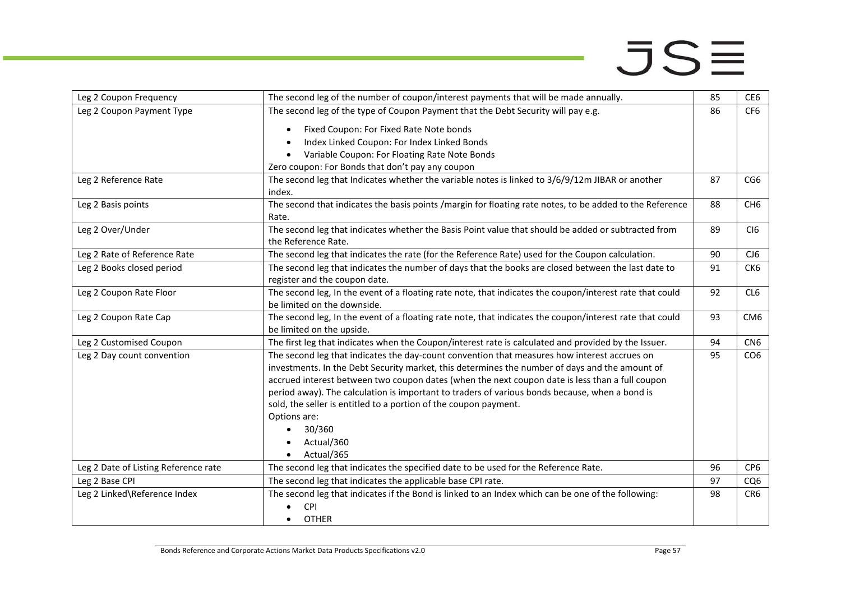| Leg 2 Coupon Frequency               | The second leg of the number of coupon/interest payments that will be made annually.                                                                                                                                                                                                                                                                                                                                                                                                                                          | 85 | CE <sub>6</sub>             |
|--------------------------------------|-------------------------------------------------------------------------------------------------------------------------------------------------------------------------------------------------------------------------------------------------------------------------------------------------------------------------------------------------------------------------------------------------------------------------------------------------------------------------------------------------------------------------------|----|-----------------------------|
| Leg 2 Coupon Payment Type            | The second leg of the type of Coupon Payment that the Debt Security will pay e.g.                                                                                                                                                                                                                                                                                                                                                                                                                                             | 86 | CF <sub>6</sub>             |
|                                      | Fixed Coupon: For Fixed Rate Note bonds<br>$\bullet$                                                                                                                                                                                                                                                                                                                                                                                                                                                                          |    |                             |
|                                      | Index Linked Coupon: For Index Linked Bonds                                                                                                                                                                                                                                                                                                                                                                                                                                                                                   |    |                             |
|                                      | Variable Coupon: For Floating Rate Note Bonds<br>$\bullet$                                                                                                                                                                                                                                                                                                                                                                                                                                                                    |    |                             |
|                                      | Zero coupon: For Bonds that don't pay any coupon                                                                                                                                                                                                                                                                                                                                                                                                                                                                              |    |                             |
| Leg 2 Reference Rate                 | The second leg that Indicates whether the variable notes is linked to 3/6/9/12m JIBAR or another<br>index.                                                                                                                                                                                                                                                                                                                                                                                                                    | 87 | CG <sub>6</sub>             |
| Leg 2 Basis points                   | The second that indicates the basis points /margin for floating rate notes, to be added to the Reference                                                                                                                                                                                                                                                                                                                                                                                                                      | 88 | CH <sub>6</sub>             |
|                                      | Rate.                                                                                                                                                                                                                                                                                                                                                                                                                                                                                                                         |    |                             |
| Leg 2 Over/Under                     | The second leg that indicates whether the Basis Point value that should be added or subtracted from                                                                                                                                                                                                                                                                                                                                                                                                                           | 89 | C <sub>I</sub> <sub>6</sub> |
|                                      | the Reference Rate.                                                                                                                                                                                                                                                                                                                                                                                                                                                                                                           |    |                             |
| Leg 2 Rate of Reference Rate         | The second leg that indicates the rate (for the Reference Rate) used for the Coupon calculation.                                                                                                                                                                                                                                                                                                                                                                                                                              | 90 | CJ6                         |
| Leg 2 Books closed period            | The second leg that indicates the number of days that the books are closed between the last date to                                                                                                                                                                                                                                                                                                                                                                                                                           | 91 | CK6                         |
|                                      | register and the coupon date.                                                                                                                                                                                                                                                                                                                                                                                                                                                                                                 |    |                             |
| Leg 2 Coupon Rate Floor              | The second leg, In the event of a floating rate note, that indicates the coupon/interest rate that could<br>be limited on the downside.                                                                                                                                                                                                                                                                                                                                                                                       | 92 | CL6                         |
| Leg 2 Coupon Rate Cap                | The second leg, In the event of a floating rate note, that indicates the coupon/interest rate that could                                                                                                                                                                                                                                                                                                                                                                                                                      | 93 | CM <sub>6</sub>             |
|                                      | be limited on the upside.                                                                                                                                                                                                                                                                                                                                                                                                                                                                                                     |    |                             |
| Leg 2 Customised Coupon              | The first leg that indicates when the Coupon/interest rate is calculated and provided by the Issuer.                                                                                                                                                                                                                                                                                                                                                                                                                          | 94 | CN <sub>6</sub>             |
| Leg 2 Day count convention           | The second leg that indicates the day-count convention that measures how interest accrues on<br>investments. In the Debt Security market, this determines the number of days and the amount of<br>accrued interest between two coupon dates (when the next coupon date is less than a full coupon<br>period away). The calculation is important to traders of various bonds because, when a bond is<br>sold, the seller is entitled to a portion of the coupon payment.<br>Options are:<br>30/360<br>Actual/360<br>Actual/365 | 95 | CO <sub>6</sub>             |
| Leg 2 Date of Listing Reference rate | The second leg that indicates the specified date to be used for the Reference Rate.                                                                                                                                                                                                                                                                                                                                                                                                                                           | 96 | CP <sub>6</sub>             |
| Leg 2 Base CPI                       | The second leg that indicates the applicable base CPI rate.                                                                                                                                                                                                                                                                                                                                                                                                                                                                   | 97 | CQ6                         |
| Leg 2 Linked\Reference Index         | The second leg that indicates if the Bond is linked to an Index which can be one of the following:<br>CPI                                                                                                                                                                                                                                                                                                                                                                                                                     | 98 | CR6                         |
|                                      | <b>OTHER</b><br>$\bullet$                                                                                                                                                                                                                                                                                                                                                                                                                                                                                                     |    |                             |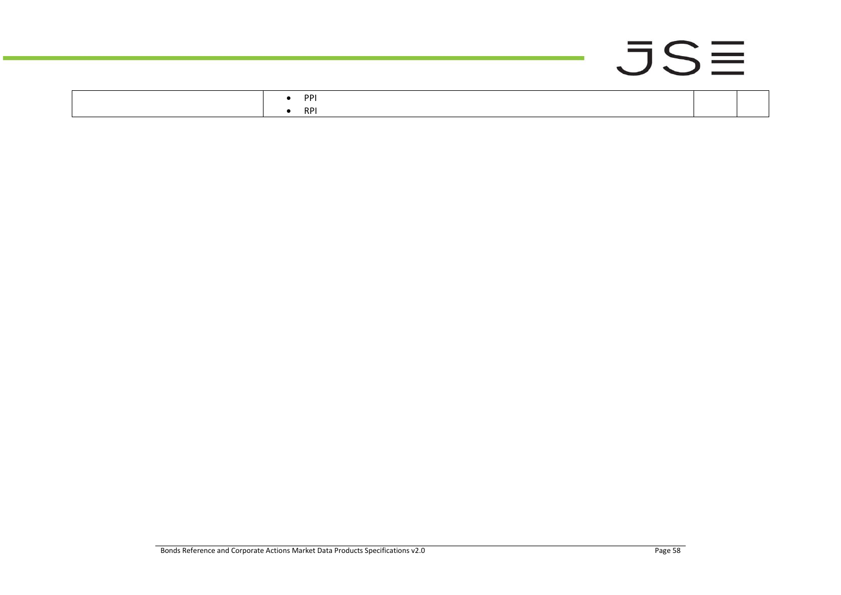|  |     |  | the contract of the con- | $\sim$ 100 $\sim$ 100 $\sim$ |  |
|--|-----|--|--------------------------|------------------------------|--|
|  | PPI |  |                          |                              |  |

• [RPI](javascript:TextPopup(this))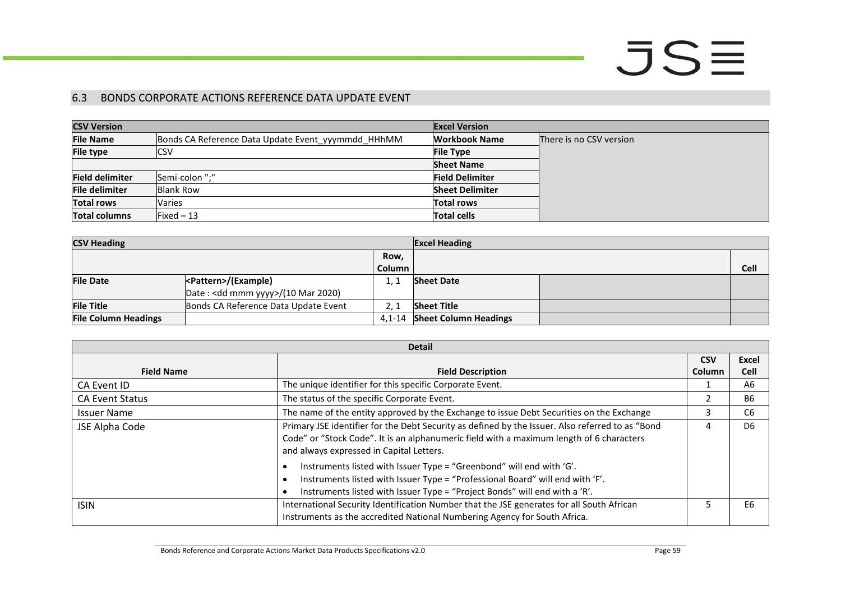#### 6.3 BONDS CORPORATE ACTIONS REFERENCE DATA UPDATE EVENT

| <b>CSV Version</b>     |                                                    | <b>Excel Version</b>   |                         |
|------------------------|----------------------------------------------------|------------------------|-------------------------|
| <b>File Name</b>       | Bonds CA Reference Data Update Event yyymmdd HHhMM | Workbook Name          | There is no CSV version |
| <b>File type</b>       | <b>ICSV</b>                                        | <b>File Type</b>       |                         |
|                        |                                                    | <b>Sheet Name</b>      |                         |
| <b>Field delimiter</b> | Semi-colon ";"                                     | <b>Field Delimiter</b> |                         |
| <b>File delimiter</b>  | <b>Blank Row</b>                                   | <b>Sheet Delimiter</b> |                         |
| <b>Total rows</b>      | <b>Varies</b>                                      | <b>Total rows</b>      |                         |
| <b>Total columns</b>   | Fixed $-13$                                        | <b>Total cells</b>     |                         |

| <b>CSV Heading</b>          |                                      | <b>Excel Heading</b> |                              |  |      |
|-----------------------------|--------------------------------------|----------------------|------------------------------|--|------|
|                             |                                      | Row,                 |                              |  |      |
|                             |                                      | <b>Column</b>        |                              |  | Cell |
| <b>File Date</b>            | <pattern>/(Example)</pattern>        | 1.7                  | <b>Sheet Date</b>            |  |      |
|                             | Date : < dd mmm yyyy>/(10 Mar 2020)  |                      |                              |  |      |
| <b>File Title</b>           | Bonds CA Reference Data Update Event | 2.1                  | <b>Sheet Title</b>           |  |      |
| <b>File Column Headings</b> |                                      |                      | 4,1-14 Sheet Column Headings |  |      |

<span id="page-58-0"></span>

| <b>Detail</b>          |                                                                                                                                                                                                                                          |               |                |
|------------------------|------------------------------------------------------------------------------------------------------------------------------------------------------------------------------------------------------------------------------------------|---------------|----------------|
|                        |                                                                                                                                                                                                                                          | <b>CSV</b>    | <b>Excel</b>   |
| <b>Field Name</b>      | <b>Field Description</b>                                                                                                                                                                                                                 | <b>Column</b> | <b>Cell</b>    |
| CA Event ID            | The unique identifier for this specific Corporate Event.                                                                                                                                                                                 |               | A6             |
| <b>CA Event Status</b> | The status of the specific Corporate Event.                                                                                                                                                                                              |               | <b>B6</b>      |
| <b>Issuer Name</b>     | The name of the entity approved by the Exchange to issue Debt Securities on the Exchange                                                                                                                                                 | 3             | C <sub>6</sub> |
| JSE Alpha Code         | Primary JSE identifier for the Debt Security as defined by the Issuer. Also referred to as "Bond<br>Code" or "Stock Code". It is an alphanumeric field with a maximum length of 6 characters<br>and always expressed in Capital Letters. | 4             | D <sub>6</sub> |
|                        | Instruments listed with Issuer Type = "Greenbond" will end with 'G'.<br>Instruments listed with Issuer Type = "Professional Board" will end with 'F'.<br>Instruments listed with Issuer Type = "Project Bonds" will end with a 'R'.      |               |                |
| <b>ISIN</b>            | International Security Identification Number that the JSE generates for all South African<br>Instruments as the accredited National Numbering Agency for South Africa.                                                                   | כ             | E6             |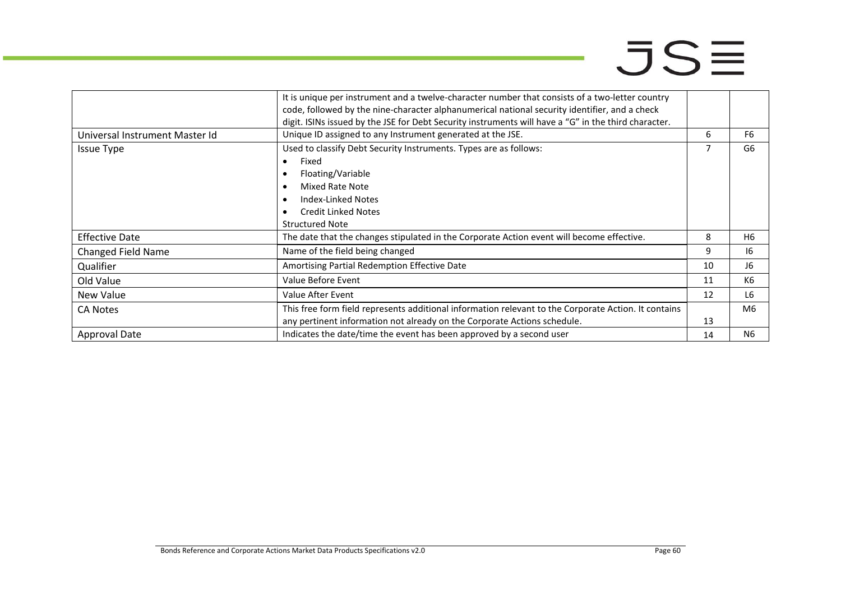|                                | It is unique per instrument and a twelve-character number that consists of a two-letter country      |    |                |  |
|--------------------------------|------------------------------------------------------------------------------------------------------|----|----------------|--|
|                                | code, followed by the nine-character alphanumerical national security identifier, and a check        |    |                |  |
|                                | digit. ISINs issued by the JSE for Debt Security instruments will have a "G" in the third character. |    |                |  |
| Universal Instrument Master Id | Unique ID assigned to any Instrument generated at the JSE.                                           | 6  | F <sub>6</sub> |  |
| <b>Issue Type</b>              | Used to classify Debt Security Instruments. Types are as follows:<br>7                               |    | G6             |  |
|                                | Fixed                                                                                                |    |                |  |
|                                | Floating/Variable                                                                                    |    |                |  |
|                                | Mixed Rate Note                                                                                      |    |                |  |
|                                | <b>Index-Linked Notes</b>                                                                            |    |                |  |
|                                | <b>Credit Linked Notes</b>                                                                           |    |                |  |
|                                | <b>Structured Note</b>                                                                               |    |                |  |
| <b>Effective Date</b>          | The date that the changes stipulated in the Corporate Action event will become effective.            | 8  | H6             |  |
| <b>Changed Field Name</b>      | Name of the field being changed                                                                      | 9  | 16             |  |
| Qualifier                      | Amortising Partial Redemption Effective Date                                                         | 10 | J6             |  |
| Old Value                      | Value Before Event                                                                                   | 11 | K <sub>6</sub> |  |
| New Value                      | Value After Event                                                                                    | 12 | L6             |  |
| <b>CA Notes</b>                | This free form field represents additional information relevant to the Corporate Action. It contains |    | M6             |  |
|                                | any pertinent information not already on the Corporate Actions schedule.                             | 13 |                |  |
| <b>Approval Date</b>           | Indicates the date/time the event has been approved by a second user                                 | 14 | N6             |  |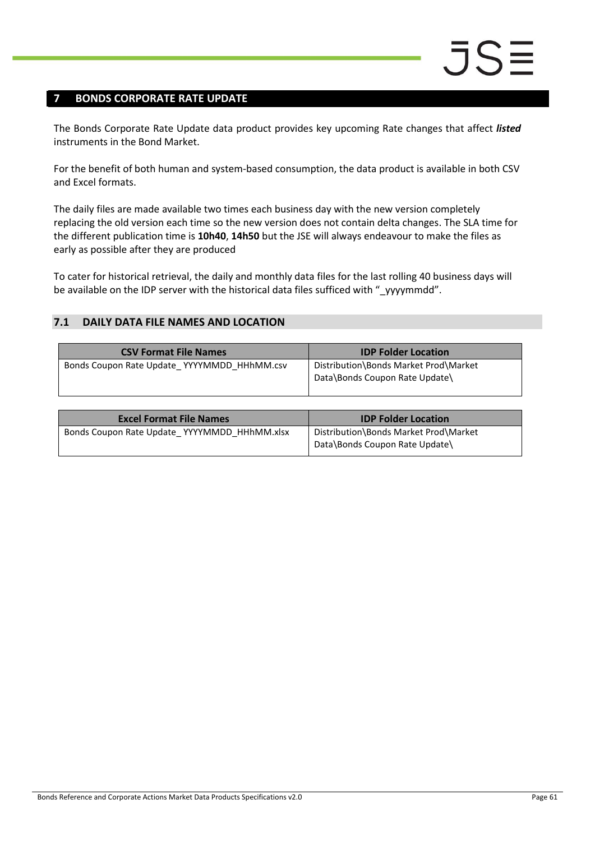### <span id="page-60-0"></span>**7 BONDS CORPORATE RATE UPDATE**

The Bonds Corporate Rate Update data product provides key upcoming Rate changes that affect *listed* instruments in the Bond Market.

For the benefit of both human and system-based consumption, the data product is available in both CSV and Excel formats.

The daily files are made available two times each business day with the new version completely replacing the old version each time so the new version does not contain delta changes. The SLA time for the different publication time is **10h40**, **14h50** but the JSE will always endeavour to make the files as early as possible after they are produced

To cater for historical retrieval, the daily and monthly data files for the last rolling 40 business days will be available on the IDP server with the historical data files sufficed with "\_yyyymmdd".

#### <span id="page-60-1"></span>**7.1 DAILY DATA FILE NAMES AND LOCATION**

| <b>CSV Format File Names</b>                | <b>IDP Folder Location</b>                                              |
|---------------------------------------------|-------------------------------------------------------------------------|
| Bonds Coupon Rate Update YYYYMMDD HHhMM.csv | Distribution\Bonds Market Prod\Market<br>Data\Bonds Coupon Rate Update\ |

| <b>Excel Format File Names</b>               | <b>IDP Folder Location</b>                                              |
|----------------------------------------------|-------------------------------------------------------------------------|
| Bonds Coupon Rate Update YYYYMMDD HHhMM.xlsx | Distribution\Bonds Market Prod\Market<br>Data\Bonds Coupon Rate Update\ |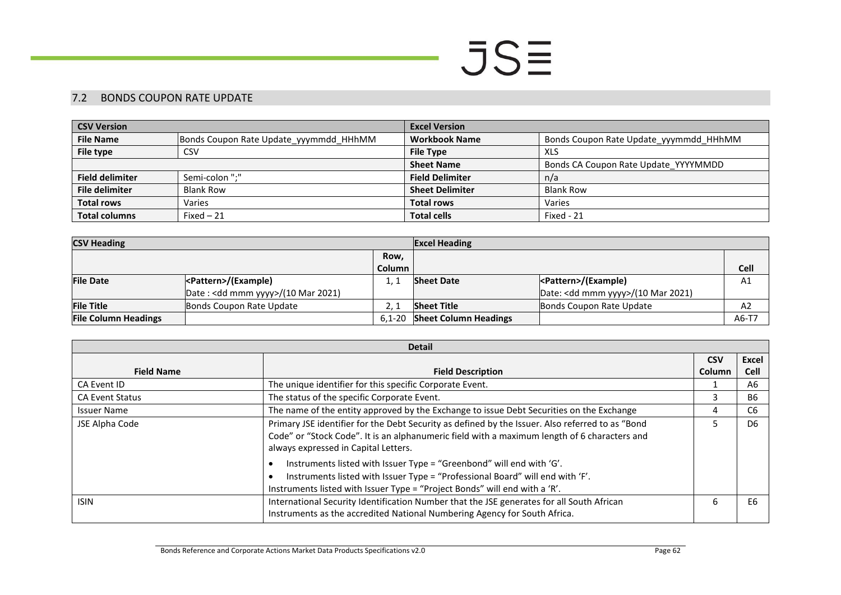#### 7.2 BONDS COUPON RATE UPDATE

| <b>CSV Version</b>     |                                        | <b>Excel Version</b>   |                                        |  |
|------------------------|----------------------------------------|------------------------|----------------------------------------|--|
| <b>File Name</b>       | Bonds Coupon Rate Update yyymmdd HHhMM | <b>Workbook Name</b>   | Bonds Coupon Rate Update yyymmdd HHhMM |  |
| File type              | CSV                                    | <b>File Type</b>       | XLS                                    |  |
|                        |                                        | <b>Sheet Name</b>      | Bonds CA Coupon Rate Update YYYYMMDD   |  |
| <b>Field delimiter</b> | Semi-colon ":"                         | <b>Field Delimiter</b> | n/a                                    |  |
| <b>File delimiter</b>  | <b>Blank Row</b>                       | <b>Sheet Delimiter</b> | <b>Blank Row</b>                       |  |
| <b>Total rows</b>      | Varies                                 | <b>Total rows</b>      | Varies                                 |  |
| <b>Total columns</b>   | Fixed $-21$                            | <b>Total cells</b>     | Fixed - 21                             |  |

| <b>CSV Heading</b>          |                                              |            | <b>Excel Heading</b>         |                                              |             |
|-----------------------------|----------------------------------------------|------------|------------------------------|----------------------------------------------|-------------|
|                             |                                              | Row,       |                              |                                              |             |
|                             |                                              | Column     |                              |                                              | <b>Cell</b> |
| <b>File Date</b>            | <pattern>/(Example)</pattern>                |            | <b>Sheet Date</b>            |                                              | A1          |
|                             | Date: <dd mmm="" yyyy="">/(10 Mar 2021)</dd> |            |                              | Date: <dd mmm="" yyyy="">/(10 Mar 2021)</dd> |             |
| <b>File Title</b>           | Bonds Coupon Rate Update                     |            | <b>Sheet Title</b>           | Bonds Coupon Rate Update                     | A2          |
| <b>File Column Headings</b> |                                              | $6.1 - 20$ | <b>Sheet Column Headings</b> |                                              | A6-T7       |

<span id="page-61-0"></span>

| <b>Detail</b>          |                                                                                                                                                                                                                                                                                                                                                                                                                                                                                 |               |                |  |
|------------------------|---------------------------------------------------------------------------------------------------------------------------------------------------------------------------------------------------------------------------------------------------------------------------------------------------------------------------------------------------------------------------------------------------------------------------------------------------------------------------------|---------------|----------------|--|
|                        |                                                                                                                                                                                                                                                                                                                                                                                                                                                                                 | <b>CSV</b>    | Excel          |  |
| <b>Field Name</b>      | <b>Field Description</b>                                                                                                                                                                                                                                                                                                                                                                                                                                                        | <b>Column</b> | <b>Cell</b>    |  |
| CA Event ID            | The unique identifier for this specific Corporate Event.                                                                                                                                                                                                                                                                                                                                                                                                                        |               | A6             |  |
| <b>CA Event Status</b> | The status of the specific Corporate Event.                                                                                                                                                                                                                                                                                                                                                                                                                                     |               | <b>B6</b>      |  |
| <b>Issuer Name</b>     | The name of the entity approved by the Exchange to issue Debt Securities on the Exchange                                                                                                                                                                                                                                                                                                                                                                                        |               | C <sub>6</sub> |  |
| JSE Alpha Code         | Primary JSE identifier for the Debt Security as defined by the Issuer. Also referred to as "Bond<br>Code" or "Stock Code". It is an alphanumeric field with a maximum length of 6 characters and<br>always expressed in Capital Letters.<br>Instruments listed with Issuer Type = "Greenbond" will end with 'G'.<br>Instruments listed with Issuer Type = "Professional Board" will end with 'F'.<br>Instruments listed with Issuer Type = "Project Bonds" will end with a 'R'. |               | D <sub>6</sub> |  |
| <b>ISIN</b>            | International Security Identification Number that the JSE generates for all South African<br>Instruments as the accredited National Numbering Agency for South Africa.                                                                                                                                                                                                                                                                                                          |               | E6             |  |